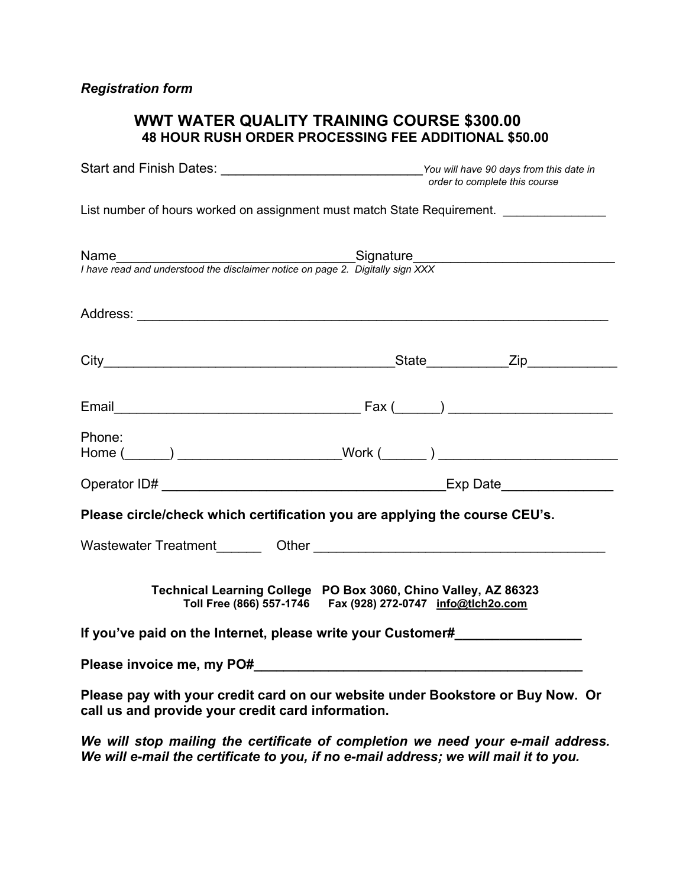# **WWT WATER QUALITY TRAINING COURSE \$300.00 48 HOUR RUSH ORDER PROCESSING FEE ADDITIONAL \$50.00**

|                                                                                        | You will have 90 days from this date in<br>order to complete this course                                                            |
|----------------------------------------------------------------------------------------|-------------------------------------------------------------------------------------------------------------------------------------|
|                                                                                        | List number of hours worked on assignment must match State Requirement.                                                             |
| Name<br>I have read and understood the disclaimer notice on page 2. Digitally sign XXX |                                                                                                                                     |
|                                                                                        |                                                                                                                                     |
|                                                                                        |                                                                                                                                     |
|                                                                                        |                                                                                                                                     |
| Phone:                                                                                 | Home (______) ________________________Work (_______) ___________________________                                                    |
|                                                                                        |                                                                                                                                     |
| Please circle/check which certification you are applying the course CEU's.             |                                                                                                                                     |
|                                                                                        |                                                                                                                                     |
|                                                                                        | Technical Learning College PO Box 3060, Chino Valley, AZ 86323<br>Toll Free (866) 557-1746    Fax (928) 272-0747    info@tlch2o.com |
| If you've paid on the Internet, please write your Customer#                            |                                                                                                                                     |
|                                                                                        |                                                                                                                                     |
| call us and provide your credit card information.                                      | Please pay with your credit card on our website under Bookstore or Buy Now. Or                                                      |

*We will stop mailing the certificate of completion we need your e-mail address. We will e-mail the certificate to you, if no e-mail address; we will mail it to you.*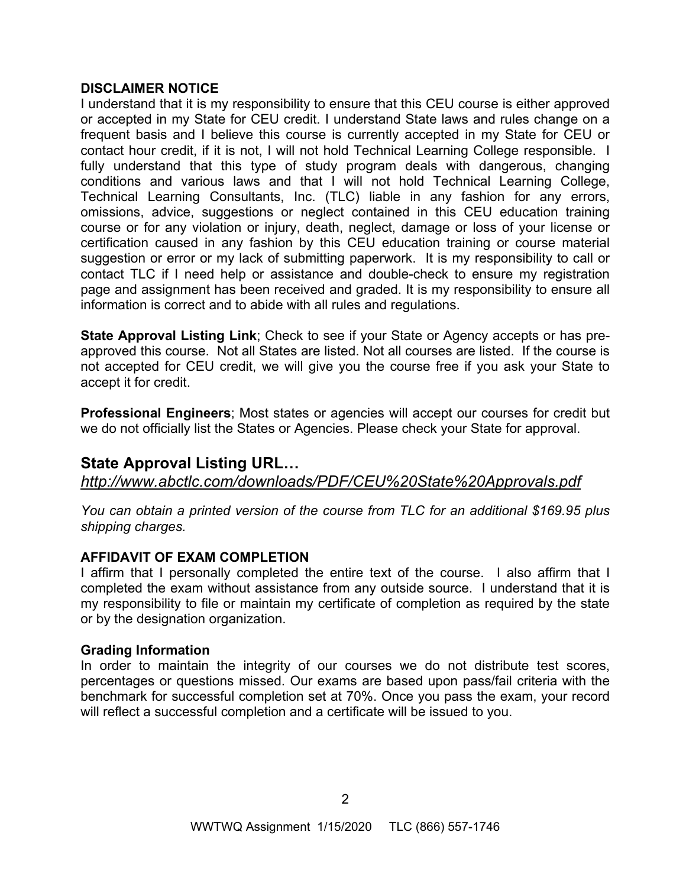# **DISCLAIMER NOTICE**

I understand that it is my responsibility to ensure that this CEU course is either approved or accepted in my State for CEU credit. I understand State laws and rules change on a frequent basis and I believe this course is currently accepted in my State for CEU or contact hour credit, if it is not, I will not hold Technical Learning College responsible. I fully understand that this type of study program deals with dangerous, changing conditions and various laws and that I will not hold Technical Learning College, Technical Learning Consultants, Inc. (TLC) liable in any fashion for any errors, omissions, advice, suggestions or neglect contained in this CEU education training course or for any violation or injury, death, neglect, damage or loss of your license or certification caused in any fashion by this CEU education training or course material suggestion or error or my lack of submitting paperwork. It is my responsibility to call or contact TLC if I need help or assistance and double-check to ensure my registration page and assignment has been received and graded. It is my responsibility to ensure all information is correct and to abide with all rules and regulations.

**State Approval Listing Link**; Check to see if your State or Agency accepts or has preapproved this course. Not all States are listed. Not all courses are listed. If the course is not accepted for CEU credit, we will give you the course free if you ask your State to accept it for credit.

**Professional Engineers**; Most states or agencies will accept our courses for credit but we do not officially list the States or Agencies. Please check your State for approval.

# **State Approval Listing URL…**

*<http://www.abctlc.com/downloads/PDF/CEU%20State%20Approvals.pdf>*

*You can obtain a printed version of the course from TLC for an additional \$169.95 plus shipping charges.* 

# **AFFIDAVIT OF EXAM COMPLETION**

I affirm that I personally completed the entire text of the course. I also affirm that I completed the exam without assistance from any outside source. I understand that it is my responsibility to file or maintain my certificate of completion as required by the state or by the designation organization.

# **Grading Information**

In order to maintain the integrity of our courses we do not distribute test scores, percentages or questions missed. Our exams are based upon pass/fail criteria with the benchmark for successful completion set at 70%. Once you pass the exam, your record will reflect a successful completion and a certificate will be issued to you.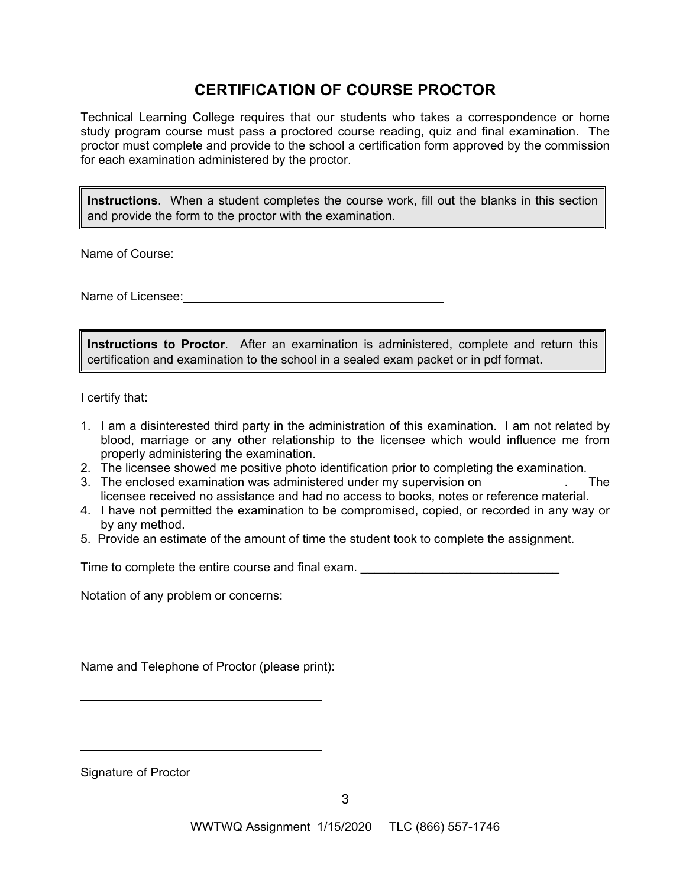# **CERTIFICATION OF COURSE PROCTOR**

Technical Learning College requires that our students who takes a correspondence or home study program course must pass a proctored course reading, quiz and final examination. The proctor must complete and provide to the school a certification form approved by the commission for each examination administered by the proctor.

**Instructions**. When a student completes the course work, fill out the blanks in this section and provide the form to the proctor with the examination.

Name of Course: **Name of Course:** 

Name of Licensee:

**Instructions to Proctor**. After an examination is administered, complete and return this certification and examination to the school in a sealed exam packet or in pdf format.

I certify that:

- 1. I am a disinterested third party in the administration of this examination. I am not related by blood, marriage or any other relationship to the licensee which would influence me from properly administering the examination.
- 2. The licensee showed me positive photo identification prior to completing the examination.
- 3. The enclosed examination was administered under my supervision on . The licensee received no assistance and had no access to books, notes or reference material.
- 4. I have not permitted the examination to be compromised, copied, or recorded in any way or by any method.
- 5. Provide an estimate of the amount of time the student took to complete the assignment.

Time to complete the entire course and final exam.

Notation of any problem or concerns:

Name and Telephone of Proctor (please print):

Signature of Proctor

 $\overline{a}$ 

 $\overline{a}$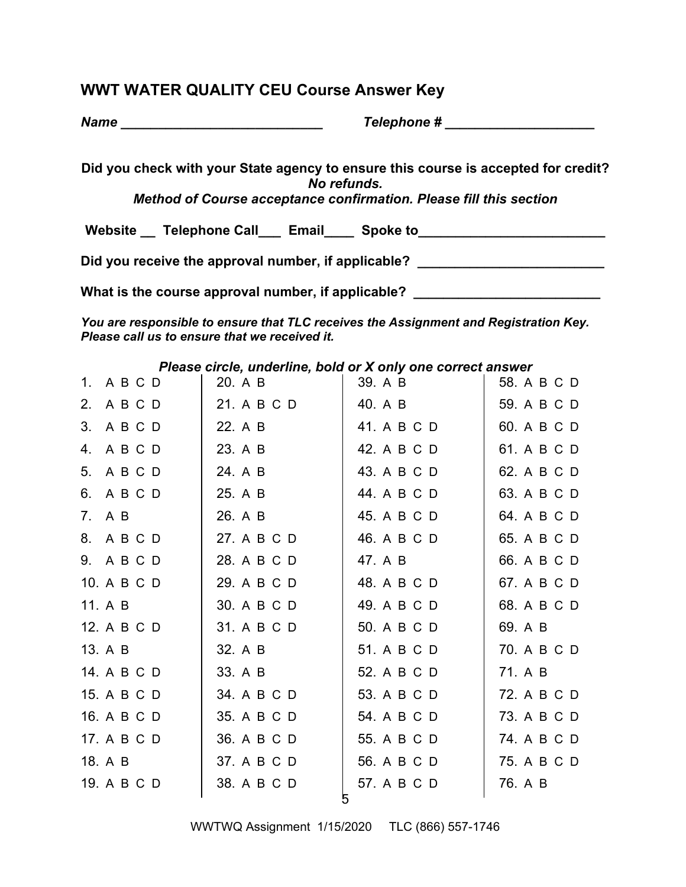# **WWT WATER QUALITY CEU Course Answer Key**

| <b>Name</b> |  |  |  |  |  |  |  |  |
|-------------|--|--|--|--|--|--|--|--|
|             |  |  |  |  |  |  |  |  |

*Name \_\_\_\_\_\_\_\_\_\_\_\_\_\_\_\_\_\_\_\_\_\_\_\_\_\_\_ Telephone # \_\_\_\_\_\_\_\_\_\_\_\_\_\_\_\_\_\_\_\_* 

**Did you check with your State agency to ensure this course is accepted for credit?**  *No refunds.* 

*Method of Course acceptance confirmation. Please fill this section* 

Website \_\_ Telephone Call \_\_ Email \_\_\_ Spoke to \_\_\_\_\_\_\_\_\_\_\_\_\_\_\_\_\_\_\_\_\_\_\_\_\_\_\_\_\_\_\_\_

Did you receive the approval number, if applicable?

What is the course approval number, if applicable? \_\_\_\_\_\_\_\_\_\_\_\_\_\_\_\_\_\_\_\_\_\_\_\_\_\_\_\_\_

*You are responsible to ensure that TLC receives the Assignment and Registration Key. Please call us to ensure that we received it.* 

*Please circle, underline, bold or X only one correct answer* 

| 1. A B C D  | 20. A B     | 39. A B     | 58. A B C D |
|-------------|-------------|-------------|-------------|
| 2. A B C D  | 21. A B C D | 40. A B     | 59. A B C D |
| 3. A B C D  | 22. A B     | 41. A B C D | 60. A B C D |
| 4. A B C D  | 23. A B     | 42. A B C D | 61. A B C D |
| 5. A B C D  | 24. A B     | 43. A B C D | 62. A B C D |
| 6. A B C D  | 25. A B     | 44. A B C D | 63. A B C D |
| 7. A B      | 26. A B     | 45. A B C D | 64. A B C D |
| 8. A B C D  | 27. A B C D | 46. A B C D | 65. A B C D |
| 9. A B C D  | 28. A B C D | 47. A B     | 66. A B C D |
| 10. A B C D | 29. A B C D | 48. A B C D | 67. A B C D |
| 11. A B     | 30. A B C D | 49. A B C D | 68. A B C D |
| 12. A B C D | 31. A B C D | 50. A B C D | 69. A B     |
| 13. A B     | 32. A B     | 51. A B C D | 70. A B C D |
| 14. A B C D | 33. A B     | 52. A B C D | 71. A B     |
| 15. A B C D | 34. A B C D | 53. A B C D | 72. A B C D |
| 16. A B C D | 35. A B C D | 54. A B C D | 73. A B C D |
| 17. A B C D | 36. A B C D | 55. A B C D | 74. A B C D |
| 18. A B     | 37. A B C D | 56. A B C D | 75. A B C D |
| 19. A B C D | 38. A B C D | 57. A B C D | 76. A B     |
|             |             |             |             |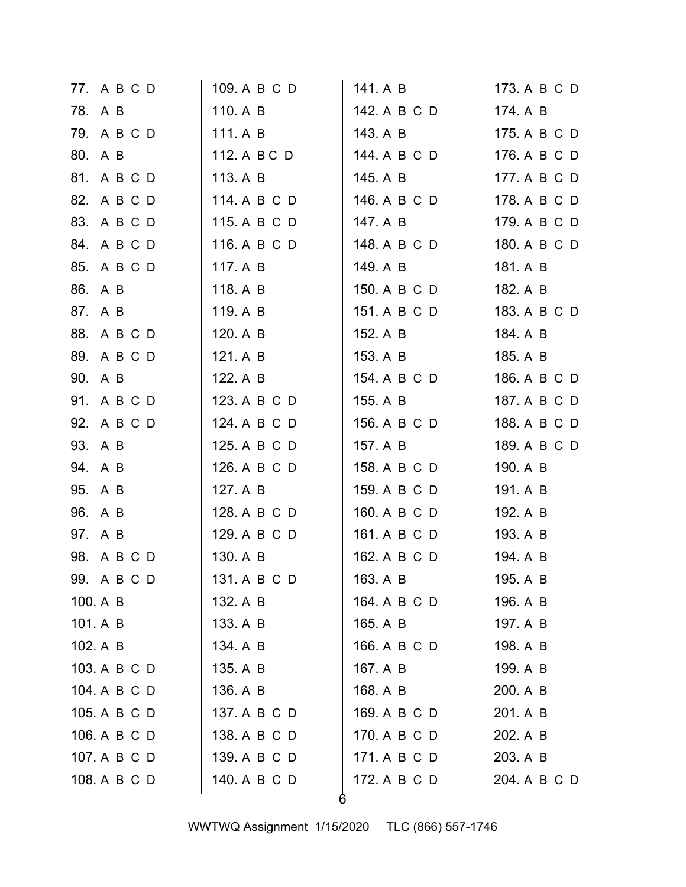| 77. A B C D  | 109. A B C D | 141. A B     | 173. A B C D |
|--------------|--------------|--------------|--------------|
| 78. A B      | 110. A B     | 142. A B C D | 174. A B     |
| 79. A B C D  | 111. A B     | 143. A B     | 175. A B C D |
| 80. A B      | 112. A B C D | 144. A B C D | 176. A B C D |
| 81. A B C D  | 113. A B     | 145. A B     | 177. A B C D |
| 82. A B C D  | 114. A B C D | 146. A B C D | 178. A B C D |
| 83. A B C D  | 115. A B C D | 147. A B     | 179. A B C D |
| 84. A B C D  | 116. A B C D | 148. A B C D | 180. A B C D |
| 85. A B C D  | 117. A B     | 149. A B     | 181. A B     |
| 86. A B      | 118. A B     | 150. A B C D | 182. A B     |
| 87. A B      | 119. A B     | 151. A B C D | 183. A B C D |
| 88. A B C D  | 120. A B     | 152. A B     | 184. A B     |
| 89. A B C D  | 121. A B     | 153. A B     | 185. A B     |
| 90. A B      | 122. A B     | 154. A B C D | 186. A B C D |
| 91. A B C D  | 123. A B C D | 155. A B     | 187. A B C D |
| 92. A B C D  | 124. A B C D | 156. A B C D | 188. A B C D |
| 93. A B      | 125. A B C D | 157. A B     | 189. A B C D |
| 94. A B      | 126. A B C D | 158. A B C D | 190. A B     |
| 95. A B      | 127. A B     | 159. A B C D | 191. A B     |
| 96. A B      | 128. A B C D | 160. A B C D | 192. A B     |
| 97. A B      | 129. A B C D | 161. A B C D | 193. A B     |
| 98. A B C D  | 130. A B     | 162. A B C D | 194. A B     |
| 99. A B C D  | 131. A B C D | 163. A B     | 195. A B     |
| 100. A B     | 132. A B     | 164. A B C D | 196. A B     |
| 101. A B     | 133. A B     | 165. A B     | 197. A B     |
| 102. A B     | 134. A B     | 166. A B C D | 198. A B     |
| 103. A B C D | 135. A B     | 167. A B     | 199. A B     |
| 104. A B C D | 136. A B     | 168. A B     | 200. A B     |
| 105. A B C D | 137. A B C D | 169. A B C D | 201. A B     |
| 106. A B C D | 138. A B C D | 170. A B C D | 202. A B     |
| 107. A B C D | 139. A B C D | 171. A B C D | 203. A B     |
| 108. A B C D | 140. A B C D | 172. A B C D | 204. A B C D |
|              |              |              |              |

WWTWQ Assignment 1/15/2020 TLC (866) 557-1746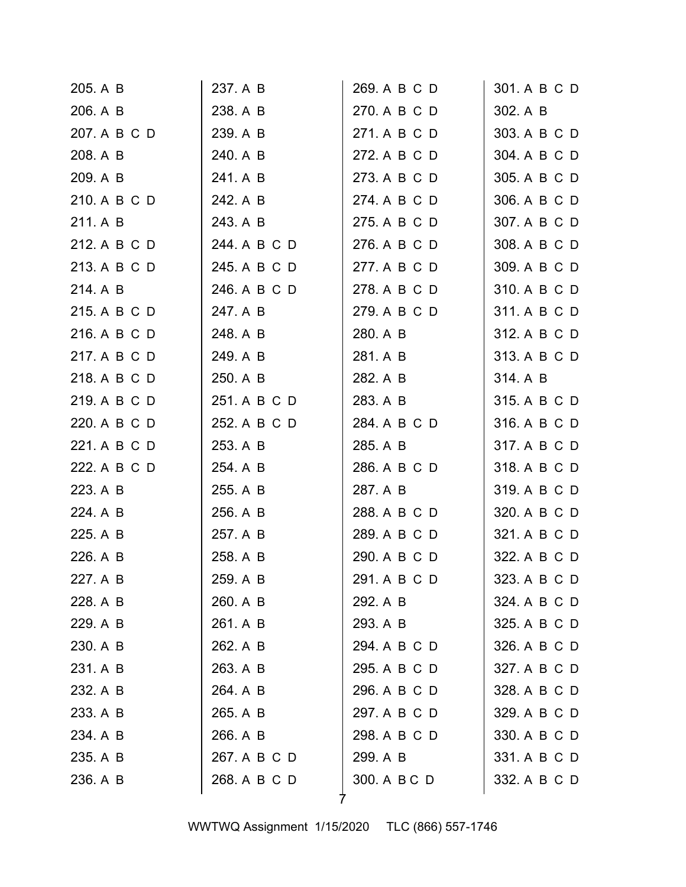| 205. A B     | 237. A B     | 269. A B C D | 301. A B C D |
|--------------|--------------|--------------|--------------|
| 206. A B     | 238. A B     | 270. A B C D | 302. A B     |
| 207. A B C D | 239. A B     | 271. A B C D | 303. A B C D |
| 208. A B     | 240. A B     | 272. A B C D | 304. A B C D |
| 209. A B     | 241. A B     | 273. A B C D | 305. A B C D |
| 210. A B C D | 242. A B     | 274. A B C D | 306. A B C D |
| 211. A B     | 243. A B     | 275. A B C D | 307. A B C D |
| 212. A B C D | 244. A B C D | 276. A B C D | 308. A B C D |
| 213. A B C D | 245. A B C D | 277. A B C D | 309. A B C D |
| 214. A B     | 246. A B C D | 278. A B C D | 310. A B C D |
| 215. A B C D | 247. A B     | 279. A B C D | 311. A B C D |
| 216. A B C D | 248. A B     | 280. A B     | 312. A B C D |
| 217. A B C D | 249. A B     | 281. A B     | 313. A B C D |
| 218. A B C D | 250. A B     | 282. A B     | 314. A B     |
| 219. A B C D | 251. A B C D | 283. A B     | 315. A B C D |
| 220. A B C D | 252. A B C D | 284. A B C D | 316. A B C D |
| 221. A B C D | 253. A B     | 285. A B     | 317. A B C D |
| 222. A B C D | 254. A B     | 286. A B C D | 318. A B C D |
| 223. A B     | 255. A B     | 287. A B     | 319. A B C D |
| 224. A B     | 256. A B     | 288. A B C D | 320. A B C D |
| 225. A B     | 257. A B     | 289. A B C D | 321. A B C D |
| 226. A B     | 258. A B     | 290. A B C D | 322. A B C D |
| 227. A B     | 259. A B     | 291. A B C D | 323. A B C D |
| 228. A B     | 260. A B     | 292. A B     | 324. A B C D |
| 229. A B     | 261. A B     | 293. A B     | 325. A B C D |
| 230. A B     | 262. A B     | 294. A B C D | 326. A B C D |
| 231. A B     | 263. A B     | 295. A B C D | 327. A B C D |
| 232. A B     | 264. A B     | 296. A B C D | 328. A B C D |
| 233. A B     | 265. A B     | 297. A B C D | 329. A B C D |
| 234. A B     | 266. A B     | 298. A B C D | 330. A B C D |
| 235. A B     | 267. A B C D | 299. A B     | 331. A B C D |
| 236. A B     | 268. A B C D | 300. A B C D | 332. A B C D |
|              |              |              |              |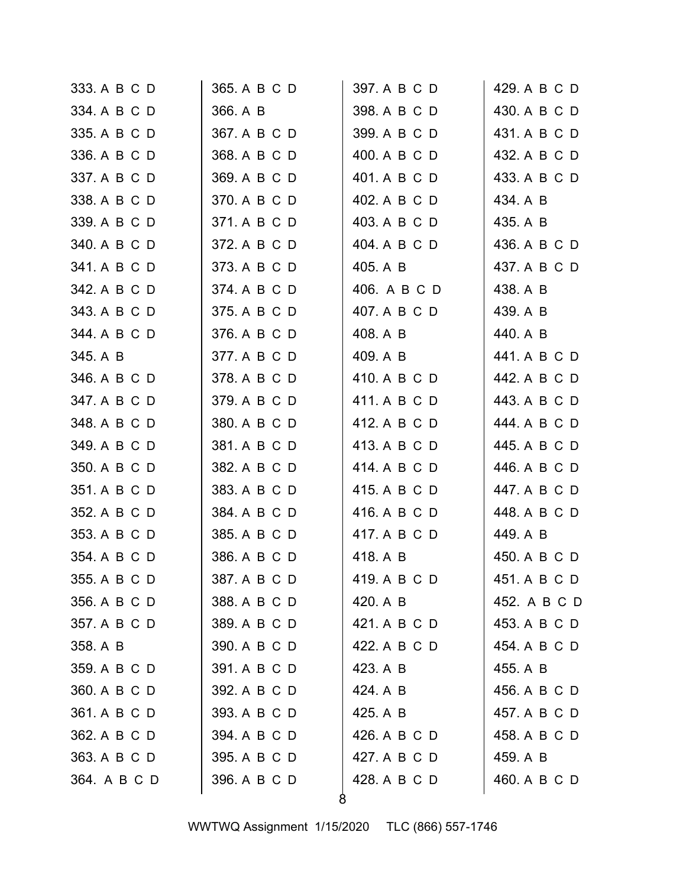| 333. A B C D | 365. A B C D | 397. A B C D | 429. A B C D |
|--------------|--------------|--------------|--------------|
| 334. A B C D | 366. A B     | 398. A B C D | 430. A B C D |
| 335. A B C D | 367. A B C D | 399. A B C D | 431. A B C D |
| 336. A B C D | 368. A B C D | 400. A B C D | 432. A B C D |
| 337. A B C D | 369. A B C D | 401. A B C D | 433. A B C D |
| 338. A B C D | 370. A B C D | 402. A B C D | 434. A B     |
| 339. A B C D | 371. A B C D | 403. A B C D | 435. A B     |
| 340. A B C D | 372. A B C D | 404. A B C D | 436. A B C D |
| 341. A B C D | 373. A B C D | 405. A B     | 437. A B C D |
| 342. A B C D | 374. A B C D | 406. A B C D | 438. A B     |
| 343. A B C D | 375. A B C D | 407. A B C D | 439. A B     |
| 344. A B C D | 376. A B C D | 408. A B     | 440. A B     |
| 345. A B     | 377. A B C D | 409. A B     | 441. A B C D |
| 346. A B C D | 378. A B C D | 410. A B C D | 442. A B C D |
| 347. A B C D | 379. A B C D | 411. A B C D | 443. A B C D |
| 348. A B C D | 380. A B C D | 412. A B C D | 444. A B C D |
| 349. A B C D | 381. A B C D | 413. A B C D | 445. A B C D |
| 350. A B C D | 382. A B C D | 414. A B C D | 446. A B C D |
| 351. A B C D | 383. A B C D | 415. A B C D | 447. A B C D |
| 352. A B C D | 384. A B C D | 416. A B C D | 448. A B C D |
| 353. A B C D | 385. A B C D | 417. A B C D | 449. A B     |
| 354. A B C D | 386. A B C D | 418. A B     | 450. A B C D |
| 355. A B C D | 387. A B C D | 419. A B C D | 451. A B C D |
| 356. A B C D | 388. A B C D | 420. A B     | 452. A B C D |
| 357. A B C D | 389. A B C D | 421. A B C D | 453. A B C D |
| 358. A B     | 390. A B C D | 422. A B C D | 454. A B C D |
| 359. A B C D | 391. A B C D | 423. A B     | 455. A B     |
| 360. A B C D | 392. A B C D | 424. A B     | 456. A B C D |
| 361. A B C D | 393. A B C D | 425. A B     | 457. A B C D |
| 362. A B C D | 394. A B C D | 426. A B C D | 458. A B C D |
| 363. A B C D | 395. A B C D | 427. A B C D | 459. A B     |
| 364. A B C D | 396. A B C D | 428. A B C D | 460. A B C D |
|              |              |              |              |

WWTWQ Assignment 1/15/2020 TLC (866) 557-1746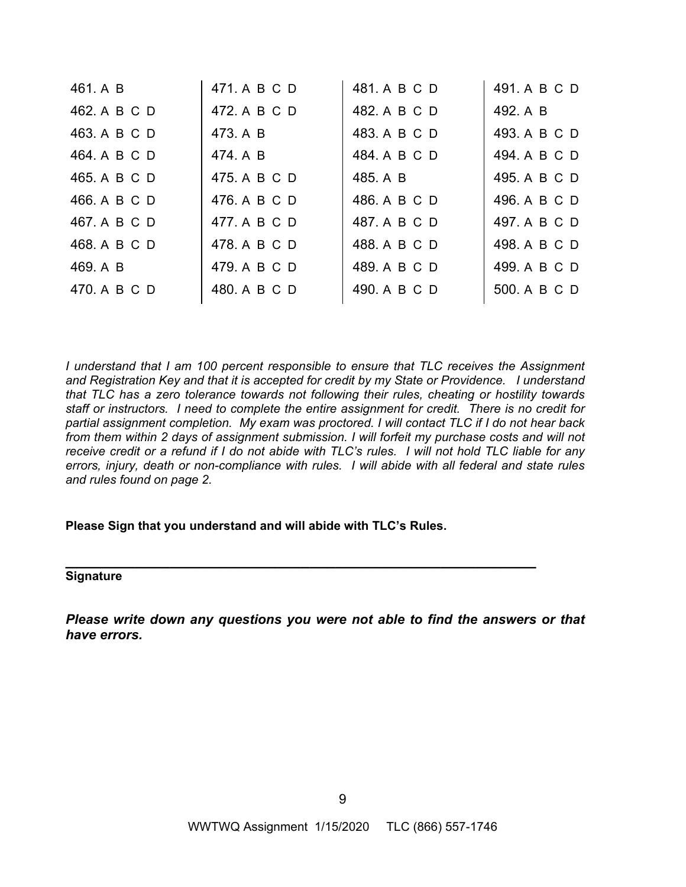| 461. A B     | 471. A B C D | 481. A B C D | 491. A B C D |
|--------------|--------------|--------------|--------------|
| 462. A B C D | 472. A B C D | 482. A B C D | 492. A B     |
| 463. A B C D | 473. A B     | 483. A B C D | 493. A B C D |
| 464. A B C D | 474. A B     | 484. A B C D | 494. A B C D |
| 465. A B C D | 475. A B C D | 485. A B     | 495. A B C D |
| 466. A B C D | 476. A B C D | 486. A B C D | 496. A B C D |
| 467. A B C D | 477. A B C D | 487. A B C D | 497. A B C D |
| 468. A B C D | 478. A B C D | 488. A B C D | 498. A B C D |
| 469. A B     | 479. A B C D | 489. A B C D | 499. A B C D |
| 470. A B C D | 480. A B C D | 490. A B C D | 500. A B C D |
|              |              |              |              |

*I understand that I am 100 percent responsible to ensure that TLC receives the Assignment and Registration Key and that it is accepted for credit by my State or Providence. I understand that TLC has a zero tolerance towards not following their rules, cheating or hostility towards staff or instructors. I need to complete the entire assignment for credit. There is no credit for partial assignment completion. My exam was proctored. I will contact TLC if I do not hear back from them within 2 days of assignment submission. I will forfeit my purchase costs and will not receive credit or a refund if I do not abide with TLC's rules. I will not hold TLC liable for any errors, injury, death or non-compliance with rules. I will abide with all federal and state rules and rules found on page 2.* 

#### **Please Sign that you understand and will abide with TLC's Rules.**

**\_\_\_\_\_\_\_\_\_\_\_\_\_\_\_\_\_\_\_\_\_\_\_\_\_\_\_\_\_\_\_\_\_\_\_\_\_\_\_\_\_\_\_\_\_\_\_\_\_\_\_\_\_\_ Signature** 

*Please write down any questions you were not able to find the answers or that have errors.*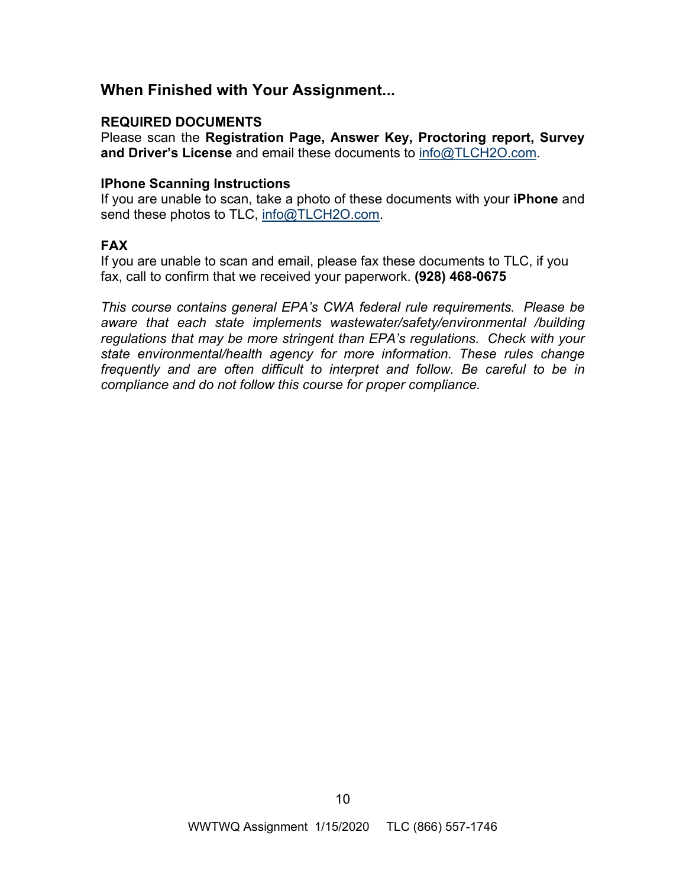# **When Finished with Your Assignment...**

# **REQUIRED DOCUMENTS**

Please scan the **Registration Page, Answer Key, Proctoring report, Survey and Driver's License** and email these documents to [info@TLCH2O.com.](mailto:info@TLCH2O.com) 

# **IPhone Scanning Instructions**

If you are unable to scan, take a photo of these documents with your **iPhone** and send these photos to TLC, info@TLCH2O.com.

# **FAX**

If you are unable to scan and email, please fax these documents to TLC, if you fax, call to confirm that we received your paperwork. **(928) 468-0675** 

*This course contains general EPA's CWA federal rule requirements. Please be aware that each state implements wastewater/safety/environmental /building regulations that may be more stringent than EPA's regulations. Check with your state environmental/health agency for more information. These rules change*  frequently and are often difficult to interpret and follow. Be careful to be in *compliance and do not follow this course for proper compliance.*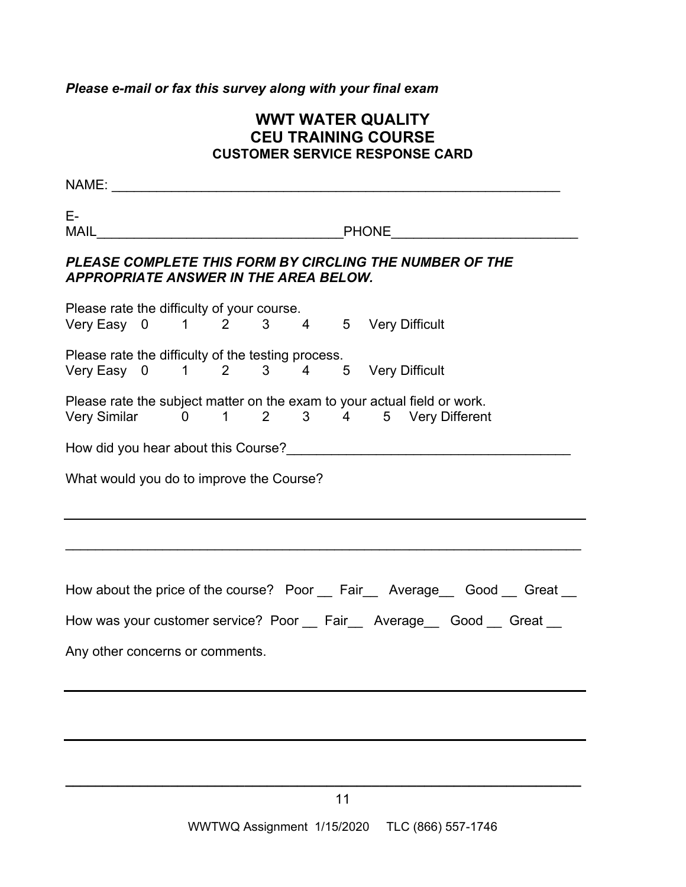*Please e-mail or fax this survey along with your final exam*

# **WWT WATER QUALITY CEU TRAINING COURSE CUSTOMER SERVICE RESPONSE CARD**

NAME: \_\_\_\_\_\_\_\_\_\_\_\_\_\_\_\_\_\_\_\_\_\_\_\_\_\_\_\_\_\_\_\_\_\_\_\_\_\_\_\_\_\_\_\_\_\_\_\_\_\_\_\_\_\_\_\_\_\_\_\_ E-MAIL **Example 20 And The Contract Contract Contract Contract Contract Contract Contract Contract Contract Contract Contract Contract Contract Contract Contract Contract Contract Contract Contract Contract Contract Contract** *PLEASE COMPLETE THIS FORM BY CIRCLING THE NUMBER OF THE APPROPRIATE ANSWER IN THE AREA BELOW.*  Please rate the difficulty of your course. Very Easy 0 1 2 3 4 5 Very Difficult Please rate the difficulty of the testing process. Very Easy 0 1 2 3 4 5 Very Difficult Please rate the subject matter on the exam to your actual field or work. Very Similar 0 1 2 3 4 5 Very Different How did you hear about this Course?\_\_\_\_\_\_\_\_\_\_\_\_\_\_\_\_\_\_\_\_\_\_\_\_\_\_\_\_\_\_\_\_\_\_\_\_\_\_ What would you do to improve the Course?  $\mathcal{L}_\mathcal{L} = \mathcal{L}_\mathcal{L} = \mathcal{L}_\mathcal{L} = \mathcal{L}_\mathcal{L} = \mathcal{L}_\mathcal{L} = \mathcal{L}_\mathcal{L} = \mathcal{L}_\mathcal{L} = \mathcal{L}_\mathcal{L} = \mathcal{L}_\mathcal{L} = \mathcal{L}_\mathcal{L} = \mathcal{L}_\mathcal{L} = \mathcal{L}_\mathcal{L} = \mathcal{L}_\mathcal{L} = \mathcal{L}_\mathcal{L} = \mathcal{L}_\mathcal{L} = \mathcal{L}_\mathcal{L} = \mathcal{L}_\mathcal{L}$ How about the price of the course? Poor Fair Average Good Great How was your customer service? Poor \_\_ Fair \_\_ Average \_\_ Good \_\_ Great \_\_ Any other concerns or comments.

**\_\_\_\_\_\_\_\_\_\_\_\_\_\_\_\_\_\_\_\_\_\_\_\_\_\_\_\_\_\_\_\_\_\_\_\_\_\_\_\_\_\_\_\_\_\_\_\_\_\_\_\_\_\_\_\_\_\_\_\_\_\_\_\_\_\_\_\_\_**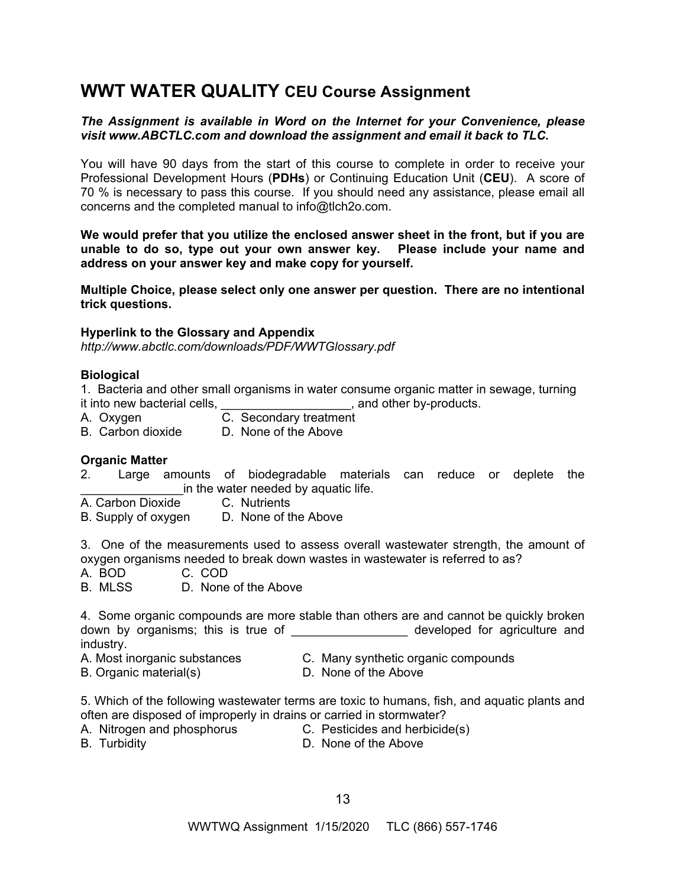# **WWT WATER QUALITY CEU Course Assignment**

## *The Assignment is available in Word on the Internet for your Convenience, please visit [www.ABCTLC.com an](http://www.ABCTLC.com)d download the assignment and email it back to TLC.*

You will have 90 days from the start of this course to complete in order to receive your Professional Development Hours (**PDHs**) or Continuing Education Unit (**CEU**). A score of 70 % is necessary to pass this course. If you should need any assistance, please email all concerns and the completed manual to [info@tlch2o.com.](mailto:info@tlch2o.com) 

**We would prefer that you utilize the enclosed answer sheet in the front, but if you are unable to do so, type out your own answer key. Please include your name and address on your answer key and make copy for yourself.** 

**Multiple Choice, please select only one answer per question. There are no intentional trick questions.** 

#### **Hyperlink to the Glossary and Appendix**

*<http://www.abctlc.com/downloads/PDF/WWTGlossary.pdf>*

#### **Biological**

1. Bacteria and other small organisms in water consume organic matter in sewage, turning it into new bacterial cells, the same control of the set of the by-products.

- A. Oxygen C. Secondary treatment
- B. Carbon dioxide D. None of the Above

#### **Organic Matter**

- 2. Large amounts of biodegradable materials can reduce or deplete the in the water needed by aquatic life.
- A. Carbon Dioxide C. Nutrients
- B. Supply of oxygen D. None of the Above

3. One of the measurements used to assess overall wastewater strength, the amount of oxygen organisms needed to break down wastes in wastewater is referred to as?

A. BOD C. COD

B. MLSS D. None of the Above

4. Some organic compounds are more stable than others are and cannot be quickly broken down by organisms; this is true of \_\_\_\_\_\_\_\_\_\_\_\_\_\_\_\_\_ developed for agriculture and industry.

- 
- B. Organic material(s) D. None of the Above
- A. Most inorganic substances C. Many synthetic organic compounds
	-

5. Which of the following wastewater terms are toxic to humans, fish, and aquatic plants and often are disposed of improperly in drains or carried in stormwater?

- 
- A. Nitrogen and phosphorus **C. Pesticides and herbicide(s)**
- 
- B. Turbidity D. None of the Above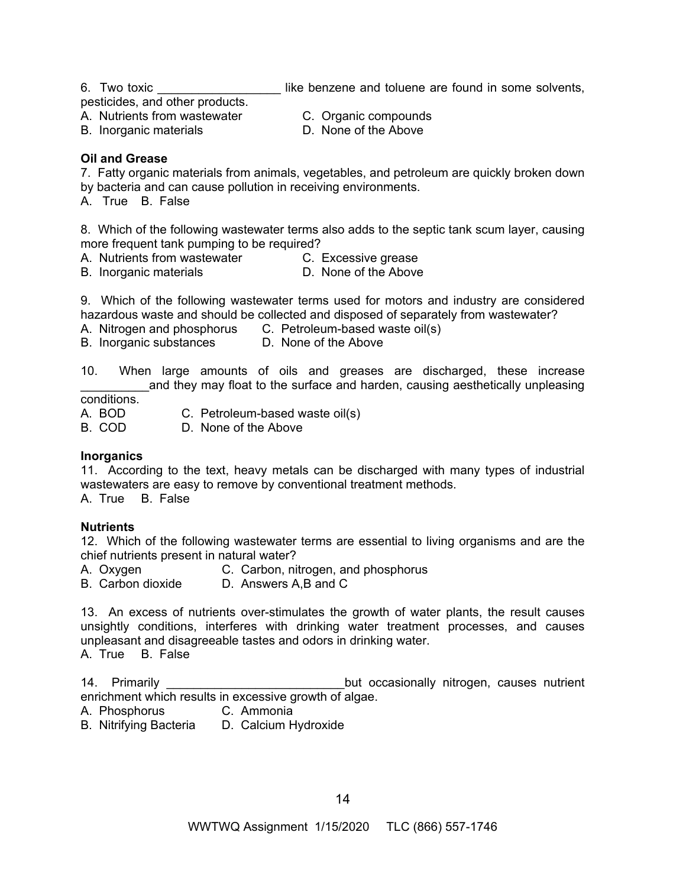6. Two toxic **Example 20** iike benzene and toluene are found in some solvents,

pesticides, and other products.

- A. Nutrients from wastewater C. Organic compounds<br>
B. Inorganic materials 
S. D. None of the Above
- B. Inorganic materials
- 
- 

# **Oil and Grease**

7. Fatty organic materials from animals, vegetables, and petroleum are quickly broken down by bacteria and can cause pollution in receiving environments.

A. True B. False

8. Which of the following wastewater terms also adds to the septic tank scum layer, causing more frequent tank pumping to be required?

- A. Nutrients from wastewater C. Excessive grease
	-
- B. Inorganic materials **D.** None of the Above

9. Which of the following wastewater terms used for motors and industry are considered hazardous waste and should be collected and disposed of separately from wastewater?

A. Nitrogen and phosphorus C. Petroleum-based waste oil(s)

B. Inorganic substances D. None of the Above

10. When large amounts of oils and greases are discharged, these increase and they may float to the surface and harden, causing aesthetically unpleasing

conditions.

A. BOD C. Petroleum-based waste oil(s)

B. COD D. None of the Above

#### **Inorganics**

11. According to the text, heavy metals can be discharged with many types of industrial wastewaters are easy to remove by conventional treatment methods.

A. True B. False

# **Nutrients**

12. Which of the following wastewater terms are essential to living organisms and are the chief nutrients present in natural water?

A. Oxygen C. Carbon, nitrogen, and phosphorus

B. Carbon dioxide D. Answers A,B and C

13. An excess of nutrients over-stimulates the growth of water plants, the result causes unsightly conditions, interferes with drinking water treatment processes, and causes unpleasant and disagreeable tastes and odors in drinking water.

A. True B. False

14. Primarily **Example 20** and the but occasionally nitrogen, causes nutrient enrichment which results in excessive growth of algae.

- A. Phosphorus C. Ammonia
- B. Nitrifying Bacteria D. Calcium Hydroxide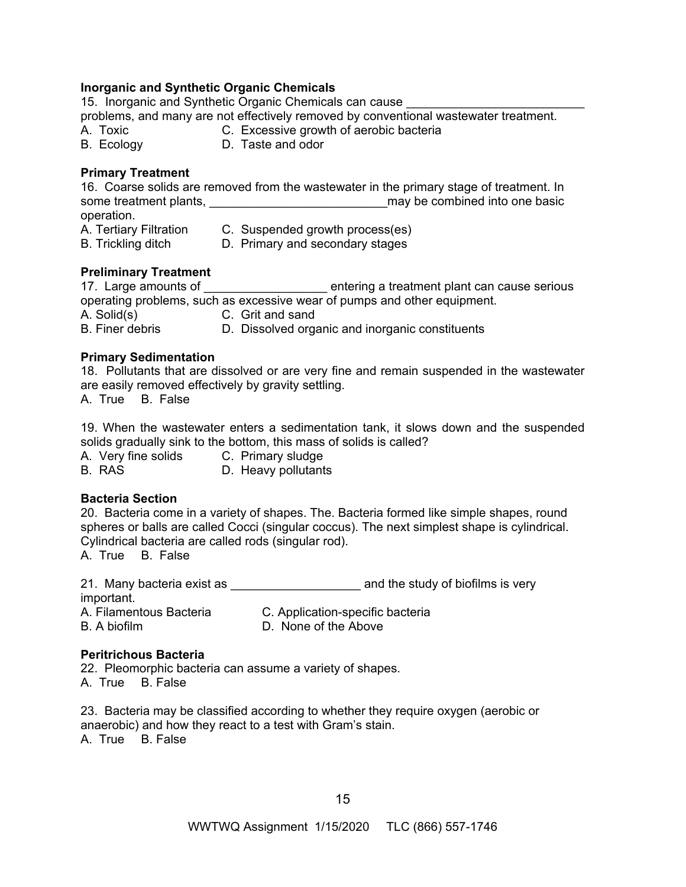# **Inorganic and Synthetic Organic Chemicals**

15. Inorganic and Synthetic Organic Chemicals can cause problems, and many are not effectively removed by conventional wastewater treatment.

- A. Toxic C. Excessive growth of aerobic bacteria
- B. Ecology D. Taste and odor

# **Primary Treatment**

16. Coarse solids are removed from the wastewater in the primary stage of treatment. In some treatment plants, \_\_\_\_\_\_\_\_\_\_\_\_\_\_\_\_\_\_\_\_\_\_\_\_\_\_may be combined into one basic operation.

A. Tertiary Filtration C. Suspended growth process(es)

B. Trickling ditch D. Primary and secondary stages

# **Preliminary Treatment**

17. Large amounts of \_\_\_\_\_\_\_\_\_\_\_\_\_\_\_\_\_\_\_\_\_ entering a treatment plant can cause serious operating problems, such as excessive wear of pumps and other equipment.

A. Solid(s) C. Grit and sand<br>B. Finer debris D. Dissolved org

D. Dissolved organic and inorganic constituents

# **Primary Sedimentation**

18. Pollutants that are dissolved or are very fine and remain suspended in the wastewater are easily removed effectively by gravity settling.

A. True B. False

19. When the wastewater enters a sedimentation tank, it slows down and the suspended solids gradually sink to the bottom, this mass of solids is called?

A. Very fine solids C. Primary sludge

B. RAS D. Heavy pollutants

# **Bacteria Section**

20. Bacteria come in a variety of shapes. The. Bacteria formed like simple shapes, round spheres or balls are called Cocci (singular coccus). The next simplest shape is cylindrical. Cylindrical bacteria are called rods (singular rod).

A. True B. False

21. Many bacteria exist as **Exercise 21.** Nany bacteria exist as important. A. Filamentous Bacteria C. Application-specific bacteria

B. A biofilm D. None of the Above

# **Peritrichous Bacteria**

22. Pleomorphic bacteria can assume a variety of shapes. A. True B. False

23. Bacteria may be classified according to whether they require oxygen (aerobic or anaerobic) and how they react to a test with Gram's stain. A. True B. False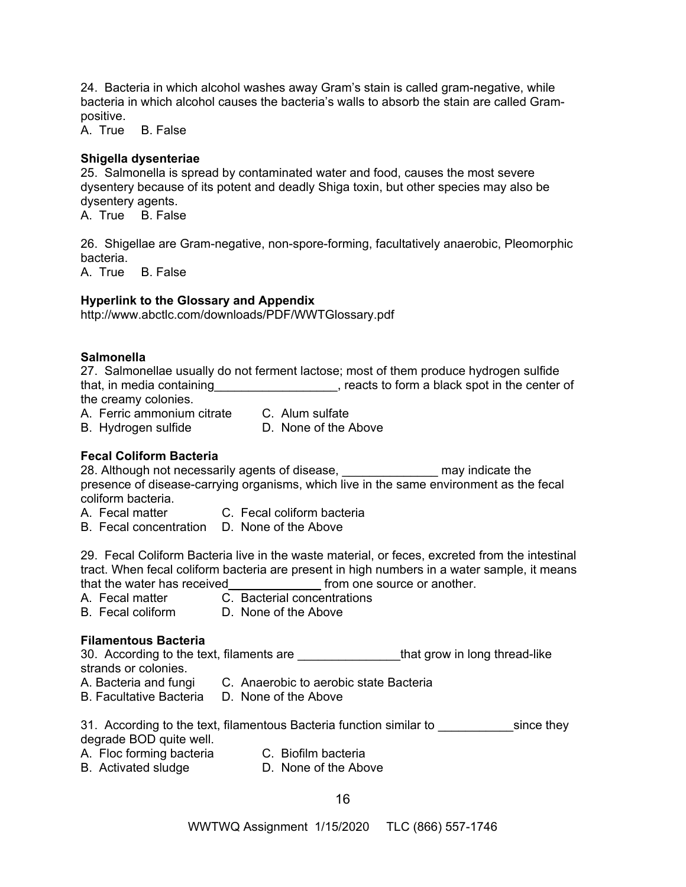24. Bacteria in which alcohol washes away Gram's stain is called gram-negative, while bacteria in which alcohol causes the bacteria's walls to absorb the stain are called Grampositive.

A. True B. False

# **Shigella dysenteriae**

25. Salmonella is spread by contaminated water and food, causes the most severe dysentery because of its potent and deadly Shiga toxin, but other species may also be dysentery agents.

A. True B. False

26. Shigellae are Gram-negative, non-spore-forming, facultatively anaerobic, Pleomorphic bacteria.

A. True B. False

# **Hyperlink to the Glossary and Appendix**

<http://www.abctlc.com/downloads/PDF/WWTGlossary.pdf>

## **Salmonella**

27. Salmonellae usually do not ferment lactose; most of them produce hydrogen sulfide that, in media containing\_\_\_\_\_\_\_\_\_\_\_\_\_\_\_\_\_\_\_, reacts to form a black spot in the center of the creamy colonies.

A. Ferric ammonium citrate C. Alum sulfate

B. Hydrogen sulfide D. None of the Above

# **Fecal Coliform Bacteria**

28. Although not necessarily agents of disease, **the contract of the may indicate the** presence of disease-carrying organisms, which live in the same environment as the fecal coliform bacteria.

- A. Fecal matter C. Fecal coliform bacteria
- B. Fecal concentration D. None of the Above

29. Fecal Coliform Bacteria live in the waste material, or feces, excreted from the intestinal tract. When fecal coliform bacteria are present in high numbers in a water sample, it means that the water has received \_\_\_\_\_\_\_\_\_\_\_\_\_\_\_\_\_ from one source or another.

- A. Fecal matter C. Bacterial concentrations
- B. Fecal coliform D. None of the Above

# **Filamentous Bacteria**

30. According to the text, filaments are **Example 20** that grow in long thread-like strands or colonies.

- A. Bacteria and fungi C. Anaerobic to aerobic state Bacteria
- B. Facultative Bacteria D. None of the Above

31. According to the text, filamentous Bacteria function similar to \_\_\_\_\_\_\_\_\_\_\_since they degrade BOD quite well.

- A. Floc forming bacteria C. Biofilm bacteria
- B. Activated sludge D. None of the Above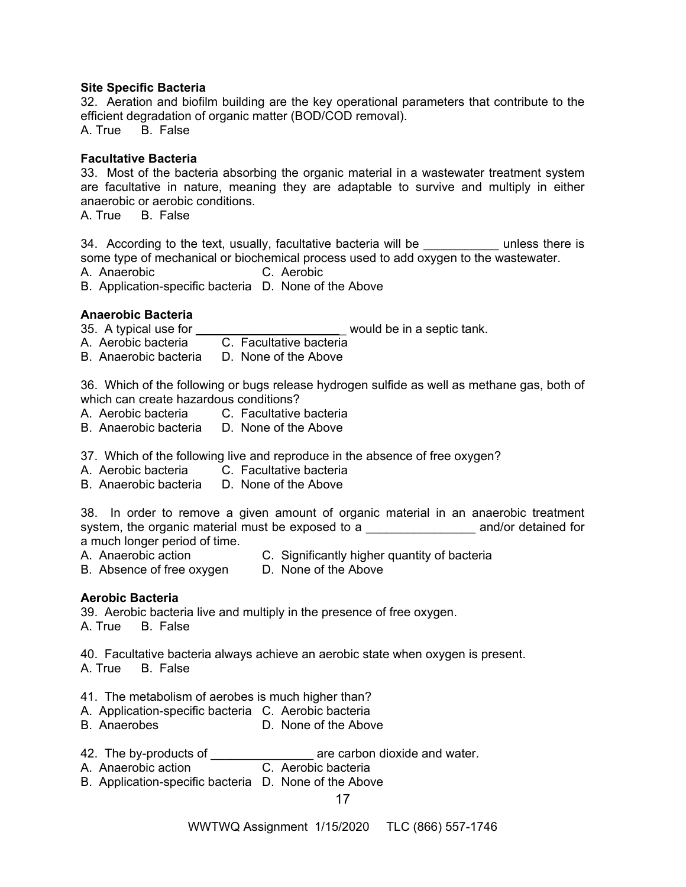#### **Site Specific Bacteria**

32. Aeration and biofilm building are the key operational parameters that contribute to the efficient degradation of organic matter (BOD/COD removal).

A. True B. False

# **Facultative Bacteria**

33. Most of the bacteria absorbing the organic material in a wastewater treatment system are facultative in nature, meaning they are adaptable to survive and multiply in either anaerobic or aerobic conditions.

A. True B. False

34. According to the text, usually, facultative bacteria will be exampless there is some type of mechanical or biochemical process used to add oxygen to the wastewater.

A. Anaerobic C. Aerobic

B. Application-specific bacteria D. None of the Above

# **Anaerobic Bacteria**

35. A typical use for \_\_\_\_\_\_\_\_\_\_\_\_\_\_\_\_\_\_\_\_\_\_\_\_\_\_\_\_ would be in a septic tank.

A. Aerobic bacteria C. Facultative bacteria

B. Anaerobic bacteria D. None of the Above

36. Which of the following or bugs release hydrogen sulfide as well as methane gas, both of which can create hazardous conditions?

- A. Aerobic bacteria C. Facultative bacteria
- B. Anaerobic bacteria D. None of the Above

37. Which of the following live and reproduce in the absence of free oxygen?

- A. Aerobic bacteria C. Facultative bacteria
- B. Anaerobic bacteria D. None of the Above

38. In order to remove a given amount of organic material in an anaerobic treatment system, the organic material must be exposed to a \_\_\_\_\_\_\_\_\_\_\_\_\_\_\_\_\_\_\_\_\_ and/or detained for a much longer period of time.

- A. Anaerobic action C. Significantly higher quantity of bacteria
- B. Absence of free oxygen D. None of the Above

# **Aerobic Bacteria**

39. Aerobic bacteria live and multiply in the presence of free oxygen. A. True B. False

40. Facultative bacteria always achieve an aerobic state when oxygen is present. A. True B. False

- 41. The metabolism of aerobes is much higher than?
- A. Application-specific bacteria C. Aerobic bacteria
- B. Anaerobes D. None of the Above
- 42. The by-products of \_\_\_\_\_\_\_\_\_\_\_\_\_\_\_\_\_\_\_\_ are carbon dioxide and water.
- A. Anaerobic action C. Aerobic bacteria
- B. Application-specific bacteria D. None of the Above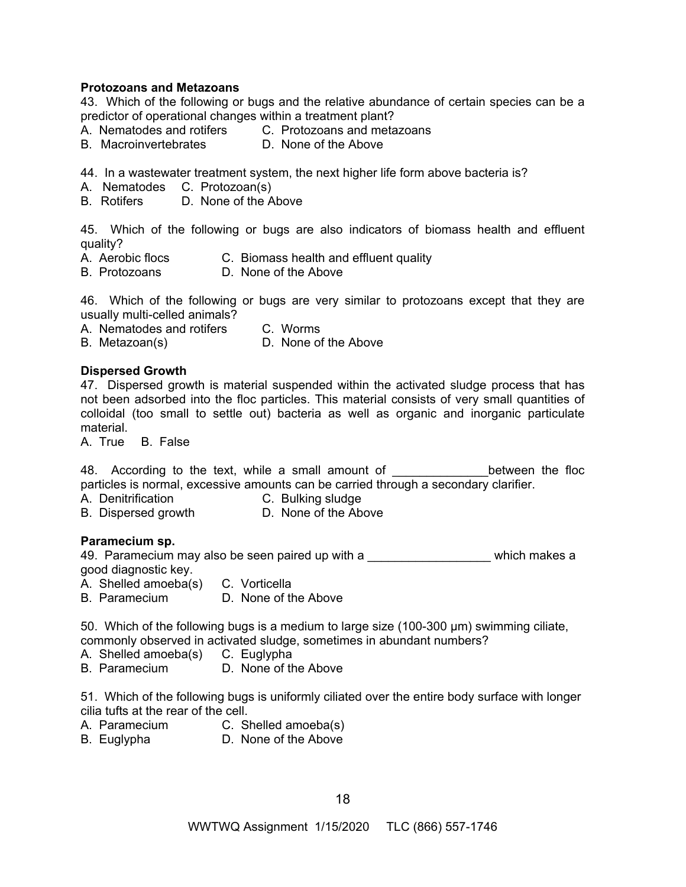#### **Protozoans and Metazoans**

43. Which of the following or bugs and the relative abundance of certain species can be a predictor of operational changes within a treatment plant?

- A. Nematodes and rotifers C. Protozoans and metazoans<br>B. Macroinvertebrates D. None of the Above
- B. Macroinvertebrates

44. In a wastewater treatment system, the next higher life form above bacteria is?

- A. Nematodes C. Protozoan(s)
- B. Rotifers D. None of the Above

45. Which of the following or bugs are also indicators of biomass health and effluent quality?

- A. Aerobic flocs C. Biomass health and effluent quality
- B. Protozoans D. None of the Above

46. Which of the following or bugs are very similar to protozoans except that they are usually multi-celled animals?

A. Nematodes and rotifers C. Worms

B. Metazoan(s) D. None of the Above

#### **Dispersed Growth**

47. Dispersed growth is material suspended within the activated sludge process that has not been adsorbed into the floc particles. This material consists of very small quantities of colloidal (too small to settle out) bacteria as well as organic and inorganic particulate material.

A. True B. False

48. According to the text, while a small amount of The Supersection the floc particles is normal, excessive amounts can be carried through a secondary clarifier.

- A. Denitrification C. Bulking sludge
- B. Dispersed growth D. None of the Above

#### **Paramecium sp.**

49. Paramecium may also be seen paired up with a \_\_\_\_\_\_\_\_\_\_\_\_\_\_\_\_\_\_\_\_ which makes a good diagnostic key.

A. Shelled amoeba(s) C. Vorticella

B. Paramecium D. None of the Above

50. Which of the following bugs is a medium to large size (100-300 μm) swimming ciliate, commonly observed in activated sludge, sometimes in abundant numbers?

- A. Shelled amoeba(s) C. Euglypha
- B. Paramecium D. None of the Above

51. Which of the following bugs is uniformly ciliated over the entire body surface with longer cilia tufts at the rear of the cell.

- A. Paramecium C. Shelled amoeba(s)
- B. Euglypha D. None of the Above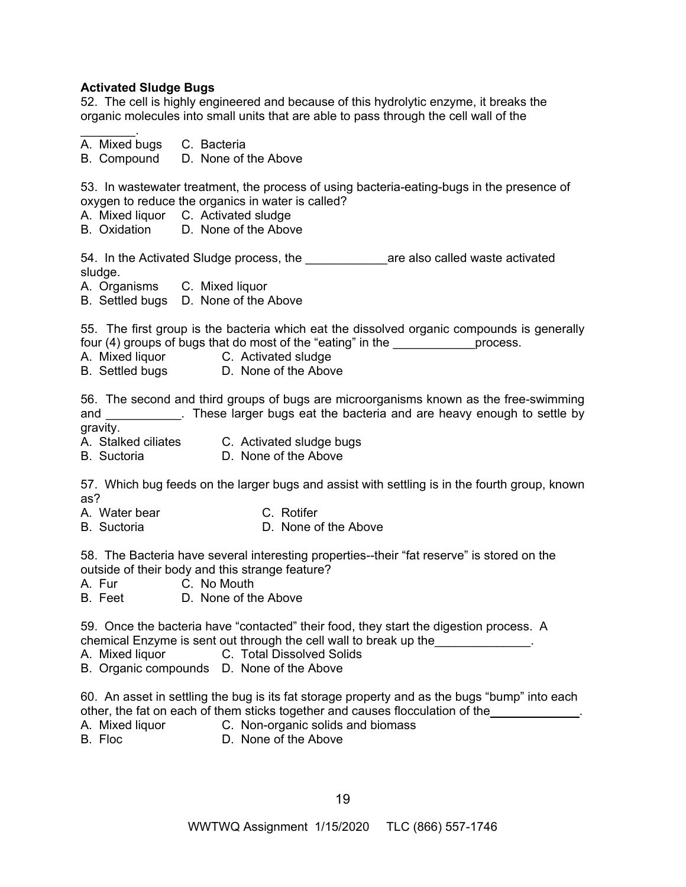# **Activated Sludge Bugs**

52. The cell is highly engineered and because of this hydrolytic enzyme, it breaks the organic molecules into small units that are able to pass through the cell wall of the

| A. Mixed bugs C. Bacteria<br>B. Compound D. None of the Above                                                                                                                                                                                                                                           |
|---------------------------------------------------------------------------------------------------------------------------------------------------------------------------------------------------------------------------------------------------------------------------------------------------------|
| 53. In wastewater treatment, the process of using bacteria-eating-bugs in the presence of<br>oxygen to reduce the organics in water is called?<br>A. Mixed liquor C. Activated sludge<br>B. Oxidation D. None of the Above                                                                              |
| 54. In the Activated Sludge process, the _______________are also called waste activated<br>sludge.<br>A. Organisms C. Mixed liquor                                                                                                                                                                      |
| B. Settled bugs D. None of the Above                                                                                                                                                                                                                                                                    |
| 55. The first group is the bacteria which eat the dissolved organic compounds is generally<br>four (4) groups of bugs that do most of the "eating" in the _______________process.<br>A. Mixed liquor C. Activated sludge<br>B. Settled bugs D. None of the Above                                        |
| 56. The second and third groups of bugs are microorganisms known as the free-swimming<br>and ____________. These larger bugs eat the bacteria and are heavy enough to settle by<br>gravity.                                                                                                             |
| A. Stalked ciliates    C. Activated sludge bugs<br>B. Suctoria <b>D. None of the Above</b>                                                                                                                                                                                                              |
| 57. Which bug feeds on the larger bugs and assist with settling is in the fourth group, known<br>as?                                                                                                                                                                                                    |
| A. Water bear C. Rotifer<br>D. None of the Above<br><b>B.</b> Suctoria                                                                                                                                                                                                                                  |
| 58. The Bacteria have several interesting properties--their "fat reserve" is stored on the<br>outside of their body and this strange feature?<br>A. Fur C. No Mouth<br>B. Feet D. None of the Above                                                                                                     |
| 59. Once the bacteria have "contacted" their food, they start the digestion process. A<br>chemical Enzyme is sent out through the cell wall to break up the <b>contrary the contrary of the contrary</b> .<br>C. Total Dissolved Solids<br>A. Mixed liquor<br>B. Organic compounds D. None of the Above |
| 60. An asset in settling the bug is its fat storage property and as the bugs "bump" into each<br>other, the fat on each of them sticks together and causes flocculation of the______________<br>C. Non-organic solids and biomass<br>A. Mixed liquor<br>B. Floc<br>D. None of the Above                 |
|                                                                                                                                                                                                                                                                                                         |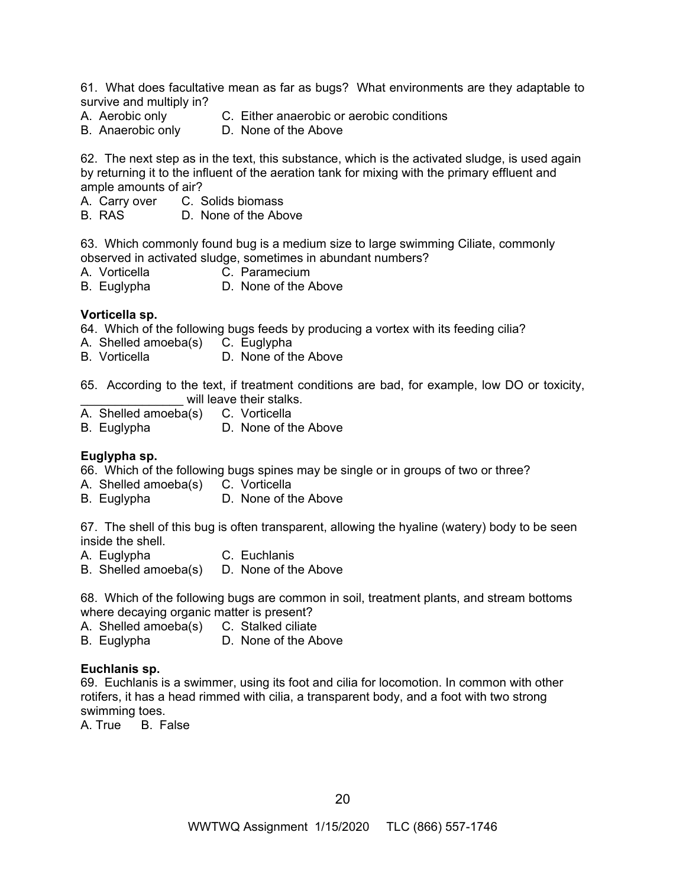61. What does facultative mean as far as bugs? What environments are they adaptable to survive and multiply in?

- A. Aerobic only C. Either anaerobic or aerobic conditions
- B. Anaerobic only D. None of the Above

62. The next step as in the text, this substance, which is the activated sludge, is used again by returning it to the influent of the aeration tank for mixing with the primary effluent and ample amounts of air?

- A. Carry over C. Solids biomass
- B. RAS D. None of the Above

63. Which commonly found bug is a medium size to large swimming Ciliate, commonly observed in activated sludge, sometimes in abundant numbers?

- A. Vorticella C. Paramecium
- B. Euglypha D. None of the Above

#### **Vorticella sp.**

64. Which of the following bugs feeds by producing a vortex with its feeding cilia?

- A. Shelled amoeba(s) C. Euglypha
- B. Vorticella **D.** None of the Above
- 65. According to the text, if treatment conditions are bad, for example, low DO or toxicity, will leave their stalks.
- A. Shelled amoeba(s) C. Vorticella
- B. Euglypha D. None of the Above

#### **Euglypha sp.**

66. Which of the following bugs spines may be single or in groups of two or three?

- A. Shelled amoeba(s) C. Vorticella
- B. Euglypha D. None of the Above

67. The shell of this bug is often transparent, allowing the hyaline (watery) body to be seen inside the shell.

- A. Euglypha C. Euchlanis
- B. Shelled amoeba(s) D. None of the Above

68. Which of the following bugs are common in soil, treatment plants, and stream bottoms where decaying organic matter is present?

- A. Shelled amoeba(s) C. Stalked ciliate
- B. Euglypha D. None of the Above

#### **Euchlanis sp.**

69. Euchlanis is a swimmer, using its foot and cilia for locomotion. In common with other rotifers, it has a head rimmed with cilia, a transparent body, and a foot with two strong swimming toes.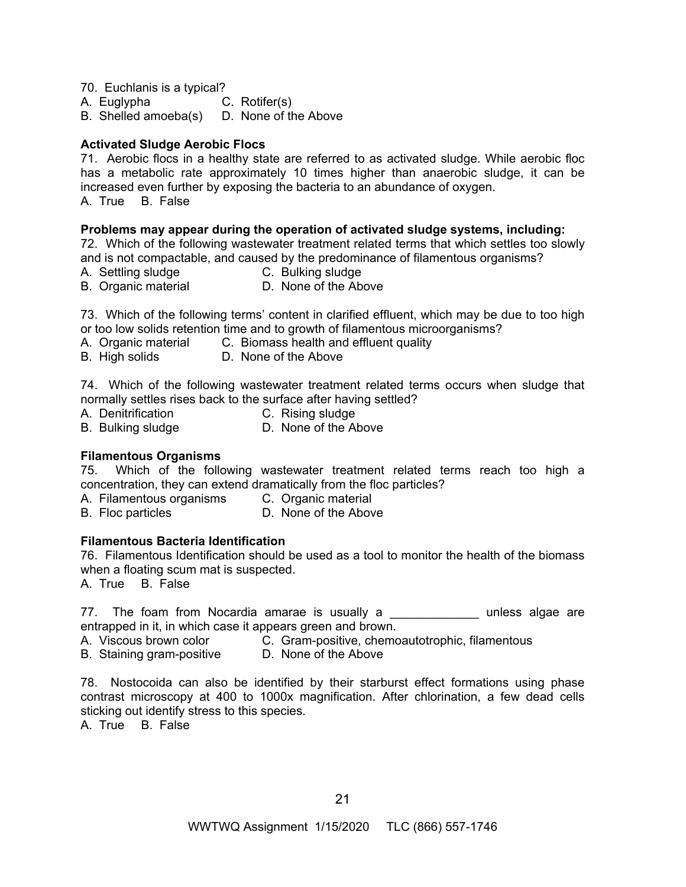70. Euchlanis is a typical?

A. Euglypha C. Rotifer(s)

B. Shelled amoeba(s) D. None of the Above

# **Activated Sludge Aerobic Flocs**

71. Aerobic flocs in a healthy state are referred to as activated sludge. While aerobic floc has a metabolic rate approximately 10 times higher than anaerobic sludge, it can be increased even further by exposing the bacteria to an abundance of oxygen. A. True B. False

# **Problems may appear during the operation of activated sludge systems, including:**

72. Which of the following wastewater treatment related terms that which settles too slowly and is not compactable, and caused by the predominance of filamentous organisms?

- A. Settling sludge C. Bulking sludge
- B. Organic material D. None of the Above

73. Which of the following terms' content in clarified effluent, which may be due to too high or too low solids retention time and to growth of filamentous microorganisms?

- A. Organic material C. Biomass health and effluent quality
- B. High solids D. None of the Above

74. Which of the following wastewater treatment related terms occurs when sludge that normally settles rises back to the surface after having settled?

- A. Denitrification C. Rising sludge
- B. Bulking sludge **D. None of the Above**

#### **Filamentous Organisms**

75. Which of the following wastewater treatment related terms reach too high a concentration, they can extend dramatically from the floc particles?

- A. Filamentous organisms C. Organic material
- B. Floc particles D. None of the Above

# **Filamentous Bacteria Identification**

76. Filamentous Identification should be used as a tool to monitor the health of the biomass when a floating scum mat is suspected.

A. True B. False

77. The foam from Nocardia amarae is usually a \_\_\_\_\_\_\_\_\_\_\_\_\_\_ unless algae are entrapped in it, in which case it appears green and brown.

- A. Viscous brown color C. Gram-positive, chemoautotrophic, filamentous
- B. Staining gram-positive D. None of the Above

78. Nostocoida can also be identified by their starburst effect formations using phase contrast microscopy at 400 to 1000x magnification. After chlorination, a few dead cells sticking out identify stress to this species.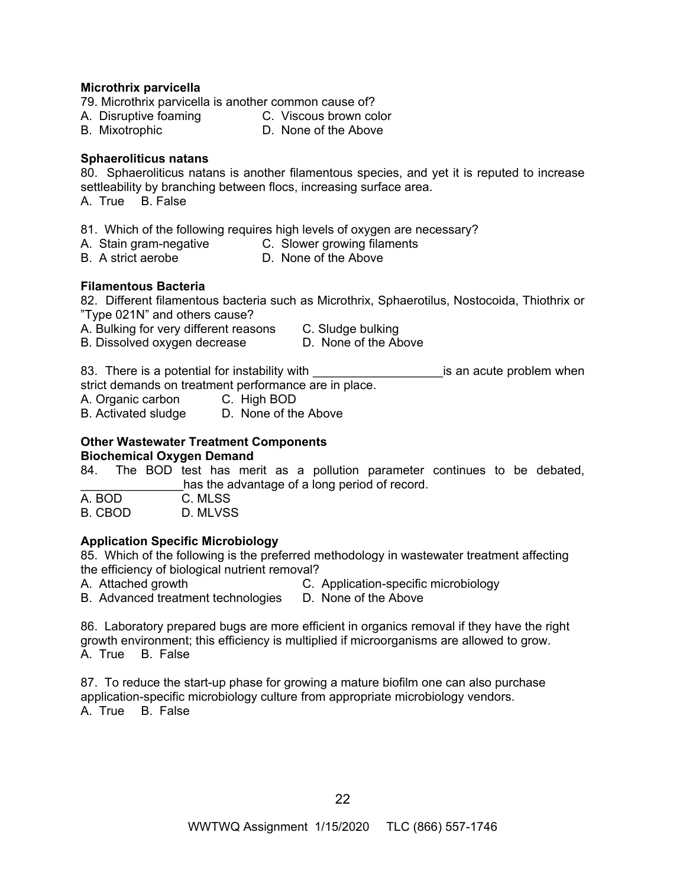#### **Microthrix parvicella**

- 79. Microthrix parvicella is another common cause of?
- A. Disruptive foaming C. Viscous brown color
- B. Mixotrophic D. None of the Above

# **Sphaeroliticus natans**

80. Sphaeroliticus natans is another filamentous species, and yet it is reputed to increase settleability by branching between flocs, increasing surface area.

A. True B. False

- 81. Which of the following requires high levels of oxygen are necessary?
- A. Stain gram-negative C. Slower growing filaments
- B. A strict aerobe D. None of the Above

## **Filamentous Bacteria**

82. Different filamentous bacteria such as Microthrix, Sphaerotilus, Nostocoida, Thiothrix or "Type 021N" and others cause?

A. Bulking for very different reasons C. Sludge bulking<br>B. Dissolved oxvgen decrease B. None of the Above

B. Dissolved oxygen decrease

83. There is a potential for instability with the same is an acute problem when strict demands on treatment performance are in place.

A. Organic carbon C. High BOD

B. Activated sludge D. None of the Above

#### **Other Wastewater Treatment Components Biochemical Oxygen Demand**

84. The BOD test has merit as a pollution parameter continues to be debated, has the advantage of a long period of record.

| A. BOD    | C. MLSS |
|-----------|---------|
| ----<br>- |         |

B. CBOD D. MLVSS

# **Application Specific Microbiology**

85. Which of the following is the preferred methodology in wastewater treatment affecting the efficiency of biological nutrient removal?

A. Attached growth C. Application-specific microbiology

B. Advanced treatment technologies D. None of the Above

86. Laboratory prepared bugs are more efficient in organics removal if they have the right growth environment; this efficiency is multiplied if microorganisms are allowed to grow. A. True B. False

87. To reduce the start-up phase for growing a mature biofilm one can also purchase application-specific microbiology culture from appropriate microbiology vendors. A. True B. False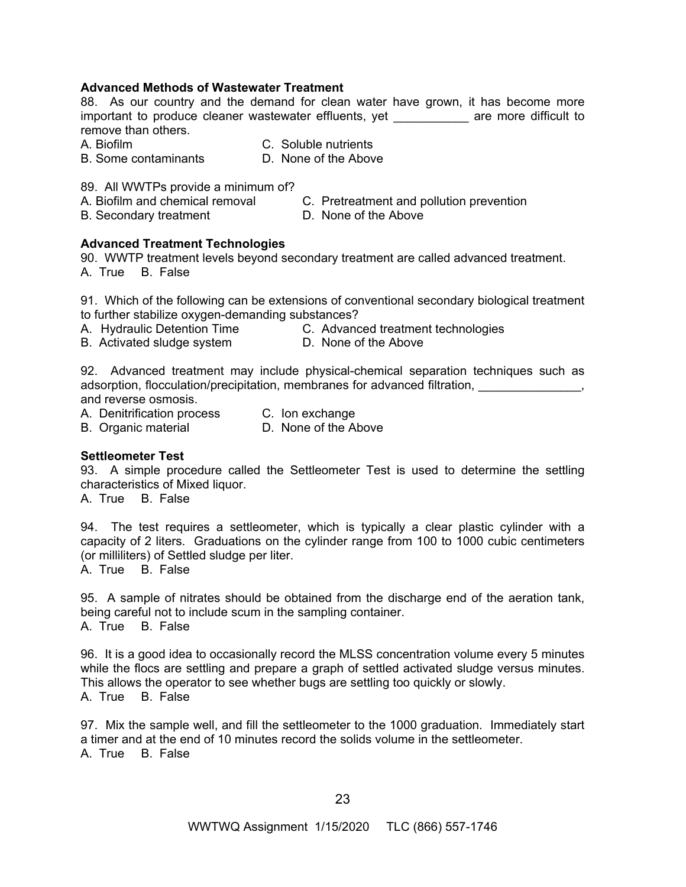# **Advanced Methods of Wastewater Treatment**

88. As our country and the demand for clean water have grown, it has become more important to produce cleaner wastewater effluents, yet \_\_\_\_\_\_\_\_\_\_\_ are more difficult to remove than others.

A. Biofilm C. Soluble nutrients

B. Some contaminants D. None of the Above

89. All WWTPs provide a minimum of?

- A. Biofilm and chemical removal C. Pretreatment and pollution prevention
- B. Secondary treatment D. None of the Above
- 

# **Advanced Treatment Technologies**

90. WWTP treatment levels beyond secondary treatment are called advanced treatment. A. True B. False

91. Which of the following can be extensions of conventional secondary biological treatment to further stabilize oxygen-demanding substances?

- A. Hydraulic Detention Time **C. Advanced treatment technologies**
- B. Activated sludge system **D. None of the Above**

92. Advanced treatment may include physical-chemical separation techniques such as adsorption, flocculation/precipitation, membranes for advanced filtration,  $\blacksquare$ and reverse osmosis.

A. Denitrification process C. Ion exchange

B. Organic material D. None of the Above

#### **Settleometer Test**

93. A simple procedure called the Settleometer Test is used to determine the settling characteristics of Mixed liquor.

A. True B. False

94. The test requires a settleometer, which is typically a clear plastic cylinder with a capacity of 2 liters. Graduations on the cylinder range from 100 to 1000 cubic centimeters (or milliliters) of Settled sludge per liter.

A. True B. False

95. A sample of nitrates should be obtained from the discharge end of the aeration tank, being careful not to include scum in the sampling container. A. True B. False

96. It is a good idea to occasionally record the MLSS concentration volume every 5 minutes while the flocs are settling and prepare a graph of settled activated sludge versus minutes. This allows the operator to see whether bugs are settling too quickly or slowly. A. True B. False

97. Mix the sample well, and fill the settleometer to the 1000 graduation. Immediately start a timer and at the end of 10 minutes record the solids volume in the settleometer. A. True B. False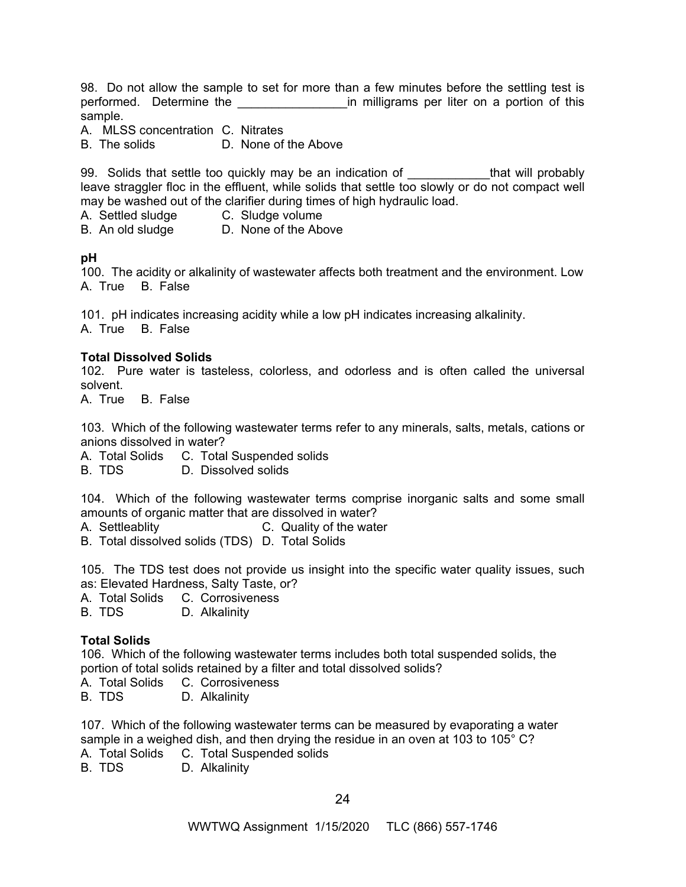98. Do not allow the sample to set for more than a few minutes before the settling test is performed. Determine the \_\_\_\_\_\_\_\_\_\_\_\_\_\_\_\_\_\_\_\_\_in milligrams per liter on a portion of this sample.

A. MLSS concentration C. Nitrates

B. The solids D. None of the Above

99. Solids that settle too quickly may be an indication of The Letthat will probably leave straggler floc in the effluent, while solids that settle too slowly or do not compact well may be washed out of the clarifier during times of high hydraulic load.

A. Settled sludge C. Sludge volume

B. An old sludge D. None of the Above

**pH** 

100. The acidity or alkalinity of wastewater affects both treatment and the environment. Low A. True B. False

101. pH indicates increasing acidity while a low pH indicates increasing alkalinity. A. True B. False

## **Total Dissolved Solids**

102. Pure water is tasteless, colorless, and odorless and is often called the universal solvent.

A. True B. False

103. Which of the following wastewater terms refer to any minerals, salts, metals, cations or anions dissolved in water?

A. Total Solids C. Total Suspended solids

B. TDS D. Dissolved solids

104. Which of the following wastewater terms comprise inorganic salts and some small amounts of organic matter that are dissolved in water?

A. Settleablity C. Quality of the water

B. Total dissolved solids (TDS) D. Total Solids

105. The TDS test does not provide us insight into the specific water quality issues, such as: Elevated Hardness, Salty Taste, or?

A. Total Solids C. Corrosiveness

B. TDS D. Alkalinity

# **Total Solids**

106. Which of the following wastewater terms includes both total suspended solids, the portion of total solids retained by a filter and total dissolved solids?

A. Total Solids C. Corrosiveness

B. TDS D. Alkalinity

107. Which of the following wastewater terms can be measured by evaporating a water sample in a weighed dish, and then drying the residue in an oven at 103 to 105° C?

- A. Total Solids C. Total Suspended solids
- B. TDS D. Alkalinity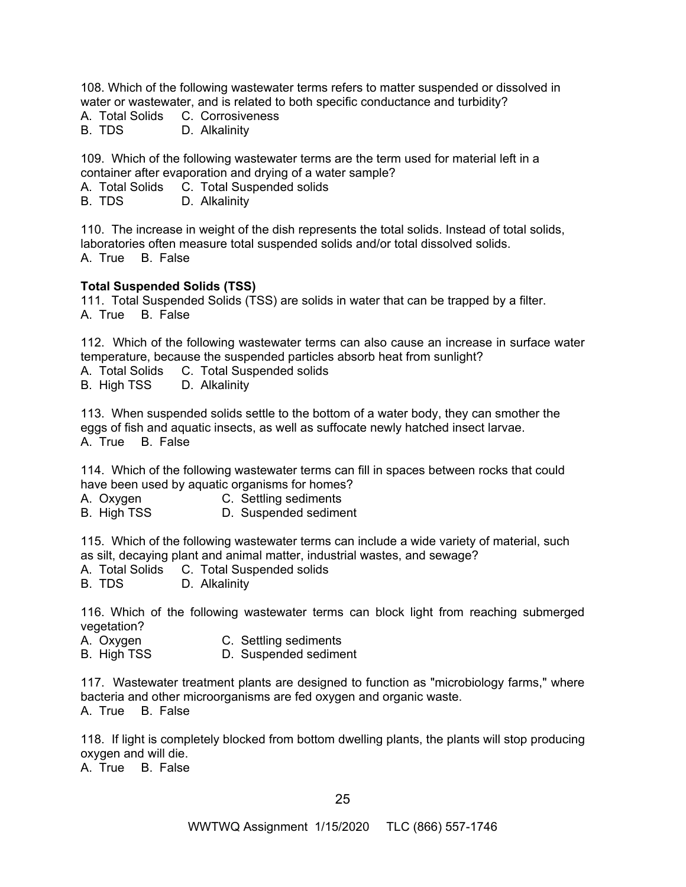108. Which of the following wastewater terms refers to matter suspended or dissolved in water or wastewater, and is related to both specific conductance and turbidity?

A. Total Solids C. Corrosiveness<br>B. TDS B. Alkalinity

D. Alkalinity

109. Which of the following wastewater terms are the term used for material left in a container after evaporation and drying of a water sample?

A. Total Solids C. Total Suspended solids

B. TDS D. Alkalinity

110. The increase in weight of the dish represents the total solids. Instead of total solids, laboratories often measure total suspended solids and/or total dissolved solids. A. True B. False

# **Total Suspended Solids (TSS)**

111. Total Suspended Solids (TSS) are solids in water that can be trapped by a filter. A. True B. False

112. Which of the following wastewater terms can also cause an increase in surface water temperature, because the suspended particles absorb heat from sunlight?

A. Total Solids C. Total Suspended solids

B. High TSS D. Alkalinity

113. When suspended solids settle to the bottom of a water body, they can smother the eggs of fish and aquatic insects, as well as suffocate newly hatched insect larvae. A. True B. False

114. Which of the following wastewater terms can fill in spaces between rocks that could have been used by aquatic organisms for homes?

A. Oxygen C. Settling sediments

B. High TSS D. Suspended sediment

115. Which of the following wastewater terms can include a wide variety of material, such as silt, decaying plant and animal matter, industrial wastes, and sewage?

A. Total Solids C. Total Suspended solids

B. TDS D. Alkalinity

116. Which of the following wastewater terms can block light from reaching submerged vegetation?

A. Oxygen C. Settling sediments

B. High TSS D. Suspended sediment

117. Wastewater treatment plants are designed to function as "microbiology farms," where bacteria and other microorganisms are fed oxygen and organic waste.

A. True B. False

118. If light is completely blocked from bottom dwelling plants, the plants will stop producing oxygen and will die.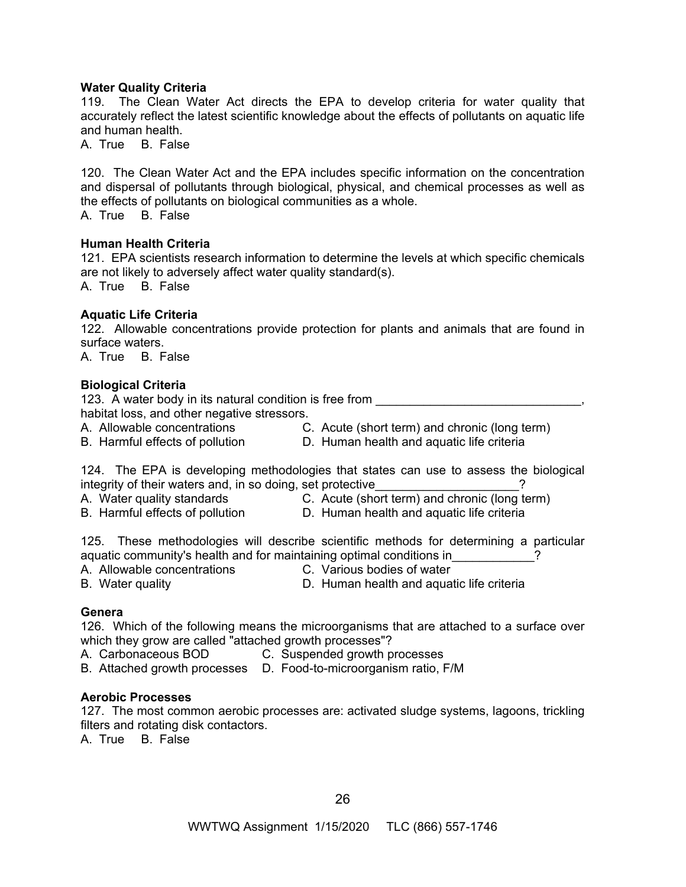#### **Water Quality Criteria**

119. The Clean Water Act directs the EPA to develop criteria for water quality that accurately reflect the latest scientific knowledge about the effects of pollutants on aquatic life and human health.

A. True B. False

120. The Clean Water Act and the EPA includes specific information on the concentration and dispersal of pollutants through biological, physical, and chemical processes as well as the effects of pollutants on biological communities as a whole.

A. True B. False

## **Human Health Criteria**

121. EPA scientists research information to determine the levels at which specific chemicals are not likely to adversely affect water quality standard(s).

A. True B. False

## **Aquatic Life Criteria**

122. Allowable concentrations provide protection for plants and animals that are found in surface waters.

A. True B. False

## **Biological Criteria**

123. A water body in its natural condition is free from **water** and the matter of the state of the state of the state of the state of the state of the state of the state of the state of the state of the state of the state habitat loss, and other negative stressors. A. Allowable concentrations C. Acute (short term) and chronic (long term)

- 
- 
- B. Harmful effects of pollution D. Human health and aquatic life criteria

124. The EPA is developing methodologies that states can use to assess the biological integrity of their waters and, in so doing, set protective  $\sim$  .

- 
- A. Water quality standards C. Acute (short term) and chronic (long term)
- 
- B. Harmful effects of pollution **D. Human health and aquatic life criteria**

125. These methodologies will describe scientific methods for determining a particular aquatic community's health and for maintaining optimal conditions in  $\overline{a}$ 

A. Allowable concentrations C. Various bodies of water

B. Water quality D. Human health and aquatic life criteria

#### **Genera**

126. Which of the following means the microorganisms that are attached to a surface over which they grow are called "attached growth processes"?

A. Carbonaceous BOD C. Suspended growth processes

B. Attached growth processes D.Food-to-microorganism ratio, F/M

#### **Aerobic Processes**

127. The most common aerobic processes are: activated sludge systems, lagoons, trickling filters and rotating disk contactors.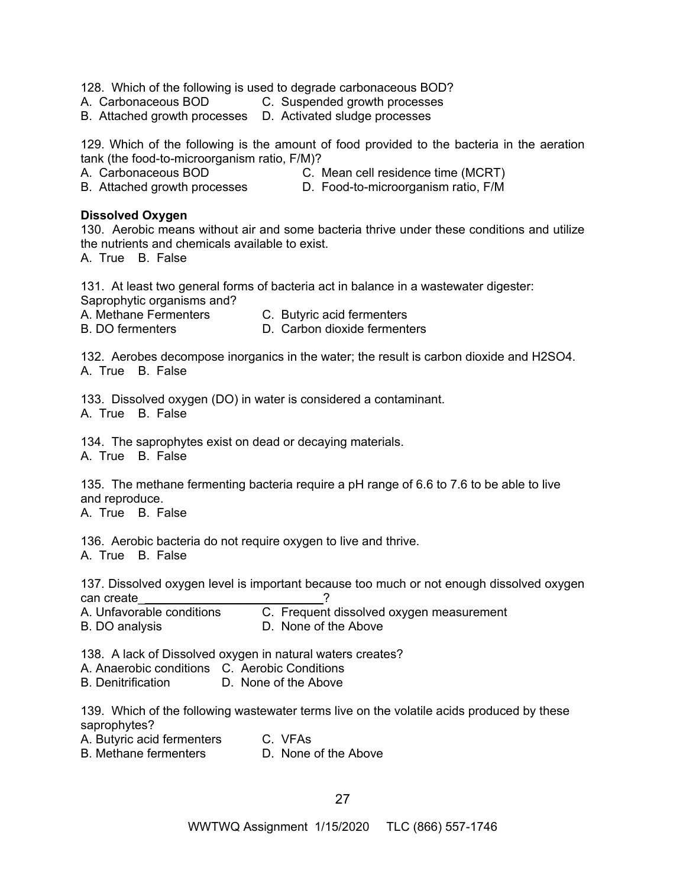128. Which of the following is used to degrade carbonaceous BOD?

- A. Carbonaceous BOD C. Suspended growth processes
- B. Attached growth processes D. Activated sludge processes

129. Which of the following is the amount of food provided to the bacteria in the aeration tank (the food-to-microorganism ratio, F/M)?

A. Carbonaceous BOD C. Mean cell residence time (MCRT)

B. Attached growth processes D.Food-to-microorganism ratio, F/M

#### **Dissolved Oxygen**

130. Aerobic means without air and some bacteria thrive under these conditions and utilize the nutrients and chemicals available to exist.

A. True B. False

131. At least two general forms of bacteria act in balance in a wastewater digester: Saprophytic organisms and?

A. Methane Fermenters C. Butyric acid fermenters

B. DO fermenters **D.** Carbon dioxide fermenters

132. Aerobes decompose inorganics in the water; the result is carbon dioxide and H2SO4. A. True B. False

133. Dissolved oxygen (DO) in water is considered a contaminant.

A. True B. False

134. The saprophytes exist on dead or decaying materials.

A. True B. False

135. The methane fermenting bacteria require a pH range of 6.6 to 7.6 to be able to live and reproduce.

A. True B. False

136. Aerobic bacteria do not require oxygen to live and thrive.

A. True B. False

137. Dissolved oxygen level is important because too much or not enough dissolved oxygen can create\_\_\_\_\_\_\_\_\_\_\_\_\_\_\_\_\_\_\_\_\_\_\_\_\_\_\_?

C. Frequent dissolved oxygen measurement B. DO analysis D. None of the Above

138. A lack of Dissolved oxygen in natural waters creates?

A. Anaerobic conditions C. Aerobic Conditions

B. Denitrification D. None of the Above

139. Which of the following wastewater terms live on the volatile acids produced by these saprophytes?

| A. Butyric acid fermenters   | C. VFAs              |
|------------------------------|----------------------|
| <b>B. Methane fermenters</b> | D. None of the Above |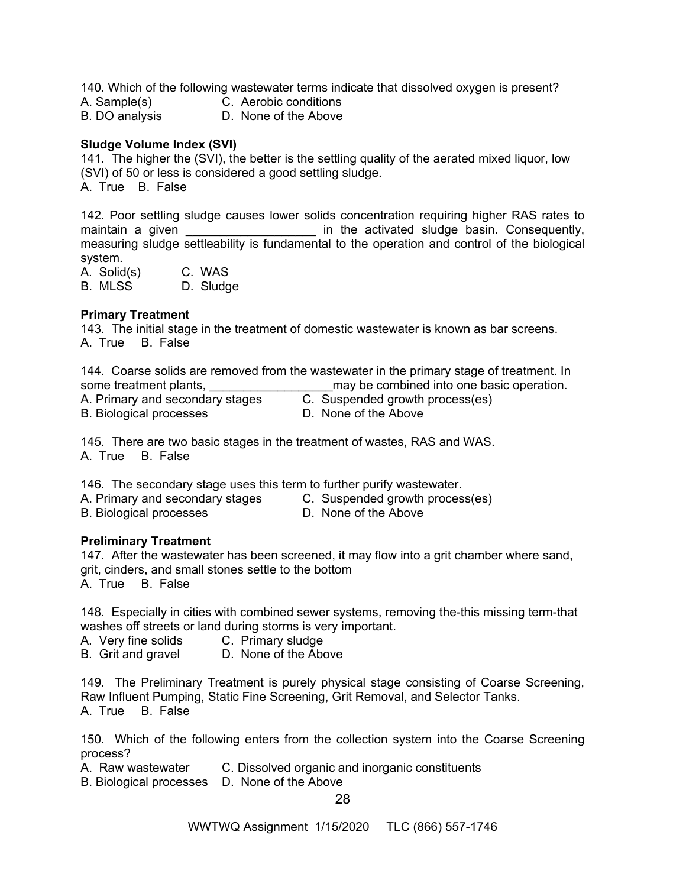140. Which of the following wastewater terms indicate that dissolved oxygen is present?

A. Sample(s) C. Aerobic conditions

B. DO analysis D. None of the Above

# **Sludge Volume Index (SVI)**

141. The higher the (SVI), the better is the settling quality of the aerated mixed liquor, low (SVI) of 50 or less is considered a good settling sludge. A. True B. False

142. Poor settling sludge causes lower solids concentration requiring higher RAS rates to maintain a given \_\_\_\_\_\_\_\_\_\_\_\_\_\_\_\_\_\_\_\_\_ in the activated sludge basin. Consequently, measuring sludge settleability is fundamental to the operation and control of the biological system.

A. Solid(s) C. WAS

B. MLSS D. Sludge

# **Primary Treatment**

143. The initial stage in the treatment of domestic wastewater is known as bar screens. A. True B. False

144. Coarse solids are removed from the wastewater in the primary stage of treatment. In some treatment plants, \_\_\_\_\_\_\_\_\_\_\_\_\_\_\_\_\_\_may be combined into one basic operation. A. Primary and secondary stages C. Suspended growth process(es)<br>B. Biological processes B. None of the Above B. Biological processes

145. There are two basic stages in the treatment of wastes, RAS and WAS. A. True B. False

146. The secondary stage uses this term to further purify wastewater.

A. Primary and secondary stages C. Suspended growth process(es)

B. Biological processes D. None of the Above

# **Preliminary Treatment**

147. After the wastewater has been screened, it may flow into a grit chamber where sand, grit, cinders, and small stones settle to the bottom A. True B. False

148. Especially in cities with combined sewer systems, removing the-this missing term-that washes off streets or land during storms is very important.

A. Very fine solids C. Primary sludge

B. Grit and gravel D. None of the Above

149. The Preliminary Treatment is purely physical stage consisting of Coarse Screening, Raw Influent Pumping, Static Fine Screening, Grit Removal, and Selector Tanks. A. True B. False

150. Which of the following enters from the collection system into the Coarse Screening process?

A. Raw wastewater C. Dissolved organic and inorganic constituents

B. Biological processes D. None of the Above

28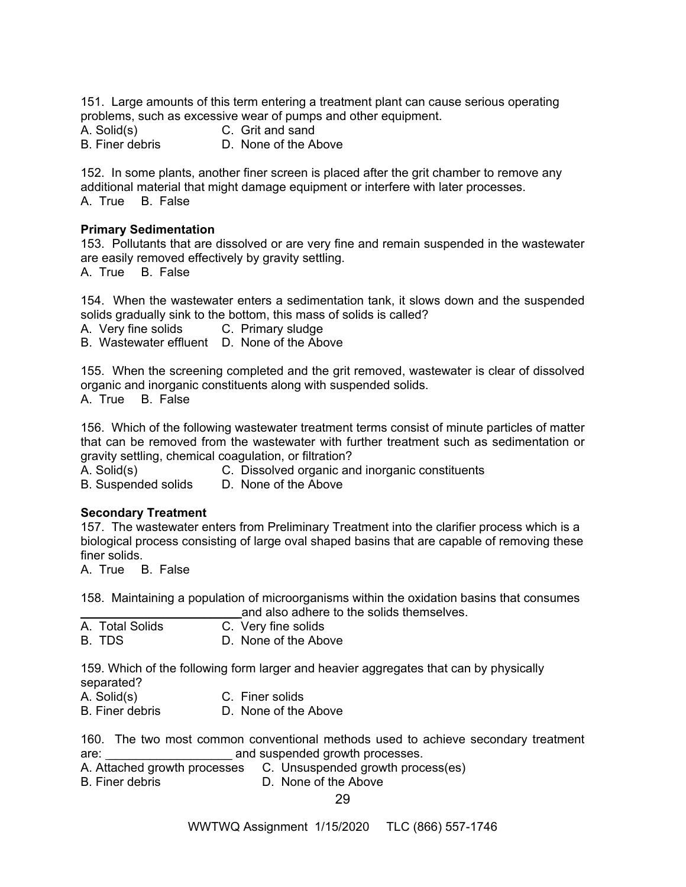151. Large amounts of this term entering a treatment plant can cause serious operating problems, such as excessive wear of pumps and other equipment.

A. Solid(s) C. Grit and sand<br>B. Finer debris D. None of the Al

D. None of the Above

152. In some plants, another finer screen is placed after the grit chamber to remove any additional material that might damage equipment or interfere with later processes. A. True B. False

#### **Primary Sedimentation**

153. Pollutants that are dissolved or are very fine and remain suspended in the wastewater are easily removed effectively by gravity settling.

A. True B. False

154. When the wastewater enters a sedimentation tank, it slows down and the suspended solids gradually sink to the bottom, this mass of solids is called?

A. Very fine solids C. Primary sludge

B. Wastewater effluent D. None of the Above

155. When the screening completed and the grit removed, wastewater is clear of dissolved organic and inorganic constituents along with suspended solids. A. True B. False

156. Which of the following wastewater treatment terms consist of minute particles of matter that can be removed from the wastewater with further treatment such as sedimentation or gravity settling, chemical coagulation, or filtration?

A. Solid(s) C. Dissolved organic and inorganic constituents B. Suspended solids D. None of the Above

# **Secondary Treatment**

157. The wastewater enters from Preliminary Treatment into the clarifier process which is a biological process consisting of large oval shaped basins that are capable of removing these finer solids.

A. True B. False

158. Maintaining a population of microorganisms within the oxidation basins that consumes and also adhere to the solids themselves.

|                 | and also adhere to   |
|-----------------|----------------------|
| A. Total Solids | C. Very fine solids  |
| B. TDS          | D. None of the Above |

159. Which of the following form larger and heavier aggregates that can by physically separated?

A. Solid(s) C. Finer solids

B. Finer debris D. None of the Above

160. The two most common conventional methods used to achieve secondary treatment are: etc. and suspended growth processes.

- A. Attached growth processes C. Unsuspended growth process(es)
- B. Finer debris D. None of the Above

29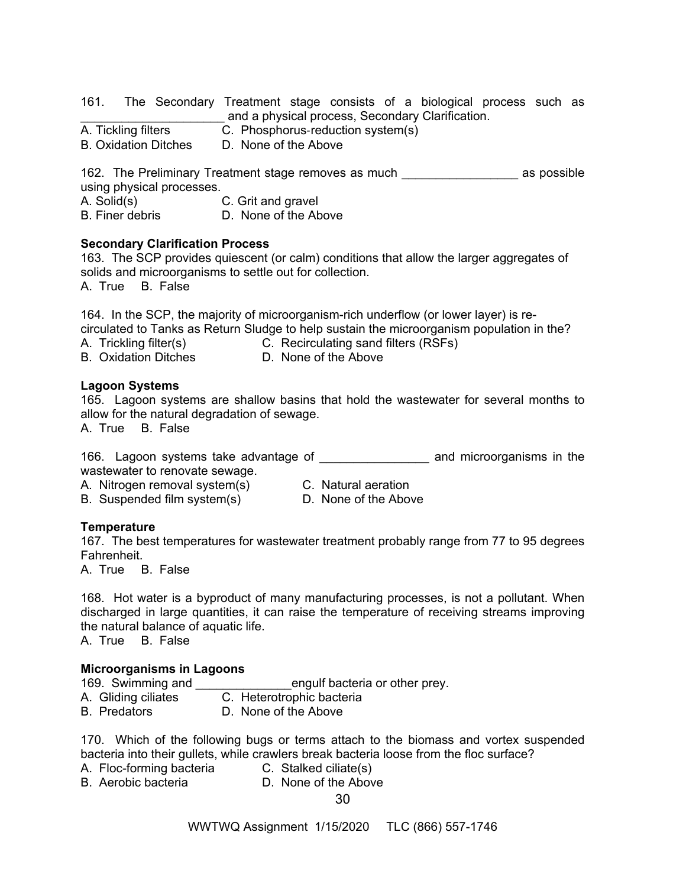161. The Secondary Treatment stage consists of a biological process such as \_\_\_\_\_\_\_\_\_\_\_\_\_\_\_\_\_\_\_\_\_ and a physical process, Secondary Clarification.

C. Phosphorus-reduction system(s)

B. Oxidation Ditches D. None of the Above

162. The Preliminary Treatment stage removes as much \_\_\_\_\_\_\_\_\_\_\_\_\_\_\_\_\_ as possible using physical processes.

A. Solid(s) C. Grit and gravel

B. Finer debris D. None of the Above

## **Secondary Clarification Process**

163. The SCP provides quiescent (or calm) conditions that allow the larger aggregates of solids and microorganisms to settle out for collection.

A. True B. False

164. In the SCP, the majority of microorganism-rich underflow (or lower layer) is re-

circulated to Tanks as Return Sludge to help sustain the microorganism population in the?

A. Trickling filter(s) C. Recirculating sand filters (RSFs)

B. Oxidation Ditches **D. None of the Above** 

## **Lagoon Systems**

165. Lagoon systems are shallow basins that hold the wastewater for several months to allow for the natural degradation of sewage.

A. True B. False

166. Lagoon systems take advantage of \_\_\_\_\_\_\_\_\_\_\_\_ and microorganisms in the wastewater to renovate sewage.

A. Nitrogen removal system(s) C. Natural aeration<br>B. Suspended film system(s) D. None of the Above

B. Suspended film system(s)

**Temperature** 

167. The best temperatures for wastewater treatment probably range from 77 to 95 degrees Fahrenheit.

A. True B. False

168. Hot water is a byproduct of many manufacturing processes, is not a pollutant. When discharged in large quantities, it can raise the temperature of receiving streams improving the natural balance of aquatic life.

A. True B. False

# **Microorganisms in Lagoons**

169. Swimming and **the contract of the state of Swimming and Contract engulf bacteria or other prey.** 

- A. Gliding ciliates C. Heterotrophic bacteria
- B. Predators D. None of the Above

170. Which of the following bugs or terms attach to the biomass and vortex suspended bacteria into their gullets, while crawlers break bacteria loose from the floc surface?

- A. Floc-forming bacteria C. Stalked ciliate(s)<br>B. Aerobic bacteria C. None of the Abov
- D. None of the Above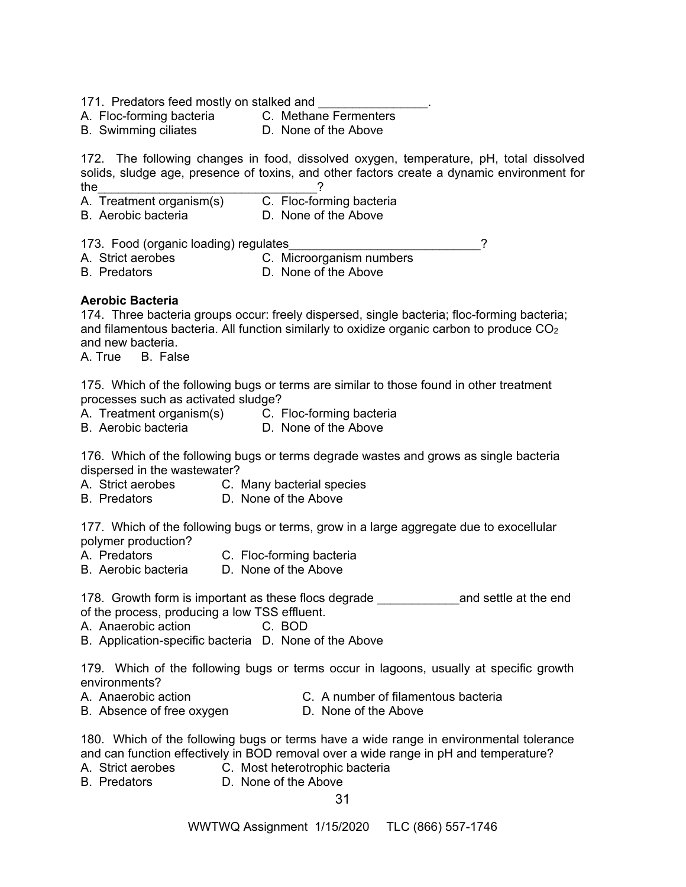171. Predators feed mostly on stalked and

- A. Floc-forming bacteria C. Methane Fermenters
- B. Swimming ciliates D. None of the Above

172. The following changes in food, dissolved oxygen, temperature, pH, total dissolved solids, sludge age, presence of toxins, and other factors create a dynamic environment for the  $\frac{1}{2}$ A. Treatment organism(s) C. Floc-forming bacteria

- 
- B. Aerobic bacteria D. None of the Above

173. Food (organic loading) regulates and the state of the state of the state of the state of the state of the state of the state of the state of the state of the state of the state of the state of the state of the state o

A. Strict aerobes C. Microorganism numbers

B. Predators **D. None of the Above** 

# **Aerobic Bacteria**

174. Three bacteria groups occur: freely dispersed, single bacteria; floc-forming bacteria; and filamentous bacteria. All function similarly to oxidize organic carbon to produce  $CO<sub>2</sub>$ and new bacteria.

A. True B. False

175. Which of the following bugs or terms are similar to those found in other treatment processes such as activated sludge?

- A. Treatment organism(s) C. Floc-forming bacteria
- B. Aerobic bacteria D. None of the Above

176. Which of the following bugs or terms degrade wastes and grows as single bacteria dispersed in the wastewater?

- A. Strict aerobes C. Many bacterial species<br>B. Predators B. None of the Above
- D. None of the Above

177. Which of the following bugs or terms, grow in a large aggregate due to exocellular polymer production?<br>A. Predators

- A. Predators **C. Floc-forming bacteria**
- B. Aerobic bacteria D. None of the Above

178. Growth form is important as these flocs degrade **the and settle at the end** of the process, producing a low TSS effluent.

A. Anaerobic action C. BOD

B. Application-specific bacteria D. None of the Above

179. Which of the following bugs or terms occur in lagoons, usually at specific growth environments?

- 
- A. Anaerobic action C. A number of filamentous bacteria B. Absence of free oxygen D. None of the Above

180. Which of the following bugs or terms have a wide range in environmental tolerance and can function effectively in BOD removal over a wide range in pH and temperature?

- A. Strict aerobes C. Most heterotrophic bacteria
- B. Predators D. None of the Above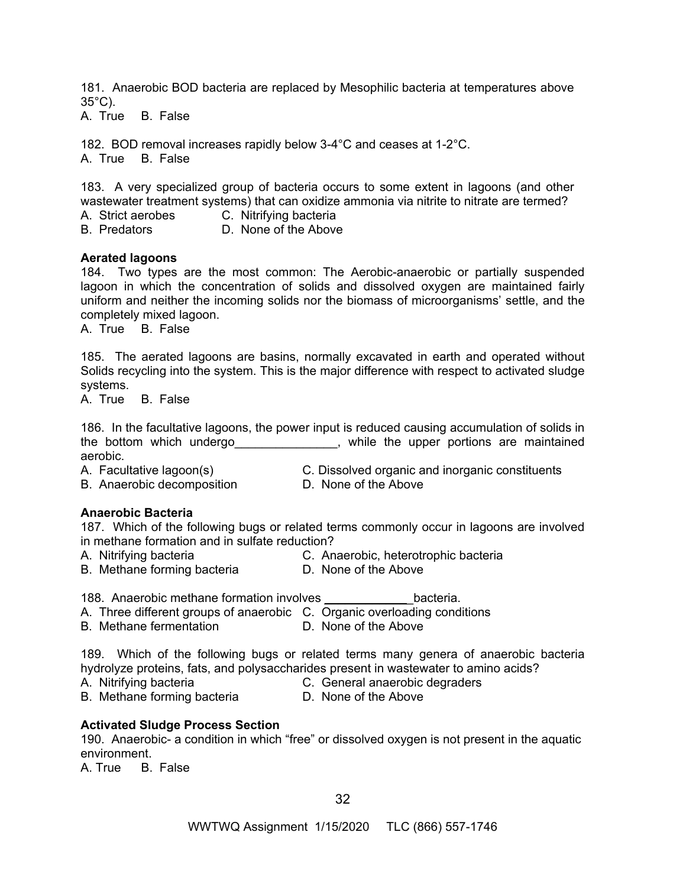181. Anaerobic BOD bacteria are replaced by Mesophilic bacteria at temperatures above 35°C).

A. True B. False

182. BOD removal increases rapidly below 3-4°C and ceases at 1-2°C. A. True B. False

183. A very specialized group of bacteria occurs to some extent in lagoons (and other wastewater treatment systems) that can oxidize ammonia via nitrite to nitrate are termed? A. Strict aerobes C. Nitrifying bacteria

B. Predators D. None of the Above

#### **Aerated lagoons**

184. Two types are the most common: The Aerobic-anaerobic or partially suspended lagoon in which the concentration of solids and dissolved oxygen are maintained fairly uniform and neither the incoming solids nor the biomass of microorganisms' settle, and the completely mixed lagoon.

A. True B. False

185. The aerated lagoons are basins, normally excavated in earth and operated without Solids recycling into the system. This is the major difference with respect to activated sludge systems.

A. True B. False

186. In the facultative lagoons, the power input is reduced causing accumulation of solids in the bottom which undergo the state of the upper portions are maintained aerobic.

- B. Anaerobic decomposition **D. None of the Above**
- A. Facultative lagoon(s) C. Dissolved organic and inorganic constituents
	-

# **Anaerobic Bacteria**

187. Which of the following bugs or related terms commonly occur in lagoons are involved in methane formation and in sulfate reduction?

- 
- 
- A. Nitrifying bacteria C. Anaerobic, heterotrophic bacteria
- B. Methane forming bacteria D. None of the Above
	-

188. Anaerobic methane formation involves \_\_\_\_\_\_\_\_\_\_\_\_\_bacteria.

- A. Three different groups of anaerobic C. Organic overloading conditions
- B. Methane fermentation D. None of the Above

189. Which of the following bugs or related terms many genera of anaerobic bacteria hydrolyze proteins, fats, and polysaccharides present in wastewater to amino acids?

- 
- A. Nitrifying bacteria C. General anaerobic degraders
- B. Methane forming bacteria **D. None of the Above**

# **Activated Sludge Process Section**

190. Anaerobic- a condition in which "free" or dissolved oxygen is not present in the aquatic environment.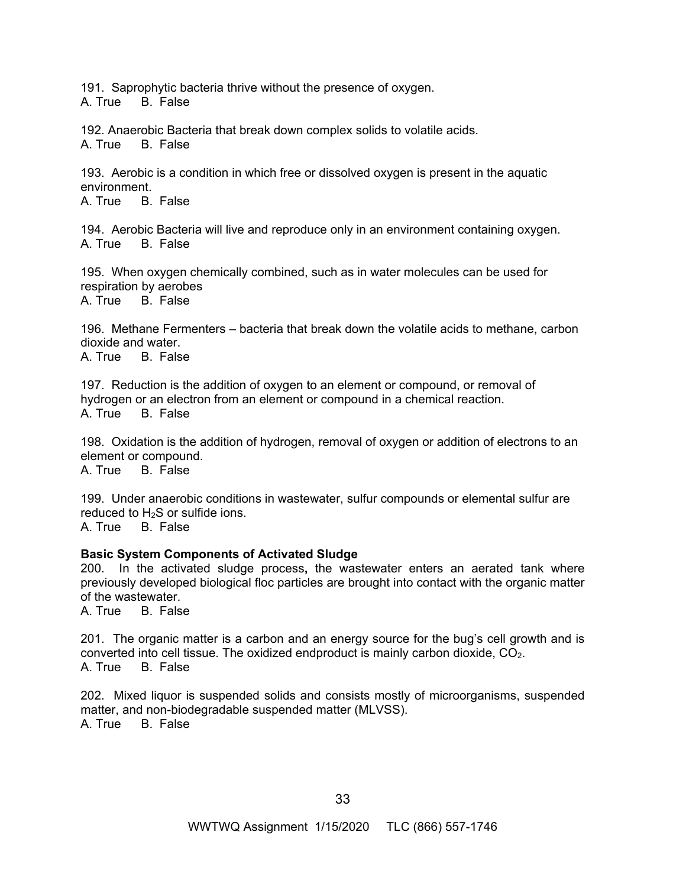191. Saprophytic bacteria thrive without the presence of oxygen. A. True B. False

192. Anaerobic Bacteria that break down complex solids to volatile acids. A. True B. False

193. Aerobic is a condition in which free or dissolved oxygen is present in the aquatic environment.

A. True B. False

194. Aerobic Bacteria will live and reproduce only in an environment containing oxygen. A. True B. False

195. When oxygen chemically combined, such as in water molecules can be used for respiration by aerobes

A. True B. False

196. Methane Fermenters – bacteria that break down the volatile acids to methane, carbon dioxide and water.

A. True B. False

197. Reduction is the addition of oxygen to an element or compound, or removal of hydrogen or an electron from an element or compound in a chemical reaction. A. True B. False

198. Oxidation is the addition of hydrogen, removal of oxygen or addition of electrons to an element or compound. A. True B. False

199. Under anaerobic conditions in wastewater, sulfur compounds or elemental sulfur are reduced to  $H_2S$  or sulfide ions.

A. True B. False

# **Basic System Components of Activated Sludge**

200. In the activated sludge process**,** the wastewater enters an aerated tank where previously developed biological floc particles are brought into contact with the organic matter of the wastewater.<br>A. True B. Fals

B. False

201. The organic matter is a carbon and an energy source for the bug's cell growth and is converted into cell tissue. The oxidized endproduct is mainly carbon dioxide,  $CO<sub>2</sub>$ . A. True B. False

202. Mixed liquor is suspended solids and consists mostly of microorganisms, suspended matter, and non-biodegradable suspended matter (MLVSS). A. True B. False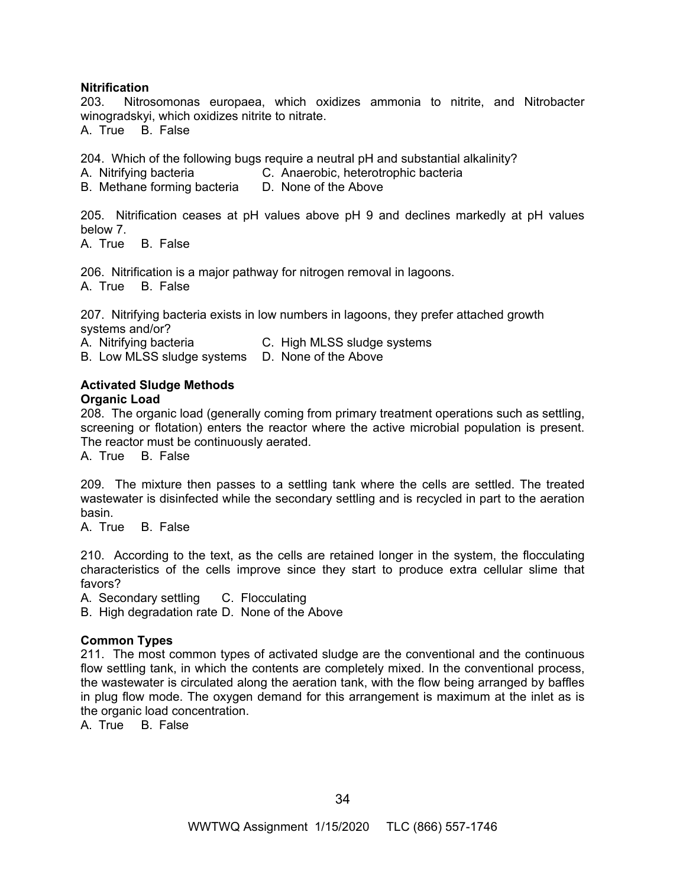#### **Nitrification**

203. Nitrosomonas europaea, which oxidizes ammonia to nitrite, and Nitrobacter winogradskyi, which oxidizes nitrite to nitrate.

A. True B. False

204. Which of the following bugs require a neutral pH and substantial alkalinity?

A. Nitrifying bacteria C. Anaerobic, heterotrophic bacteria

B. Methane forming bacteria D. None of the Above

205. Nitrification ceases at pH values above pH 9 and declines markedly at pH values below 7.

A. True B. False

206. Nitrification is a major pathway for nitrogen removal in lagoons.

A. True B. False

207. Nitrifying bacteria exists in low numbers in lagoons, they prefer attached growth systems and/or?

A. Nitrifying bacteria C. High MLSS sludge systems

B. Low MLSS sludge systems D. None of the Above

#### **Activated Sludge Methods Organic Load**

208. The organic load (generally coming from primary treatment operations such as settling, screening or flotation) enters the reactor where the active microbial population is present. The reactor must be continuously aerated.

A. True B. False

209. The mixture then passes to a settling tank where the cells are settled. The treated wastewater is disinfected while the secondary settling and is recycled in part to the aeration basin.

A. True B. False

210. According to the text, as the cells are retained longer in the system, the flocculating characteristics of the cells improve since they start to produce extra cellular slime that favors?

A. Secondary settling C. Flocculating

B. High degradation rate D. None of the Above

# **Common Types**

211. The most common types of activated sludge are the conventional and the continuous flow settling tank, in which the contents are completely mixed. In the conventional process, the wastewater is circulated along the aeration tank, with the flow being arranged by baffles in plug flow mode. The oxygen demand for this arrangement is maximum at the inlet as is the organic load concentration.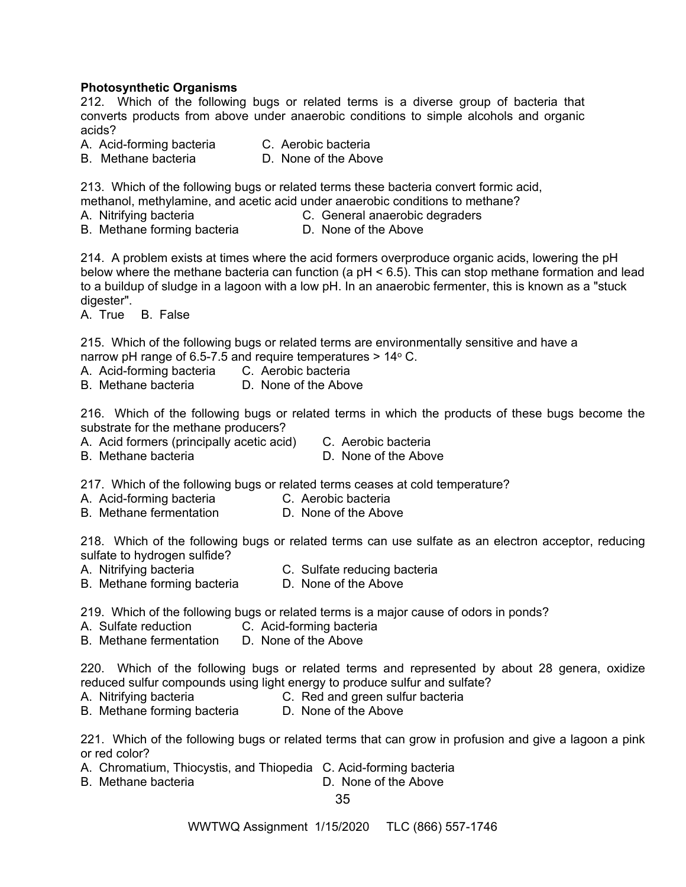## **Photosynthetic Organisms**

212. Which of the following bugs or related terms is a diverse group of bacteria that converts products from above under anaerobic conditions to simple alcohols and organic acids?

A. Acid-forming bacteria C. Aerobic bacteria

B. Methane bacteria D. None of the Above

213. Which of the following bugs or related terms these bacteria convert formic acid,

methanol, methylamine, and acetic acid under anaerobic conditions to methane?

A. Nitrifying bacteria C. General anaerobic degraders

B. Methane forming bacteria **D. None of the Above** 

214. A problem exists at times where the acid formers overproduce organic acids, lowering the pH below where the methane bacteria can function (a pH < 6.5). This can stop methane formation and lead to a buildup of sludge in a lagoon with a low pH. In an anaerobic fermenter, this is known as a "stuck digester".

A. True B. False

215. Which of the following bugs or related terms are environmentally sensitive and have a narrow pH range of 6.5-7.5 and require temperatures  $> 14^{\circ}$  C.

A. Acid-forming bacteria C. Aerobic bacteria

B. Methane bacteria D. None of the Above

216. Which of the following bugs or related terms in which the products of these bugs become the substrate for the methane producers?

- A. Acid formers (principally acetic acid) C. Aerobic bacteria
- D. None of the Above

217. Which of the following bugs or related terms ceases at cold temperature?

- A. Acid-forming bacteria C. Aerobic bacteria
- B. Methane fermentation D. None of the Above

218. Which of the following bugs or related terms can use sulfate as an electron acceptor, reducing sulfate to hydrogen sulfide?

A. Nitrifying bacteria C. Sulfate reducing bacteria

B. Methane forming bacteria D. None of the Above

219. Which of the following bugs or related terms is a major cause of odors in ponds?

- A. Sulfate reduction C. Acid-forming bacteria
- B. Methane fermentation D. None of the Above

220. Which of the following bugs or related terms and represented by about 28 genera, oxidize reduced sulfur compounds using light energy to produce sulfur and sulfate?

A. Nitrifying bacteria C. Red and green sulfur bacteria

B. Methane forming bacteria D. None of the Above

221. Which of the following bugs or related terms that can grow in profusion and give a lagoon a pink or red color?

- A. Chromatium, Thiocystis, and Thiopedia C. Acid-forming bacteria
- B. Methane bacteria **D.** None of the Above

35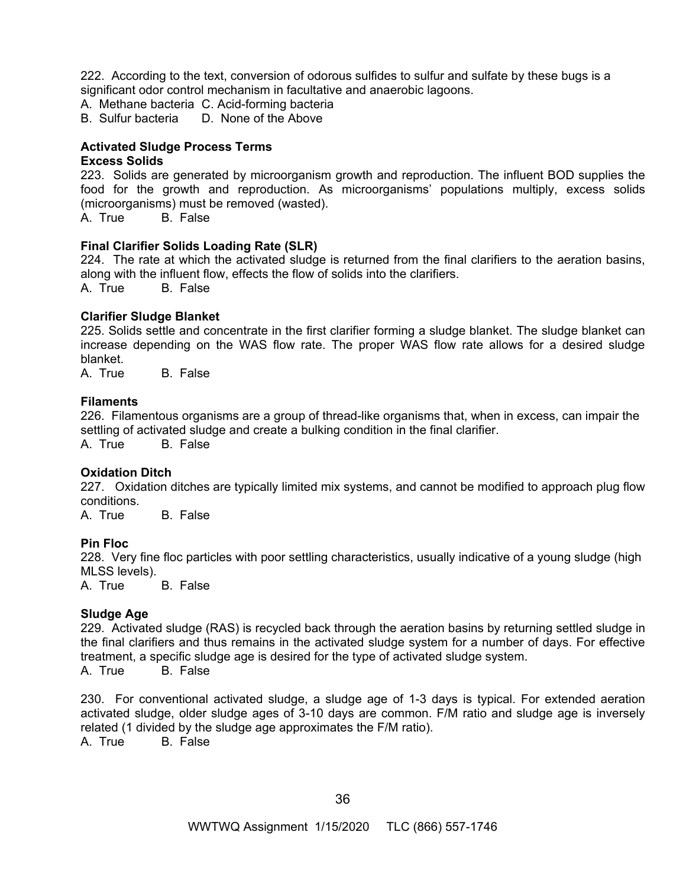222. According to the text, conversion of odorous sulfides to sulfur and sulfate by these bugs is a significant odor control mechanism in facultative and anaerobic lagoons.

A. Methane bacteria C. Acid-forming bacteria

B. Sulfur bacteria D. None of the Above

#### **Activated Sludge Process Terms**

#### **Excess Solids**

223. Solids are generated by microorganism growth and reproduction. The influent BOD supplies the food for the growth and reproduction. As microorganisms' populations multiply, excess solids (microorganisms) must be removed (wasted).

A. True B. False

#### **Final Clarifier Solids Loading Rate (SLR)**

224. The rate at which the activated sludge is returned from the final clarifiers to the aeration basins, along with the influent flow, effects the flow of solids into the clarifiers.

A. True B. False

#### **Clarifier Sludge Blanket**

225. Solids settle and concentrate in the first clarifier forming a sludge blanket. The sludge blanket can increase depending on the WAS flow rate. The proper WAS flow rate allows for a desired sludge blanket.

A. True B. False

#### **Filaments**

226. Filamentous organisms are a group of thread-like organisms that, when in excess, can impair the settling of activated sludge and create a bulking condition in the final clarifier.

A. True B. False

#### **Oxidation Ditch**

227. Oxidation ditches are typically limited mix systems, and cannot be modified to approach plug flow conditions.

A. True B. False

#### **Pin Floc**

228. Very fine floc particles with poor settling characteristics, usually indicative of a young sludge (high MLSS levels).

A. True B. False

#### **Sludge Age**

229. Activated sludge (RAS) is recycled back through the aeration basins by returning settled sludge in the final clarifiers and thus remains in the activated sludge system for a number of days. For effective treatment, a specific sludge age is desired for the type of activated sludge system.

A. True B. False

230. For conventional activated sludge, a sludge age of 1-3 days is typical. For extended aeration activated sludge, older sludge ages of 3-10 days are common. F/M ratio and sludge age is inversely related (1 divided by the sludge age approximates the F/M ratio).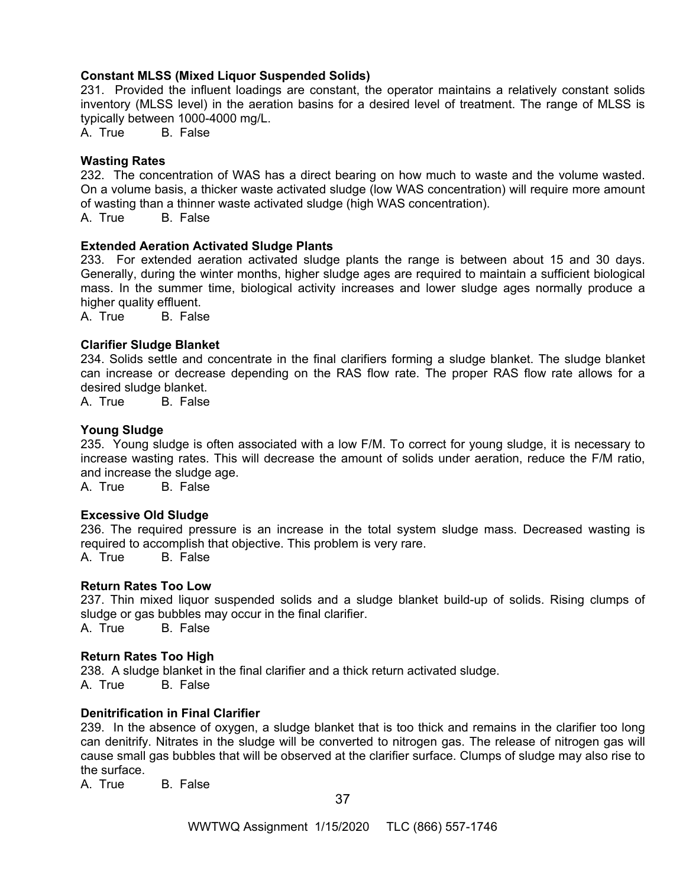## **Constant MLSS (Mixed Liquor Suspended Solids)**

231. Provided the influent loadings are constant, the operator maintains a relatively constant solids inventory (MLSS level) in the aeration basins for a desired level of treatment. The range of MLSS is typically between 1000-4000 mg/L.

A. True B. False

#### **Wasting Rates**

232. The concentration of WAS has a direct bearing on how much to waste and the volume wasted. On a volume basis, a thicker waste activated sludge (low WAS concentration) will require more amount of wasting than a thinner waste activated sludge (high WAS concentration).

A. True B. False

## **Extended Aeration Activated Sludge Plants**

233. For extended aeration activated sludge plants the range is between about 15 and 30 days. Generally, during the winter months, higher sludge ages are required to maintain a sufficient biological mass. In the summer time, biological activity increases and lower sludge ages normally produce a higher quality effluent.

A. True B. False

## **Clarifier Sludge Blanket**

234. Solids settle and concentrate in the final clarifiers forming a sludge blanket. The sludge blanket can increase or decrease depending on the RAS flow rate. The proper RAS flow rate allows for a desired sludge blanket.

A. True B. False

#### **Young Sludge**

235. Young sludge is often associated with a low F/M. To correct for young sludge, it is necessary to increase wasting rates. This will decrease the amount of solids under aeration, reduce the F/M ratio, and increase the sludge age.

A. True B. False

#### **Excessive Old Sludge**

236. The required pressure is an increase in the total system sludge mass. Decreased wasting is required to accomplish that objective. This problem is very rare. A. True B. False

#### **Return Rates Too Low**

237. Thin mixed liquor suspended solids and a sludge blanket build-up of solids. Rising clumps of sludge or gas bubbles may occur in the final clarifier.<br>A. True B. False A. True

# **Return Rates Too High**

238. A sludge blanket in the final clarifier and a thick return activated sludge. A. True B. False

#### **Denitrification in Final Clarifier**

239. In the absence of oxygen, a sludge blanket that is too thick and remains in the clarifier too long can denitrify. Nitrates in the sludge will be converted to nitrogen gas. The release of nitrogen gas will cause small gas bubbles that will be observed at the clarifier surface. Clumps of sludge may also rise to the surface.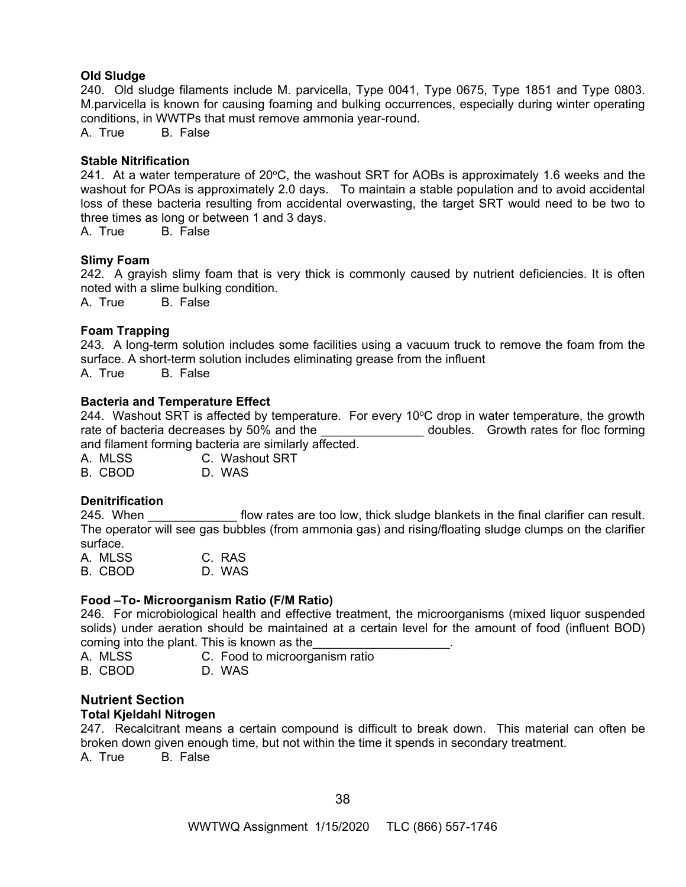## **Old Sludge**

240. Old sludge filaments include M. parvicella, Type 0041, Type 0675, Type 1851 and Type 0803. M.parvicella is known for causing foaming and bulking occurrences, especially during winter operating conditions, in WWTPs that must remove ammonia year-round.

A. True B. False

# **Stable Nitrification**

241. At a water temperature of  $20^{\circ}$ C, the washout SRT for AOBs is approximately 1.6 weeks and the washout for POAs is approximately 2.0 days. To maintain a stable population and to avoid accidental loss of these bacteria resulting from accidental overwasting, the target SRT would need to be two to three times as long or between 1 and 3 days.

A. True B. False

#### **Slimy Foam**

242. A grayish slimy foam that is very thick is commonly caused by nutrient deficiencies. It is often noted with a slime bulking condition.

A. True B. False

## **Foam Trapping**

243. A long-term solution includes some facilities using a vacuum truck to remove the foam from the surface. A short-term solution includes eliminating grease from the influent A. True B. False

## **Bacteria and Temperature Effect**

244. Washout SRT is affected by temperature. For every 10 $\degree$ C drop in water temperature, the growth rate of bacteria decreases by 50% and the doubles. Growth rates for floc forming and filament forming bacteria are similarly affected.

A. MLSS C. Washout SRT

B. CBOD D. WAS

# **Denitrification**

245. When **the interpollant flow rates are too low**, thick sludge blankets in the final clarifier can result. The operator will see gas bubbles (from ammonia gas) and rising/floating sludge clumps on the clarifier surface.

| A. MLSS | C. RAS |
|---------|--------|
| B. CBOD | D. WAS |

# **Food –To- Microorganism Ratio (F/M Ratio)**

246. For microbiological health and effective treatment, the microorganisms (mixed liquor suspended solids) under aeration should be maintained at a certain level for the amount of food (influent BOD) coming into the plant. This is known as the

A. MLSS C. Food to microorganism ratio B. CBOD D. WAS

# **Nutrient Section**

#### **Total Kjeldahl Nitrogen**

247. Recalcitrant means a certain compound is difficult to break down. This material can often be broken down given enough time, but not within the time it spends in secondary treatment. A. True B. False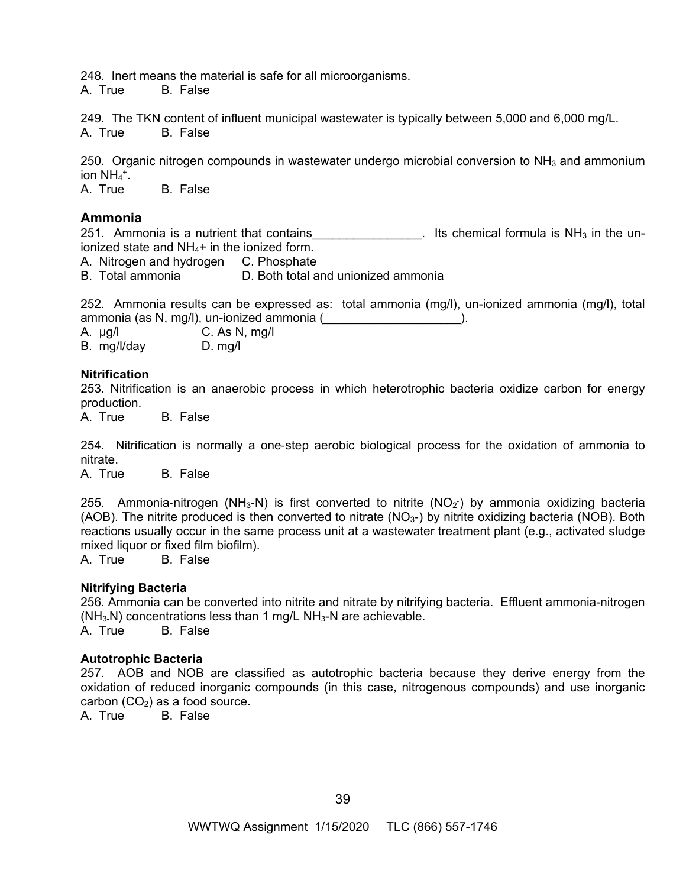248. Inert means the material is safe for all microorganisms.

A. True B. False

249. The TKN content of influent municipal wastewater is typically between 5,000 and 6,000 mg/L. A. True B. False

250. Organic nitrogen compounds in wastewater undergo microbial conversion to  $NH<sub>3</sub>$  and ammonium ion  $NH_4$ <sup>+</sup>.

A. True B. False

# **Ammonia**

251. Ammonia is a nutrient that contains  $\frac{1}{251}$  lts chemical formula is NH<sub>3</sub> in the unionized state and  $NH<sub>4</sub>$ + in the ionized form.

A. Nitrogen and hydrogen C. Phosphate

B. Total ammonia D. Both total and unionized ammonia

252. Ammonia results can be expressed as: total ammonia (mg/l), un-ionized ammonia (mg/l), total ammonia (as N, mg/l), un-ionized ammonia (\_\_\_\_\_\_\_\_\_\_\_\_\_\_\_\_\_\_\_\_).

A. µg/l C. As N, mg/l B. mg/l/day D. mg/l

**Nitrification** 

253. Nitrification is an anaerobic process in which heterotrophic bacteria oxidize carbon for energy production.

A. True B. False

254. Nitrification is normally a one-step aerobic biological process for the oxidation of ammonia to nitrate.

A. True B. False

255. Ammonia-nitrogen (NH<sub>3</sub>-N) is first converted to nitrite (NO<sub>2</sub>) by ammonia oxidizing bacteria (AOB). The nitrite produced is then converted to nitrate ( $NO<sub>3</sub>$ ) by nitrite oxidizing bacteria (NOB). Both reactions usually occur in the same process unit at a wastewater treatment plant (e.g., activated sludge mixed liquor or fixed film biofilm).

A. True B. False

# **Nitrifying Bacteria**

256. Ammonia can be converted into nitrite and nitrate by nitrifying bacteria. Effluent ammonia-nitrogen  $(NH<sub>3</sub>-N)$  concentrations less than 1 mg/L NH $<sub>3</sub>-N$  are achievable.</sub> A. True B. False

#### **Autotrophic Bacteria**

257. AOB and NOB are classified as autotrophic bacteria because they derive energy from the oxidation of reduced inorganic compounds (in this case, nitrogenous compounds) and use inorganic carbon  $(CO_2)$  as a food source.<br>A. True B. False

B. False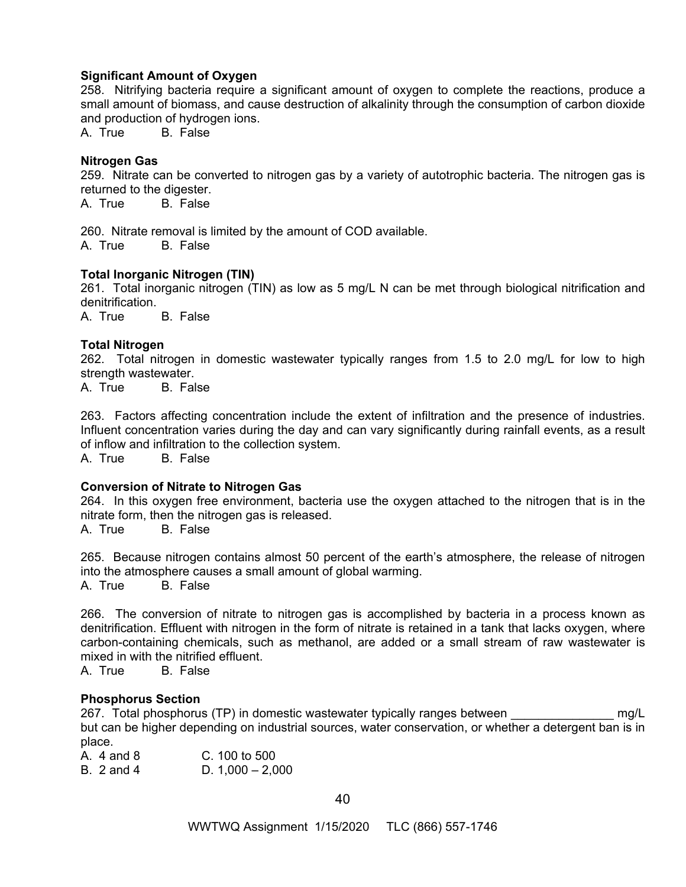#### **Significant Amount of Oxygen**

258. Nitrifying bacteria require a significant amount of oxygen to complete the reactions, produce a small amount of biomass, and cause destruction of alkalinity through the consumption of carbon dioxide and production of hydrogen ions.

A. True B. False

## **Nitrogen Gas**

259. Nitrate can be converted to nitrogen gas by a variety of autotrophic bacteria. The nitrogen gas is returned to the digester.<br>A. True B. False

B. False

260. Nitrate removal is limited by the amount of COD available. A. True B. False

## **Total Inorganic Nitrogen (TIN)**

261. Total inorganic nitrogen (TIN) as low as 5 mg/L N can be met through biological nitrification and denitrification.

A. True B. False

## **Total Nitrogen**

262. Total nitrogen in domestic wastewater typically ranges from 1.5 to 2.0 mg/L for low to high strength wastewater.

A. True B. False

263. Factors affecting concentration include the extent of infiltration and the presence of industries. Influent concentration varies during the day and can vary significantly during rainfall events, as a result of inflow and infiltration to the collection system.

A. True B. False

#### **Conversion of Nitrate to Nitrogen Gas**

264. In this oxygen free environment, bacteria use the oxygen attached to the nitrogen that is in the nitrate form, then the nitrogen gas is released.

A. True B. False

265. Because nitrogen contains almost 50 percent of the earth's atmosphere, the release of nitrogen into the atmosphere causes a small amount of global warming. A. True B. False

266. The conversion of nitrate to nitrogen gas is accomplished by bacteria in a process known as denitrification. Effluent with nitrogen in the form of nitrate is retained in a tank that lacks oxygen, where carbon-containing chemicals, such as methanol, are added or a small stream of raw wastewater is mixed in with the nitrified effluent.

A. True B. False

#### **Phosphorus Section**

267. Total phosphorus (TP) in domestic wastewater typically ranges between meg/L but can be higher depending on industrial sources, water conservation, or whether a detergent ban is in place.

A. 4 and 8 C. 100 to 500 B. 2 and 4 D. 1,000 – 2,000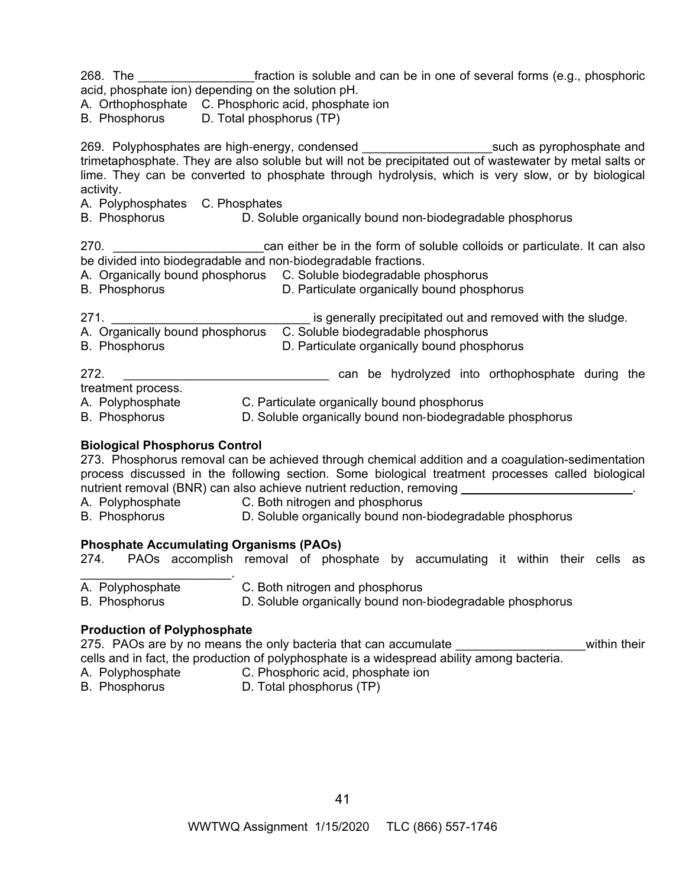268. The **the soluble and can be in one of several forms (e.g., phosphoric** acid, phosphate ion) depending on the solution pH.

A. Orthophosphate C. Phosphoric acid, phosphate ion

B. Phosphorus D. Total phosphorus (TP)

269. Polyphosphates are high-energy, condensed \_\_\_\_\_\_\_\_\_\_\_\_\_\_\_\_\_\_\_\_\_\_\_\_\_\_such as pyrophosphate and trimetaphosphate. They are also soluble but will not be precipitated out of wastewater by metal salts or lime. They can be converted to phosphate through hydrolysis, which is very slow, or by biological activity.

- A. Polyphosphates C. Phosphates
- B. Phosphorus D. Soluble organically bound non-biodegradable phosphorus

270. **Example 270.** 270. **Example 270** can either be in the form of soluble colloids or particulate. It can also be divided into biodegradable and non-biodegradable fractions.

- A. Organically bound phosphorus C. Soluble biodegradable phosphorus
- B. Phosphorus D. Particulate organically bound phosphorus

271. **Example 271. Example 271. Example 271. Example 271. Example 271. Example 271.** A. Organically bound phosphorus C. Soluble biodegradable phosphorus

- B. Phosphorus **D. Particulate organically bound phosphorus**
- 272. **We can be hydrolyzed into orthophosphate during the**

treatment process.

- A. Polyphosphate C. Particulate organically bound phosphorus
- B. Phosphorus **D. Soluble organically bound non-biodegradable phosphorus**

# **Biological Phosphorus Control**

273. Phosphorus removal can be achieved through chemical addition and a coagulation-sedimentation process discussed in the following section. Some biological treatment processes called biological nutrient removal (BNR) can also achieve nutrient reduction, removing

- A. Polyphosphate C. Both nitrogen and phosphorus<br>B. Phosphorus D. Soluble organically bound non-
- B. Phosphorus D. Soluble organically bound non-biodegradable phosphorus

# **Phosphate Accumulating Organisms (PAOs)**

274. PAOs accomplish removal of phosphate by accumulating it within their cells as

- $\mathcal{L}_\text{max}$  , where  $\mathcal{L}_\text{max}$  and  $\mathcal{L}_\text{max}$ A. Polyphosphate **C.** Both nitrogen and phosphorus
- B. Phosphorus D. Soluble organically bound non-biodegradable phosphorus

# **Production of Polyphosphate**

275. PAOs are by no means the only bacteria that can accumulate **that in the interpreneus as a construct** within their cells and in fact, the production of polyphosphate is a widespread ability among bacteria.

- A. Polyphosphate C. Phosphoric acid, phosphate ion
- 
- B. Phosphorus D. Total phosphorus (TP)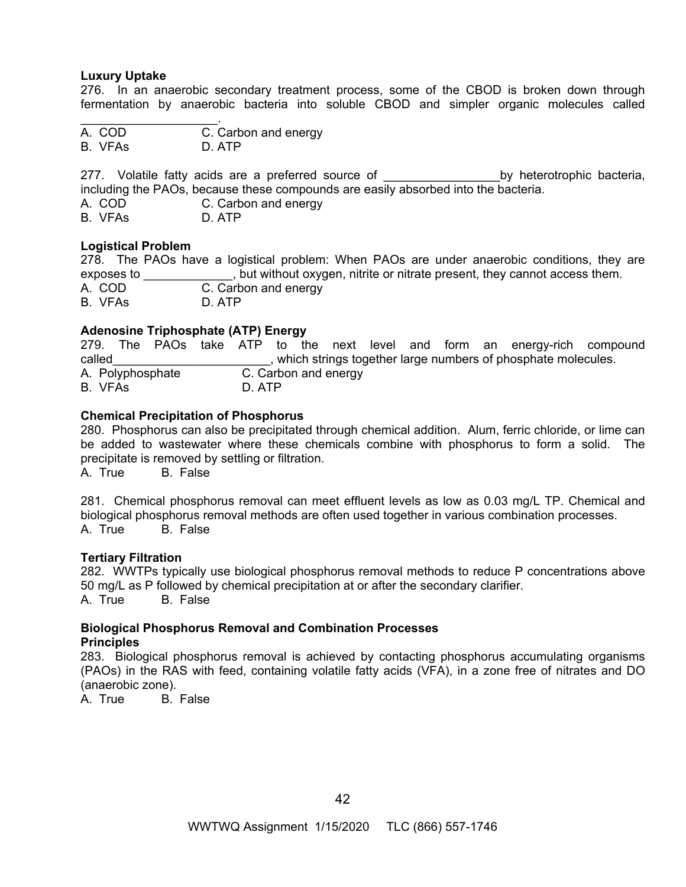#### **Luxury Uptake**

276. In an anaerobic secondary treatment process, some of the CBOD is broken down through fermentation by anaerobic bacteria into soluble CBOD and simpler organic molecules called

 $\mathcal{L}_\text{max}$  and  $\mathcal{L}_\text{max}$  and  $\mathcal{L}_\text{max}$ A. COD C. Carbon and energy B. VFAs D. ATP

277. Volatile fatty acids are a preferred source of the state of the by heterotrophic bacteria, including the PAOs, because these compounds are easily absorbed into the bacteria.

C. Carbon and energy

B. VFAs D. ATP

# **Logistical Problem**

278. The PAOs have a logistical problem: When PAOs are under anaerobic conditions, they are exposes to \_\_\_\_\_\_\_\_\_\_\_\_\_, but without oxygen, nitrite or nitrate present, they cannot access them. A. COD C. Carbon and energy B. VFAs D. ATP

## **Adenosine Triphosphate (ATP) Energy**

279. The PAOs take ATP to the next level and form an energy-rich compound called example the strings together large numbers of phosphate molecules. A. Polyphosphate C. Carbon and energy B. VFAs D. ATP

## **Chemical Precipitation of Phosphorus**

280. Phosphorus can also be precipitated through chemical addition. Alum, ferric chloride, or lime can be added to wastewater where these chemicals combine with phosphorus to form a solid. The precipitate is removed by settling or filtration.

A. True B. False

281. Chemical phosphorus removal can meet effluent levels as low as 0.03 mg/L TP. Chemical and biological phosphorus removal methods are often used together in various combination processes. A. True B. False

#### **Tertiary Filtration**

282. WWTPs typically use biological phosphorus removal methods to reduce P concentrations above 50 mg/L as P followed by chemical precipitation at or after the secondary clarifier. A. True B. False

#### **Biological Phosphorus Removal and Combination Processes Principles**

283. Biological phosphorus removal is achieved by contacting phosphorus accumulating organisms (PAOs) in the RAS with feed, containing volatile fatty acids (VFA), in a zone free of nitrates and DO (anaerobic zone).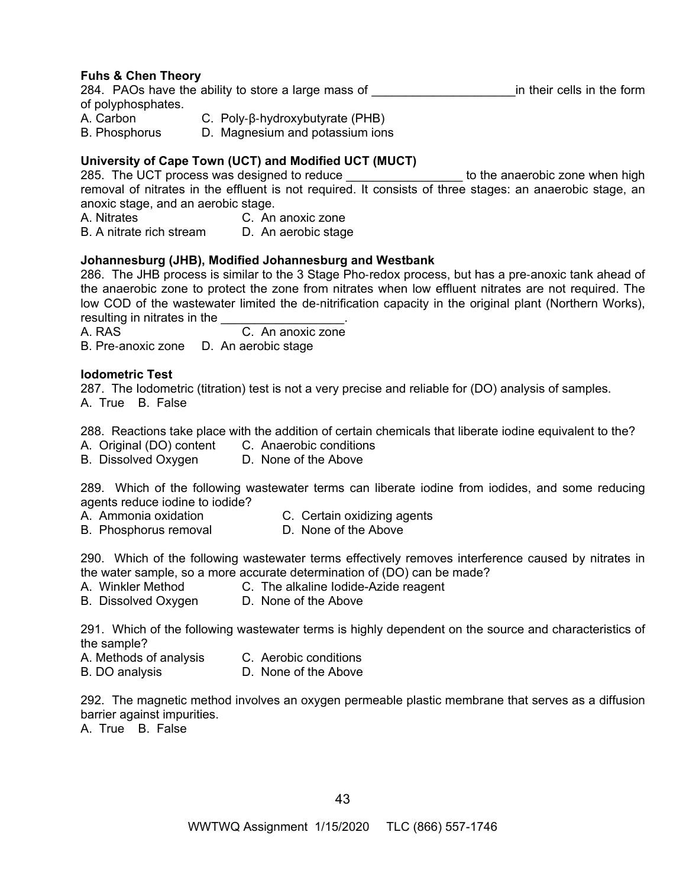# **Fuhs & Chen Theory**

284. PAOs have the ability to store a large mass of Theorem in their cells in the form of polyphosphates.

A. Carbon C. Poly-β-hydroxybutyrate (PHB)

B. Phosphorus D. Magnesium and potassium ions

# **University of Cape Town (UCT) and Modified UCT (MUCT)**

285. The UCT process was designed to reduce the state of the anaerobic zone when high removal of nitrates in the effluent is not required. It consists of three stages: an anaerobic stage, an anoxic stage, and an aerobic stage.

A. Nitrates C. An anoxic zone

B. A nitrate rich stream D. An aerobic stage

## **Johannesburg (JHB), Modified Johannesburg and Westbank**

286. The JHB process is similar to the 3 Stage Pho-redox process, but has a pre-anoxic tank ahead of the anaerobic zone to protect the zone from nitrates when low effluent nitrates are not required. The low COD of the wastewater limited the de-nitrification capacity in the original plant (Northern Works), resulting in nitrates in the

A. RAS C. An anoxic zone B. Pre-anoxic zone D. An aerobic stage

## **Iodometric Test**

287. The Iodometric (titration) test is not a very precise and reliable for (DO) analysis of samples. A. True B. False

288. Reactions take place with the addition of certain chemicals that liberate iodine equivalent to the?

- A. Original (DO) content C. Anaerobic conditions
- B. Dissolved Oxygen D. None of the Above

289. Which of the following wastewater terms can liberate iodine from iodides, and some reducing agents reduce iodine to iodide?

- A. Ammonia oxidation C. Certain oxidizing agents
- B. Phosphorus removal D. None of the Above

290. Which of the following wastewater terms effectively removes interference caused by nitrates in the water sample, so a more accurate determination of (DO) can be made?

- A. Winkler Method C. The alkaline Iodide-Azide reagent
- B. Dissolved Oxygen D. None of the Above

291. Which of the following wastewater terms is highly dependent on the source and characteristics of the sample?

- A. Methods of analysis C. Aerobic conditions
- B. DO analysis D. None of the Above

292. The magnetic method involves an oxygen permeable plastic membrane that serves as a diffusion barrier against impurities.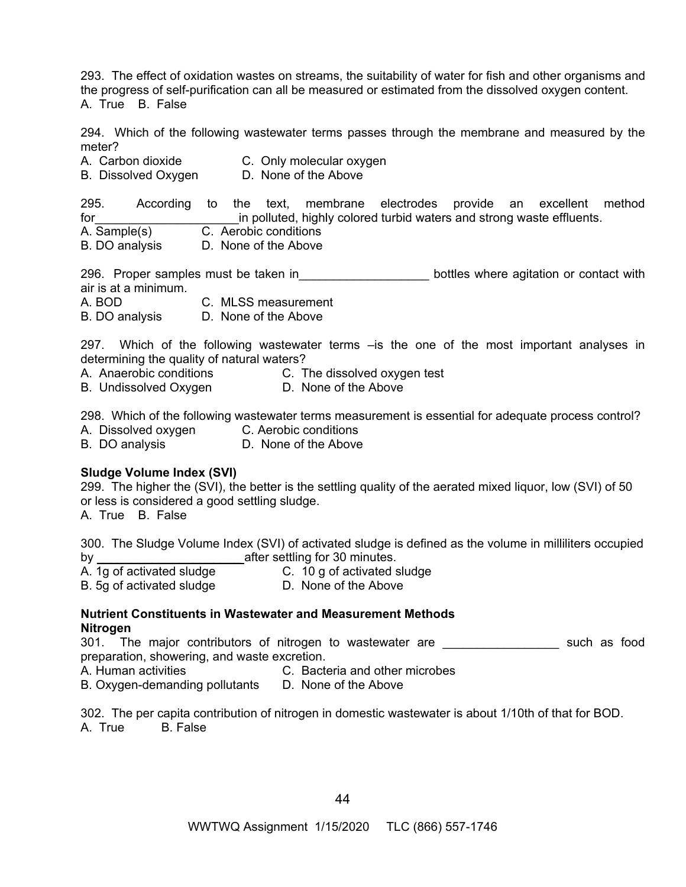293. The effect of oxidation wastes on streams, the suitability of water for fish and other organisms and the progress of self-purification can all be measured or estimated from the dissolved oxygen content. A. True B. False

294. Which of the following wastewater terms passes through the membrane and measured by the meter?

A. Carbon dioxide **C.** Only molecular oxygen

B. Dissolved Oxygen D. None of the Above

295. According to the text, membrane electrodes provide an excellent method for the same of the polluted, highly colored turbid waters and strong waste effluents. A. Sample(s) C. Aerobic conditions B. DO analysis D. None of the Above

296. Proper samples must be taken in\_\_\_\_\_\_\_\_\_\_\_\_\_\_\_\_\_\_\_\_\_\_\_\_ bottles where agitation or contact with air is at a minimum.

A. BOD C. MLSS measurement

B. DO analysis D. None of the Above

297. Which of the following wastewater terms –is the one of the most important analyses in determining the quality of natural waters?

A. Anaerobic conditions C. The dissolved oxygen test

B. Undissolved Oxygen D. None of the Above

298. Which of the following wastewater terms measurement is essential for adequate process control?

A. Dissolved oxygen C. Aerobic conditions

B. DO analysis D. None of the Above

# **Sludge Volume Index (SVI)**

299. The higher the (SVI), the better is the settling quality of the aerated mixed liquor, low (SVI) of 50 or less is considered a good settling sludge.

A. True B. False

300. The Sludge Volume Index (SVI) of activated sludge is defined as the volume in milliliters occupied by **by** after settling for 30 minutes.

A. 1g of activated sludge **C.** 10 g of activated sludge

B. 5g of activated sludge **D. None of the Above** 

# **Nutrient Constituents in Wastewater and Measurement Methods Nitrogen**

301. The major contributors of nitrogen to wastewater are \_\_\_\_\_\_\_\_\_\_\_\_\_\_\_\_\_\_ such as food preparation, showering, and waste excretion.

A. Human activities C. Bacteria and other microbes

B. Oxygen-demanding pollutants D. None of the Above

302. The per capita contribution of nitrogen in domestic wastewater is about 1/10th of that for BOD. A. True B. False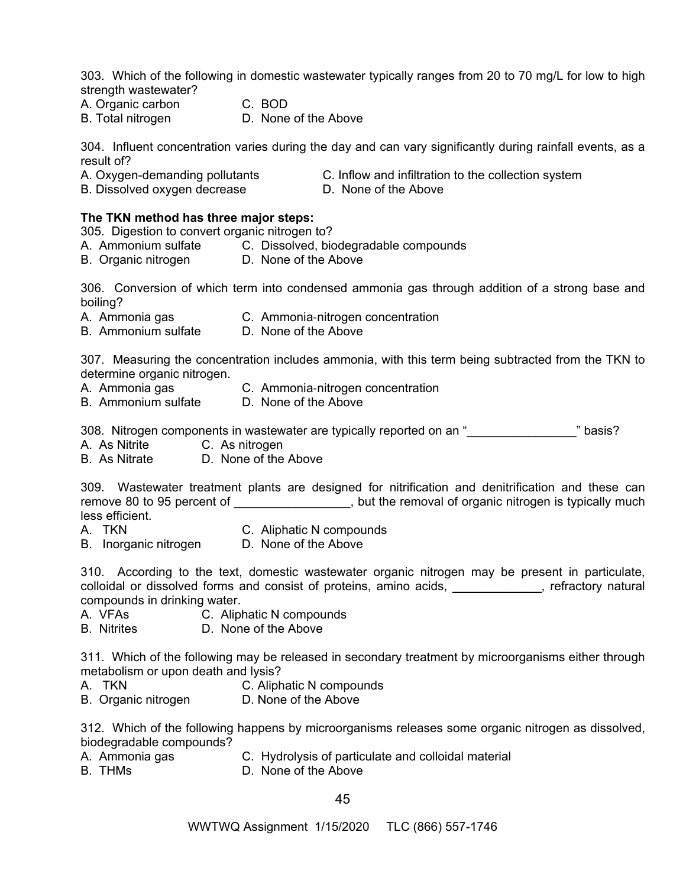303. Which of the following in domestic wastewater typically ranges from 20 to 70 mg/L for low to high strength wastewater?

- A. Organic carbon C. BOD
- B. Total nitrogen **D. None of the Above**
- 

304. Influent concentration varies during the day and can vary significantly during rainfall events, as a result of?

- 
- 
- A. Oxygen-demanding pollutants **C.** Inflow and infiltration to the collection system
- B. Dissolved oxygen decrease D. None of the Above
- 

# **The TKN method has three major steps:**

305. Digestion to convert organic nitrogen to?

- A. Ammonium sulfate C. Dissolved, biodegradable compounds
- B. Organic nitrogen **D. None of the Above**

306. Conversion of which term into condensed ammonia gas through addition of a strong base and boiling?

- A. Ammonia gas C. Ammonia-nitrogen concentration
- B. Ammonium sulfate D. None of the Above

307. Measuring the concentration includes ammonia, with this term being subtracted from the TKN to determine organic nitrogen.

- A. Ammonia gas C. Ammonia-nitrogen concentration
	-
- B. Ammonium sulfate D. None of the Above

308. Nitrogen components in wastewater are typically reported on an "<br>
letterman basis?

- A. As Nitrite C. As nitrogen
- B. As Nitrate D. None of the Above

309. Wastewater treatment plants are designed for nitrification and denitrification and these can remove 80 to 95 percent of \_\_\_\_\_\_\_\_\_\_\_\_\_\_\_\_\_\_, but the removal of organic nitrogen is typically much less efficient.

- A. TKN C. Aliphatic N compounds
- B. Inorganic nitrogen D. None of the Above

310. According to the text, domestic wastewater organic nitrogen may be present in particulate, colloidal or dissolved forms and consist of proteins, amino acids, with the stractory natural compounds in drinking water.

- A. VFAs C. Aliphatic N compounds
- B. Nitrites D. None of the Above

311. Which of the following may be released in secondary treatment by microorganisms either through metabolism or upon death and lysis?

- A. TKN C. Aliphatic N compounds
- B. Organic nitrogen D. None of the Above

312. Which of the following happens by microorganisms releases some organic nitrogen as dissolved, biodegradable compounds?

- A. Ammonia gas C. Hydrolysis of particulate and colloidal material
- B. THMs D. None of the Above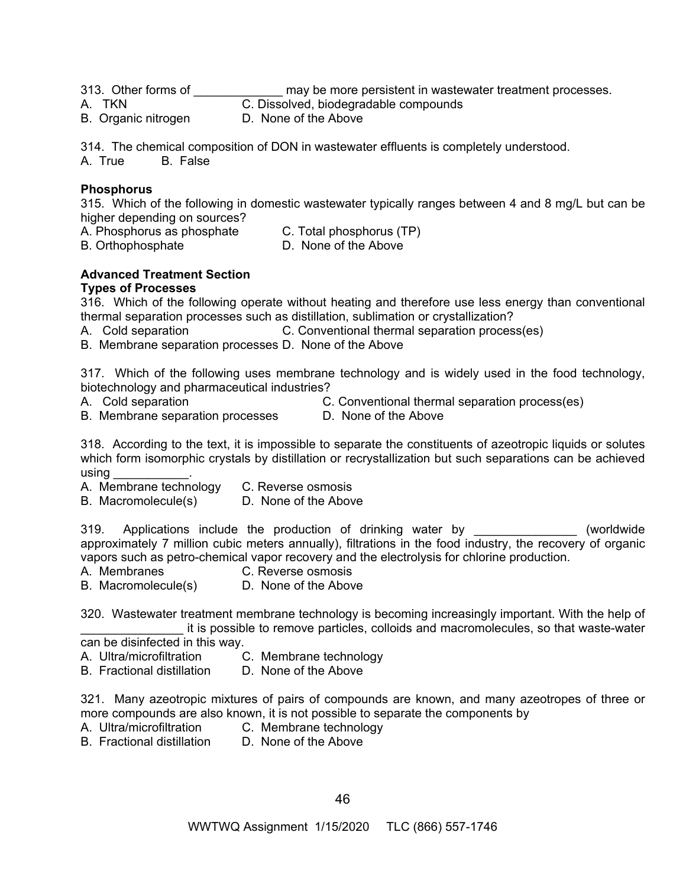313. Other forms of \_\_\_\_\_\_\_\_\_\_\_\_\_\_\_ may be more persistent in wastewater treatment processes.

A. TKN C. Dissolved, biodegradable compounds

B. Organic nitrogen D. None of the Above

314. The chemical composition of DON in wastewater effluents is completely understood.

A. True B. False

# **Phosphorus**

315. Which of the following in domestic wastewater typically ranges between 4 and 8 mg/L but can be higher depending on sources?

A. Phosphorus as phosphate C. Total phosphorus (TP)

B. Orthophosphate **D. None of the Above** 

#### **Advanced Treatment Section Types of Processes**

316. Which of the following operate without heating and therefore use less energy than conventional thermal separation processes such as distillation, sublimation or crystallization?

A. Cold separation C. Conventional thermal separation process(es)

B. Membrane separation processes D. None of the Above

317. Which of the following uses membrane technology and is widely used in the food technology, biotechnology and pharmaceutical industries?

- 
- B. Membrane separation processes D. None of the Above
- A. Cold separation C. Conventional thermal separation process(es)
	-

318. According to the text, it is impossible to separate the constituents of azeotropic liquids or solutes which form isomorphic crystals by distillation or recrystallization but such separations can be achieved using \_\_\_\_\_\_\_\_\_\_\_.

- A. Membrane technology C. Reverse osmosis
- B. Macromolecule(s) D. None of the Above

319. Applications include the production of drinking water by **Example 20** (worldwide approximately 7 million cubic meters annually), filtrations in the food industry, the recovery of organic vapors such as petro-chemical vapor recovery and the electrolysis for chlorine production.

- A. Membranes C. Reverse osmosis
- B. Macromolecule(s) D. None of the Above

320. Wastewater treatment membrane technology is becoming increasingly important. With the help of it is possible to remove particles, colloids and macromolecules, so that waste-water can be disinfected in this way.

- 
- A. Ultra/microfiltration C. Membrane technology
- B. Fractional distillation D. None of the Above

321. Many azeotropic mixtures of pairs of compounds are known, and many azeotropes of three or more compounds are also known, it is not possible to separate the components by<br>A. Ultra/microfiltration C. Membrane technology

- 
- C. Membrane technology
- B. Fractional distillation D. None of the Above
-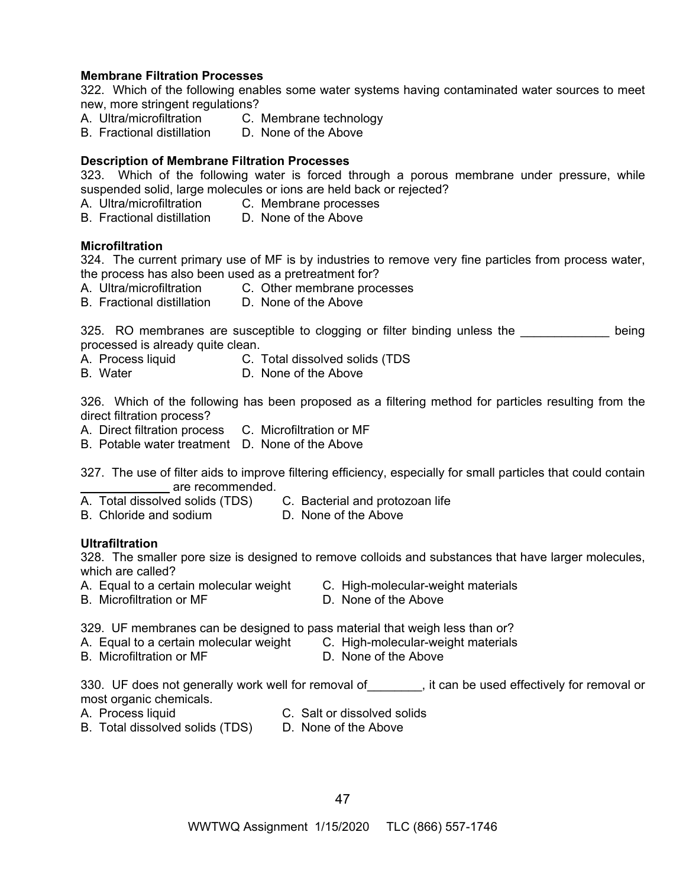#### **Membrane Filtration Processes**

322. Which of the following enables some water systems having contaminated water sources to meet new, more stringent regulations?

- A. Ultra/microfiltration C. Membrane technology
- B. Fractional distillation D. None of the Above

## **Description of Membrane Filtration Processes**

323. Which of the following water is forced through a porous membrane under pressure, while suspended solid, large molecules or ions are held back or rejected?<br>A. Ultra/microfiltration C. Membrane processes

- C. Membrane processes
- B. Fractional distillation D. None of the Above

#### **Microfiltration**

324. The current primary use of MF is by industries to remove very fine particles from process water, the process has also been used as a pretreatment for?

- A. Ultra/microfiltration C. Other membrane processes
- B. Fractional distillation D. None of the Above

325. RO membranes are susceptible to clogging or filter binding unless the **Example 1** being processed is already quite clean.

- A. Process liquid C. Total dissolved solids (TDS
- B. Water D. None of the Above

326. Which of the following has been proposed as a filtering method for particles resulting from the direct filtration process?

- A. Direct filtration process C. Microfiltration or MF
- B. Potable water treatment D. None of the Above

327. The use of filter aids to improve filtering efficiency, especially for small particles that could contain \_\_\_\_\_\_\_\_\_\_\_\_\_ are recommended.

- A. Total dissolved solids (TDS) C. Bacterial and protozoan life
- B. Chloride and sodium D. None of the Above

#### **Ultrafiltration**

328. The smaller pore size is designed to remove colloids and substances that have larger molecules, which are called?

- A. Equal to a certain molecular weight C. High-molecular-weight materials
	-
- 
- B. Microfiltration or MF D. None of the Above
- 
- 

329. UF membranes can be designed to pass material that weigh less than or?

- A. Equal to a certain molecular weight C. High-molecular-weight materials
- B. Microfiltration or MF D. None of the Above

330. UF does not generally work well for removal of\_\_\_\_\_\_\_\_, it can be used effectively for removal or most organic chemicals.

- A. Process liquid C. Salt or dissolved solids
- B. Total dissolved solids (TDS) D. None of the Above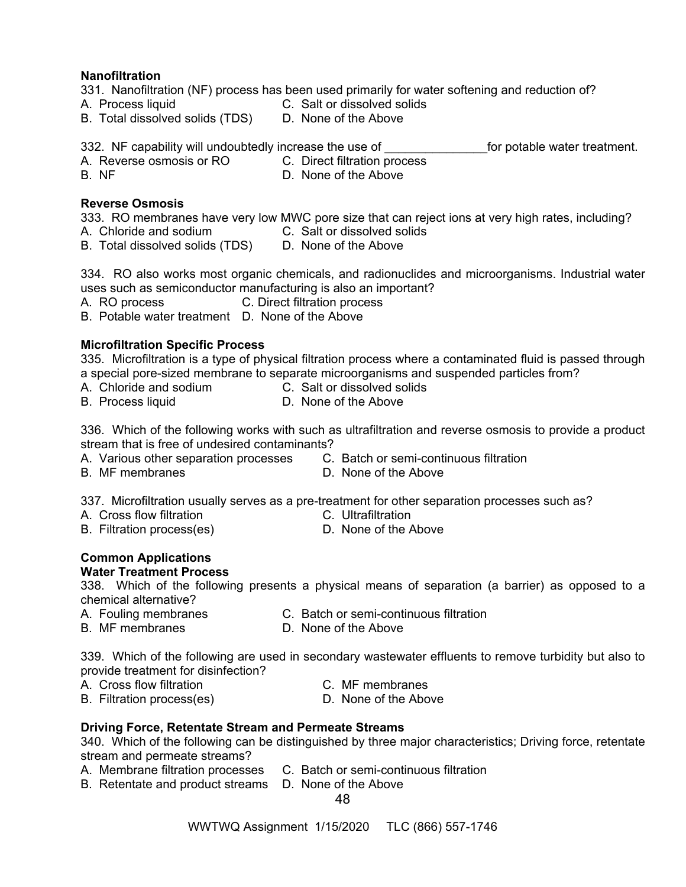## **Nanofiltration**

331. Nanofiltration (NF) process has been used primarily for water softening and reduction of?

- A. Process liquid C. Salt or dissolved solids
- B. Total dissolved solids (TDS) D. None of the Above
- 332. NF capability will undoubtedly increase the use of Theorem Constants for potable water treatment.
- A. Reverse osmosis or RO C. Direct filtration process
- 
- B. NF D. None of the Above

# **Reverse Osmosis**

333. RO membranes have very low MWC pore size that can reject ions at very high rates, including? A. Chloride and sodium C. Salt or dissolved solids

- B. Total dissolved solids (TDS) D. None of the Above
	-

334. RO also works most organic chemicals, and radionuclides and microorganisms. Industrial water uses such as semiconductor manufacturing is also an important?

- A. RO process C. Direct filtration process
- B. Potable water treatment D. None of the Above

# **Microfiltration Specific Process**

335.Microfiltration is a type of physical filtration process where a contaminated fluid is passed through a special pore-sized membrane to separate microorganisms and suspended particles from?

- A. Chloride and sodium C. Salt or dissolved solids
- B. Process liquid **D. None of the Above**
- 

336. Which of the following works with such as ultrafiltration and reverse osmosis to provide a product stream that is free of undesired contaminants?

- A. Various other separation processes C. Batch or semi-continuous filtration
- B. MF membranes D. None of the Above

337. Microfiltration usually serves as a pre-treatment for other separation processes such as?

- A. Cross flow filtration **C.** Ultrafiltration
- B. Filtration process(es) D. None of the Above

#### **Common Applications Water Treatment Process**

338. Which of the following presents a physical means of separation (a barrier) as opposed to a chemical alternative?

- A. Fouling membranes C. Batch or semi-continuous filtration
- B. MF membranes D. None of the Above

339. Which of the following are used in secondary wastewater effluents to remove turbidity but also to provide treatment for disinfection?

- A. Cross flow filtration **C.** MF membranes
	-
- B. Filtration process(es) D. None of the Above
- 
- 

#### **Driving Force, Retentate Stream and Permeate Streams**

340. Which of the following can be distinguished by three major characteristics; Driving force, retentate stream and permeate streams?

- A. Membrane filtration processes C. Batch or semi-continuous filtration
- B. Retentate and product streams D. None of the Above

48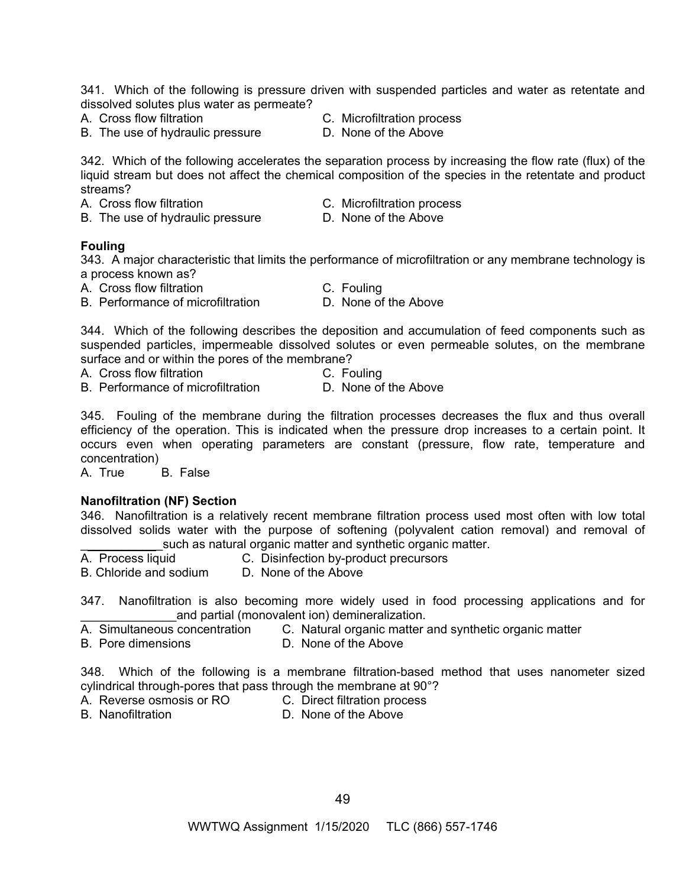341. Which of the following is pressure driven with suspended particles and water as retentate and dissolved solutes plus water as permeate?

- 
- B. The use of hydraulic pressure D. None of the Above
- A. Cross flow filtration C. Microfiltration process
	-

342. Which of the following accelerates the separation process by increasing the flow rate (flux) of the liquid stream but does not affect the chemical composition of the species in the retentate and product streams?<br>A. Cross flow filtration

- C. Microfiltration process
- B. The use of hydraulic pressure D. None of the Above
- 

## **Fouling**

343. A major characteristic that limits the performance of microfiltration or any membrane technology is a process known as?

A. Cross flow filtration C. Fouling

- 
- 
- B. Performance of microfiltration D. None of the Above

344. Which of the following describes the deposition and accumulation of feed components such as suspended particles, impermeable dissolved solutes or even permeable solutes, on the membrane surface and or within the pores of the membrane?

A. Cross flow filtration C. Fouling

- 
- B. Performance of microfiltration **D. None of the Above**

345. Fouling of the membrane during the filtration processes decreases the flux and thus overall efficiency of the operation. This is indicated when the pressure drop increases to a certain point. It occurs even when operating parameters are constant (pressure, flow rate, temperature and concentration)

A. True B. False

#### **Nanofiltration (NF) Section**

346. Nanofiltration is a relatively recent membrane filtration process used most often with low total dissolved solids water with the purpose of softening (polyvalent cation removal) and removal of such as natural organic matter and synthetic organic matter.

- A. Process liquid C. Disinfection by-product precursors
- B. Chloride and sodium D. None of the Above

347. Nanofiltration is also becoming more widely used in food processing applications and for and partial (monovalent ion) demineralization.

- A. Simultaneous concentration C. Natural organic matter and synthetic organic matter
- B. Pore dimensions **D. None of the Above**
- 

348. Which of the following is a membrane filtration-based method that uses nanometer sized cylindrical through-pores that pass through the membrane at 90°?

- A. Reverse osmosis or RO C. Direct filtration process
- 
- B. Nanofiltration **D.** None of the Above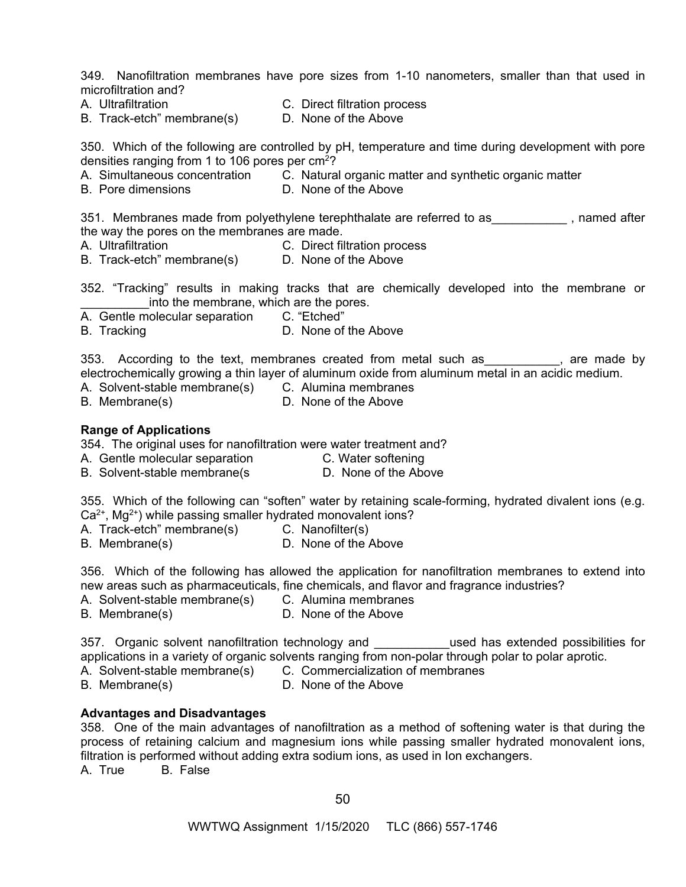349. Nanofiltration membranes have pore sizes from 1-10 nanometers, smaller than that used in microfiltration and?

- 
- A. Ultrafiltration C. Direct filtration process

B. Track-etch" membrane(s) D. None of the Above

350. Which of the following are controlled by pH, temperature and time during development with pore densities ranging from 1 to 106 pores per  $\text{cm}^2$ ?<br>A. Simultaneous concentration C. Natura

- C. Natural organic matter and synthetic organic matter
- B. Pore dimensions D. None of the Above

351. Membranes made from polyethylene terephthalate are referred to as\_\_\_\_\_\_\_\_\_\_\_\_, named after the way the pores on the membranes are made.

- 
- A. Ultrafiltration C. Direct filtration process
- B. Track-etch" membrane(s) D. None of the Above

352. "Tracking" results in making tracks that are chemically developed into the membrane or into the membrane, which are the pores.

- A. Gentle molecular separation C. "Etched"
- B. Tracking **D. None of the Above**

353. According to the text, membranes created from metal such as \_\_\_\_\_\_\_\_\_\_, are made by electrochemically growing a thin layer of aluminum oxide from aluminum metal in an acidic medium.

- A. Solvent-stable membrane(s) C. Alumina membranes
- B. Membrane(s) D. None of the Above

## **Range of Applications**

354. The original uses for nanofiltration were water treatment and?

- A. Gentle molecular separation **C. Water softening**
- B. Solvent-stable membrane(s D. None of the Above

355. Which of the following can "soften" water by retaining scale-forming, hydrated divalent ions (e.g.  $Ca<sup>2+</sup>, Mg<sup>2+</sup>$ ) while passing smaller hydrated monovalent ions?

A. Track-etch" membrane(s) C. Nanofilter(s)

B. Membrane(s) D. None of the Above

356. Which of the following has allowed the application for nanofiltration membranes to extend into new areas such as pharmaceuticals, fine chemicals, and flavor and fragrance industries?

- A. Solvent-stable membrane(s) C. Alumina membranes
- B. Membrane(s) D. None of the Above

357. Organic solvent nanofiltration technology and \_\_\_\_\_\_\_\_\_used has extended possibilities for applications in a variety of organic solvents ranging from non-polar through polar to polar aprotic.

- A. Solvent-stable membrane(s) C. Commercialization of membranes
- B. Membrane(s) D. None of the Above
	-

#### **Advantages and Disadvantages**

358. One of the main advantages of nanofiltration as a method of softening water is that during the process of retaining calcium and magnesium ions while passing smaller hydrated monovalent ions, filtration is performed without adding extra sodium ions, as used in Ion exchangers. A. True B. False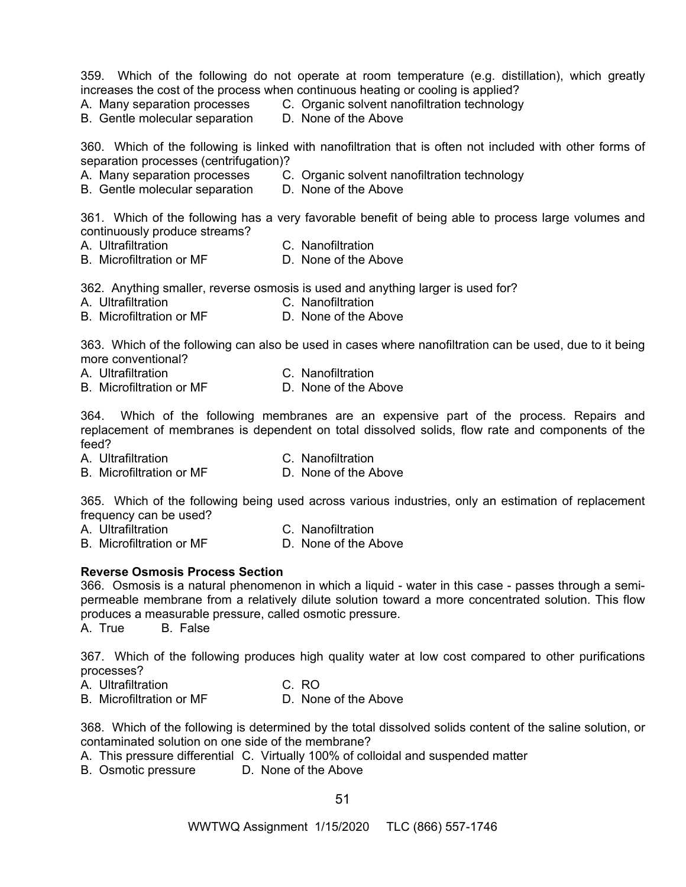359. Which of the following do not operate at room temperature (e.g. distillation), which greatly increases the cost of the process when continuous heating or cooling is applied?

A. Many separation processes C. Organic solvent nanofiltration technology

B. Gentle molecular separation D. None of the Above

360. Which of the following is linked with nanofiltration that is often not included with other forms of separation processes (centrifugation)?

- 
- A. Many separation processes C. Organic solvent nanofiltration technology
- B. Gentle molecular separation D. None of the Above

361. Which of the following has a very favorable benefit of being able to process large volumes and continuously produce streams?

- 
- A. Ultrafiltration C. Nanofiltration
- B. Microfiltration or MF D. None of the Above

362. Anything smaller, reverse osmosis is used and anything larger is used for?

- A. Ultrafiltration C. Nanofiltration
- B. Microfiltration or MF D. None of the Above

363. Which of the following can also be used in cases where nanofiltration can be used, due to it being more conventional?

- A. Ultrafiltration C. Nanofiltration
- B. Microfiltration or MF D. None of the Above

364. Which of the following membranes are an expensive part of the process. Repairs and replacement of membranes is dependent on total dissolved solids, flow rate and components of the feed?

A. Ultrafiltration C. Nanofiltration

B. Microfiltration or MF D. None of the Above

365. Which of the following being used across various industries, only an estimation of replacement frequency can be used?

- A. Ultrafiltration C. Nanofiltration
- B. Microfiltration or MF D. None of the Above

# **Reverse Osmosis Process Section**

366. Osmosis is a natural phenomenon in which a liquid - water in this case - passes through a semipermeable membrane from a relatively dilute solution toward a more concentrated solution. This flow produces a measurable pressure, called osmotic pressure.

A. True B. False

367. Which of the following produces high quality water at low cost compared to other purifications processes?

- A. Ultrafiltration C. RO
- B. Microfiltration or MF D. None of the Above

368. Which of the following is determined by the total dissolved solids content of the saline solution, or contaminated solution on one side of the membrane?

- A. This pressure differential C. Virtually 100% of colloidal and suspended matter
- B. Osmotic pressure D. None of the Above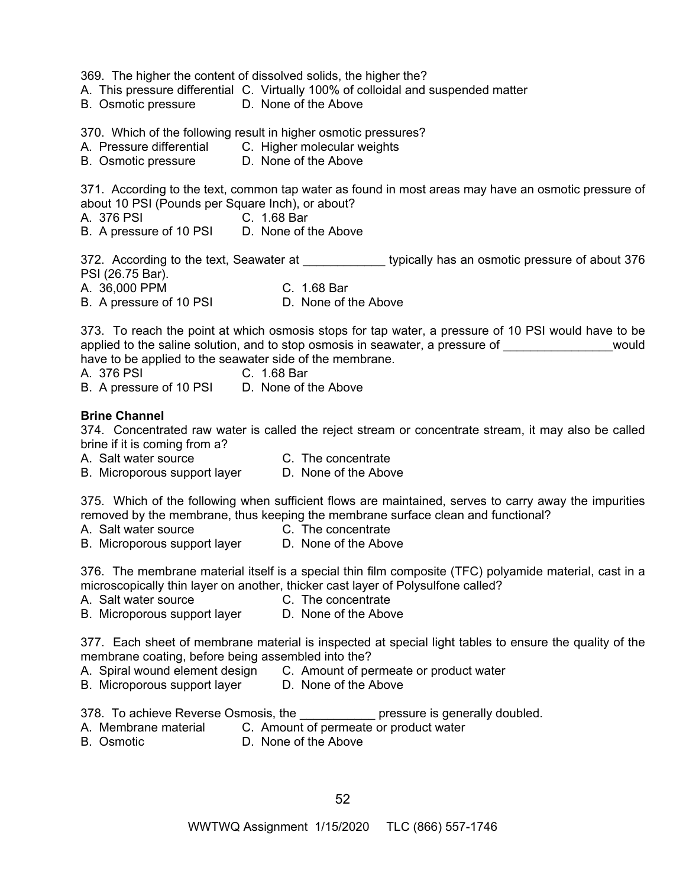369. The higher the content of dissolved solids, the higher the?

A. This pressure differential C. Virtually 100% of colloidal and suspended matter

B. Osmotic pressure D. None of the Above

370. Which of the following result in higher osmotic pressures?

- A. Pressure differential C. Higher molecular weights
- B. Osmotic pressure D. None of the Above

371. According to the text, common tap water as found in most areas may have an osmotic pressure of about 10 PSI (Pounds per Square Inch), or about?

A. 376 PSI C. 1.68 Bar

B. A pressure of 10 PSI D. None of the Above

372. According to the text, Seawater at \_\_\_\_\_\_\_\_\_\_\_\_\_\_\_ typically has an osmotic pressure of about 376 PSI (26.75 Bar). A. 36,000 PPM C. 1.68 Bar B. A pressure of 10 PSI D. None of the Above

373. To reach the point at which osmosis stops for tap water, a pressure of 10 PSI would have to be applied to the saline solution, and to stop osmosis in seawater, a pressure of would have to be applied to the seawater side of the membrane.

A. 376 PSI C. 1.68 Bar

B. A pressure of 10 PSI D. None of the Above

#### **Brine Channel**

374. Concentrated raw water is called the reject stream or concentrate stream, it may also be called brine if it is coming from a?

- A. Salt water source C. The concentrate
- B. Microporous support layer D. None of the Above

375. Which of the following when sufficient flows are maintained, serves to carry away the impurities removed by the membrane, thus keeping the membrane surface clean and functional?

- A. Salt water source C. The concentrate
- B. Microporous support layer D. None of the Above

376. The membrane material itself is a special thin film composite (TFC) polyamide material, cast in a microscopically thin layer on another, thicker cast layer of Polysulfone called?

- A. Salt water source C. The concentrate
- B. Microporous support layer D. None of the Above

377. Each sheet of membrane material is inspected at special light tables to ensure the quality of the membrane coating, before being assembled into the?

- A. Spiral wound element design C. Amount of permeate or product water
- B. Microporous support layer D. None of the Above

378. To achieve Reverse Osmosis, the **Example 20** pressure is generally doubled.

- A. Membrane material C. Amount of permeate or product water
- B. Osmotic D. None of the Above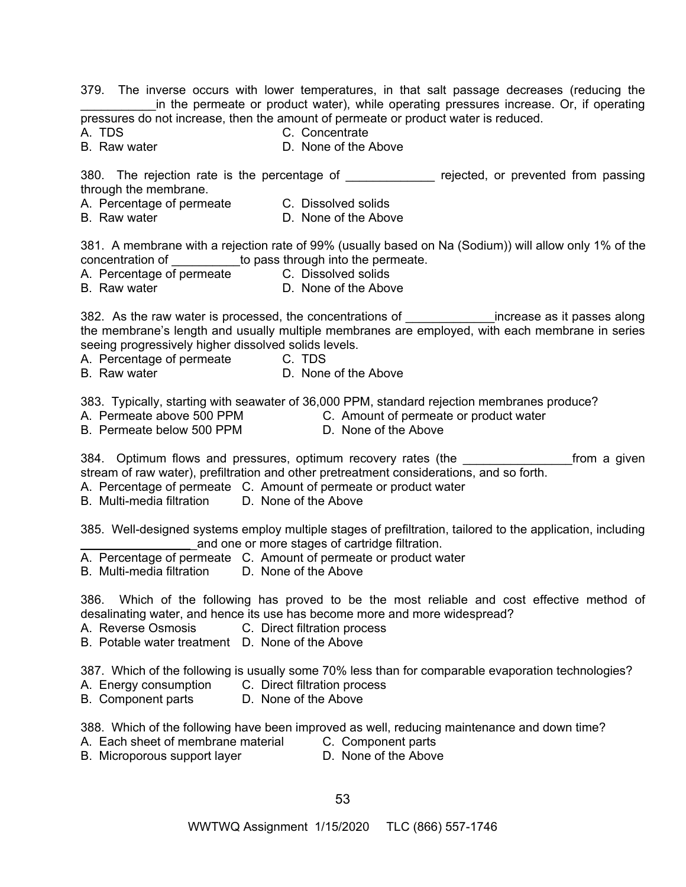379. The inverse occurs with lower temperatures, in that salt passage decreases (reducing the \_\_\_\_\_\_\_\_\_\_\_in the permeate or product water), while operating pressures increase. Or, if operating pressures do not increase, then the amount of permeate or product water is reduced.

- 
- A. TDS C. Concentrate
- B. Raw water **D. None of the Above**

380. The rejection rate is the percentage of The Prejected, or prevented from passing through the membrane.

- A. Percentage of permeate C. Dissolved solids
- B. Raw water **D. None of the Above**

381. A membrane with a rejection rate of 99% (usually based on Na (Sodium)) will allow only 1% of the concentration of \_\_\_\_\_\_\_\_\_\_to pass through into the permeate.

A. Percentage of permeate C. Dissolved solids

B. Raw water **D. D. None of the Above** 

382. As the raw water is processed, the concentrations of \_\_\_\_\_\_\_\_\_\_\_\_\_\_\_\_\_\_\_\_\_\_\_increase as it passes along the membrane's length and usually multiple membranes are employed, with each membrane in series seeing progressively higher dissolved solids levels.

A. Percentage of permeate C. TDS

B. Raw water **D. None of the Above** 

383. Typically, starting with seawater of 36,000 PPM, standard rejection membranes produce?

A. Permeate above 500 PPM C. Amount of permeate or product water

B. Permeate below 500 PPM D. None of the Above

384. Optimum flows and pressures, optimum recovery rates (the **come a set of rom** a given stream of raw water), prefiltration and other pretreatment considerations, and so forth.

- A. Percentage of permeate C. Amount of permeate or product water
- B. Multi-media filtration D. None of the Above

385. Well-designed systems employ multiple stages of prefiltration, tailored to the application, including and one or more stages of cartridge filtration.

- A. Percentage of permeate C. Amount of permeate or product water
- B. Multi-media filtration D. None of the Above

386. Which of the following has proved to be the most reliable and cost effective method of desalinating water, and hence its use has become more and more widespread?

- A. Reverse Osmosis C. Direct filtration process
- B. Potable water treatment D. None of the Above

387. Which of the following is usually some 70% less than for comparable evaporation technologies?

- A. Energy consumption C. Direct filtration process
- B. Component parts D. None of the Above

388. Which of the following have been improved as well, reducing maintenance and down time?

- A. Each sheet of membrane material C. Component parts
	-
- B. Microporous support layer **D. None of the Above**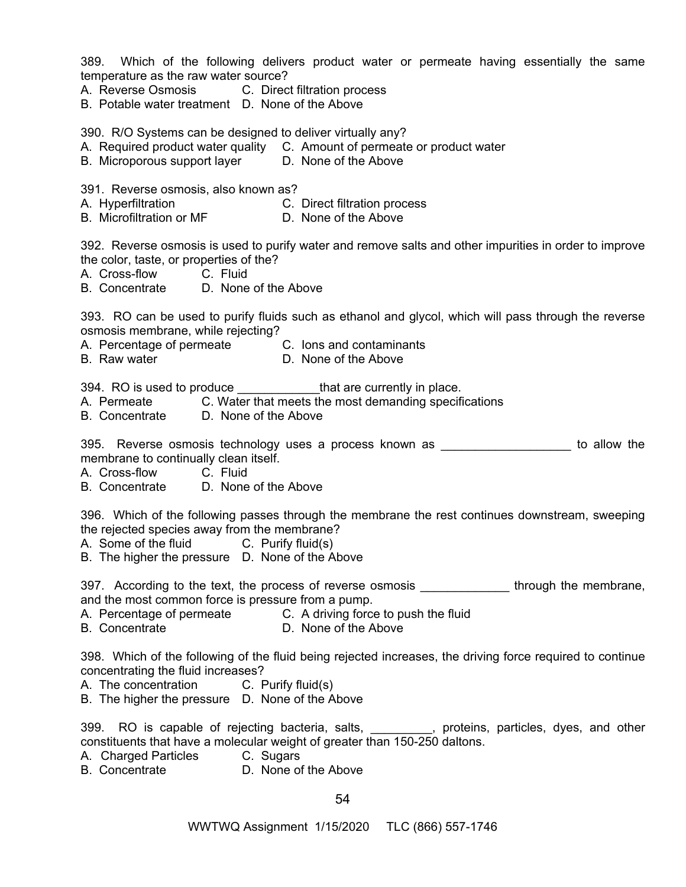389. Which of the following delivers product water or permeate having essentially the same temperature as the raw water source?

- A. Reverse Osmosis C. Direct filtration process
- B. Potable water treatment D. None of the Above

390. R/O Systems can be designed to deliver virtually any?

- A. Required product water quality C. Amount of permeate or product water
- B. Microporous support layer D. None of the Above

391. Reverse osmosis, also known as?

- A. Hyperfiltration C. Direct filtration process
- B. Microfiltration or MF D. None of the Above

392. Reverse osmosis is used to purify water and remove salts and other impurities in order to improve the color, taste, or properties of the?

A. Cross-flow C. Fluid

B. Concentrate D. None of the Above

393. RO can be used to purify fluids such as ethanol and glycol, which will pass through the reverse osmosis membrane, while rejecting?

A. Percentage of permeate C. Ions and contaminants

B. Raw water **D. None of the Above** 

394. RO is used to produce \_\_\_\_\_\_\_\_\_\_\_\_\_\_\_that are currently in place.

- A. Permeate C. Water that meets the most demanding specifications
- B. Concentrate D. None of the Above

395. Reverse osmosis technology uses a process known as **Example 2018** to allow the membrane to continually clean itself.

A. Cross-flow C. Fluid

B. Concentrate D. None of the Above

396. Which of the following passes through the membrane the rest continues downstream, sweeping the rejected species away from the membrane?

- A. Some of the fluid C. Purify fluid(s)
- B. The higher the pressure D. None of the Above

397. According to the text, the process of reverse osmosis **Example 2018** through the membrane, and the most common force is pressure from a pump.

- A. Percentage of permeate C. A driving force to push the fluid
- B. Concentrate D. None of the Above

398. Which of the following of the fluid being rejected increases, the driving force required to continue concentrating the fluid increases?

A. The concentration C. Purify fluid(s)

B. The higher the pressure D. None of the Above

399. RO is capable of rejecting bacteria, salts, excluding proteins, particles, dyes, and other constituents that have a molecular weight of greater than 150-250 daltons.

- A. Charged Particles C. Sugars
- B. Concentrate D. None of the Above

54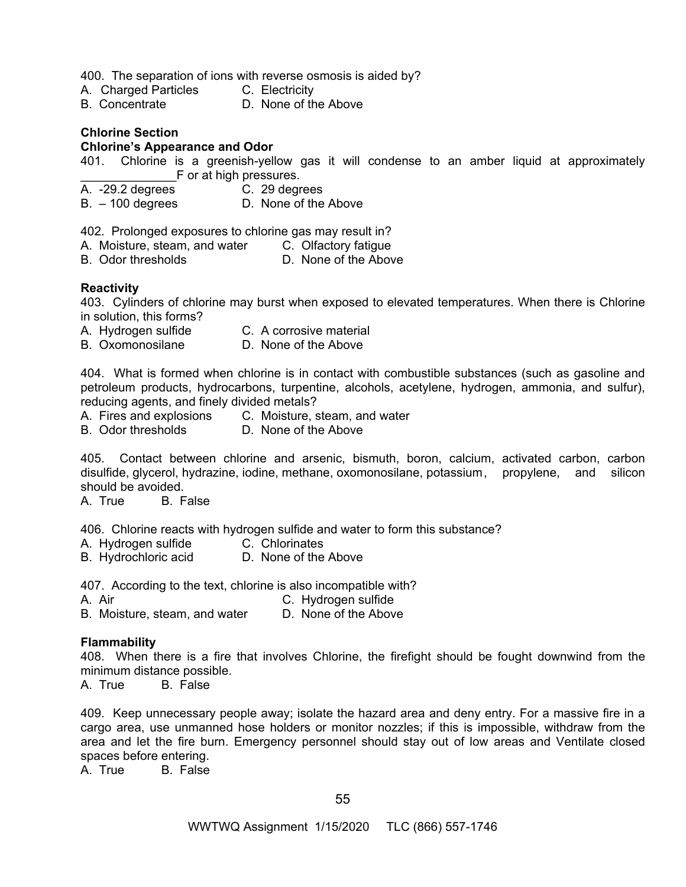400. The separation of ions with reverse osmosis is aided by?

- A. Charged Particles C. Electricity
- B. Concentrate D. None of the Above

# **Chlorine Section**

#### **Chlorine's Appearance and Odor**

401. Chlorine is a greenish-yellow gas it will condense to an amber liquid at approximately F or at high pressures.

- A. -29.2 degrees C. 29 degrees
- B. 100 degrees D. None of the Above

402. Prolonged exposures to chlorine gas may result in?

- A. Moisture, steam, and water C. Olfactory fatigue
- B. Odor thresholds **D.** None of the Above

## **Reactivity**

403. Cylinders of chlorine may burst when exposed to elevated temperatures. When there is Chlorine in solution, this forms?

- A. Hydrogen sulfide C. A corrosive material
- B. Oxomonosilane D. None of the Above

404. What is formed when chlorine is in contact with combustible substances (such as gasoline and petroleum products, hydrocarbons, turpentine, alcohols, acetylene, hydrogen, ammonia, and sulfur), reducing agents, and finely divided metals?

- A. Fires and explosions C. Moisture, steam, and water
- B. Odor thresholds D. None of the Above

405. Contact between chlorine and arsenic, bismuth, boron, calcium, activated carbon, carbon disulfide, glycerol, hydrazine, iodine, methane, oxomonosilane, potassium , propylene, and silicon should be avoided.

A. True B. False

406. Chlorine reacts with hydrogen sulfide and water to form this substance?

- A. Hydrogen sulfide C. Chlorinates
- B. Hydrochloric acid D. None of the Above

407. According to the text, chlorine is also incompatible with?

A. Air C. Hydrogen sulfide

B. Moisture, steam, and water D. None of the Above

#### **Flammability**

408. When there is a fire that involves Chlorine, the firefight should be fought downwind from the minimum distance possible.

A. True B. False

409. Keep unnecessary people away; isolate the hazard area and deny entry. For a massive fire in a cargo area, use unmanned hose holders or monitor nozzles; if this is impossible, withdraw from the area and let the fire burn. Emergency personnel should stay out of low areas and Ventilate closed spaces before entering.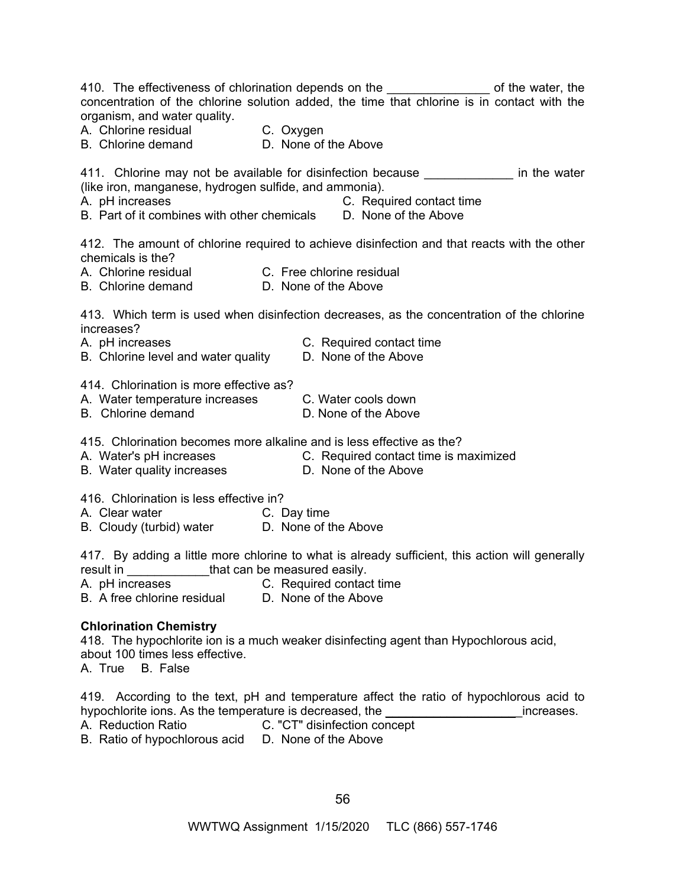| organism, and water quality.<br>A. Chlorine residual C. Oxygen<br>B. Chlorine demand D. None of                                  | 410. The effectiveness of chlorination depends on the ________________ of the water, the<br>concentration of the chlorine solution added, the time that chlorine is in contact with the<br>D. None of the Above |
|----------------------------------------------------------------------------------------------------------------------------------|-----------------------------------------------------------------------------------------------------------------------------------------------------------------------------------------------------------------|
| (like iron, manganese, hydrogen sulfide, and ammonia).<br>A. pH increases                                                        | 411. Chlorine may not be available for disinfection because _______________ in the water<br>C. Required contact time<br>B. Part of it combines with other chemicals D. None of the Above                        |
| chemicals is the?<br>A. Chlorine residual C. Free chlorine residual                                                              | 412. The amount of chlorine required to achieve disinfection and that reacts with the other                                                                                                                     |
| B. Chlorine demand                                                                                                               | D. None of the Above                                                                                                                                                                                            |
| increases?<br>A. pH increases<br>B. Chlorine level and water quality                                                             | 413. Which term is used when disinfection decreases, as the concentration of the chlorine<br>C. Required contact time<br>D. None of the Above                                                                   |
| 414. Chlorination is more effective as?<br>A. Water temperature increases<br><b>B.</b> Chlorine demand                           | C. Water cools down<br>D. None of the Above                                                                                                                                                                     |
| B. Water quality increases <b>D. None of the Above</b>                                                                           | 415. Chlorination becomes more alkaline and is less effective as the?<br>A. Water's pH increases C. Required contact time is maximized                                                                          |
| 416. Chlorination is less effective in?<br>A. Clear water<br><b>C.</b> Day time<br>B. Cloudy (turbid) water D. None of the Above |                                                                                                                                                                                                                 |
| result in ______________that can be measured easily.<br>A. pH increases C. Required contact time<br>B. A free chlorine residual  | 417. By adding a little more chlorine to what is already sufficient, this action will generally<br>D. None of the Above                                                                                         |
| <b>Chlorination Chemistry</b><br>about 100 times less effective.<br>A True R Ealco                                               | 418. The hypochlorite ion is a much weaker disinfecting agent than Hypochlorous acid,                                                                                                                           |

A. Irue B. False

419. According to the text, pH and temperature affect the ratio of hypochlorous acid to hypochlorite ions. As the temperature is decreased, the \_\_\_\_\_\_\_\_\_\_\_\_\_\_\_\_\_\_\_\_\_\_\_\_\_increases.

A. Reduction Ratio C. "CT" disinfection concept

B. Ratio of hypochlorous acid D. None of the Above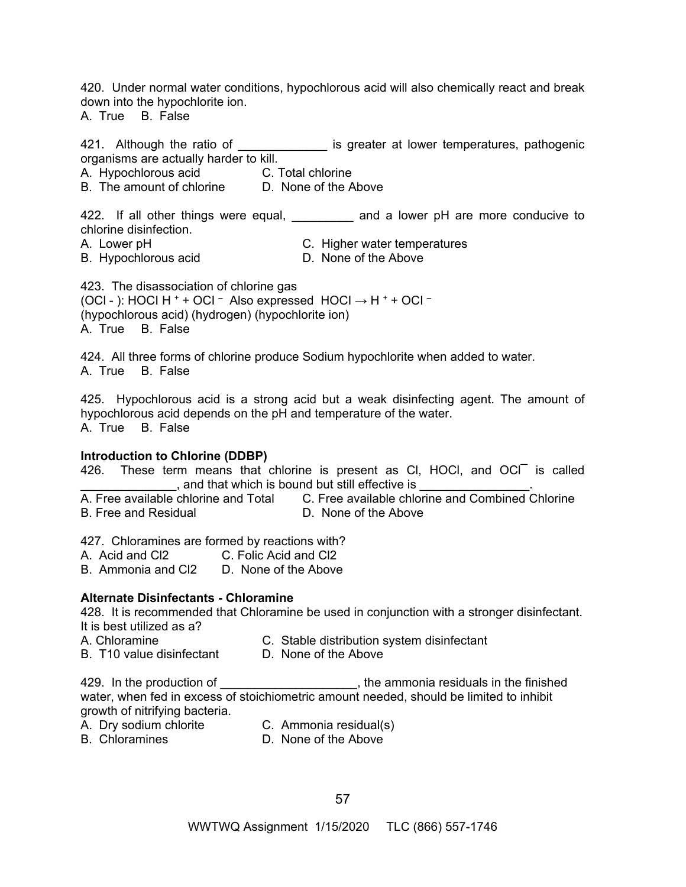420. Under normal water conditions, hypochlorous acid will also chemically react and break down into the hypochlorite ion.

A. True B. False

421. Although the ratio of \_\_\_\_\_\_\_\_\_\_\_\_\_\_ is greater at lower temperatures, pathogenic organisms are actually harder to kill.

A. Hypochlorous acid **C. Total chlorine** 

B. The amount of chlorine D. None of the Above

422. If all other things were equal, \_\_\_\_\_\_\_\_ and a lower pH are more conducive to chlorine disinfection.

A. Lower pH C. Higher water temperatures

B. Hypochlorous acid **D. None of the Above** 

423. The disassociation of chlorine gas (OCI - ): HOCI H  $^+$  + OCI  $^-$  Also expressed HOCI  $\rightarrow$  H  $^+$  + OCI  $^-$ (hypochlorous acid) (hydrogen) (hypochlorite ion) A. True B. False

424. All three forms of chlorine produce Sodium hypochlorite when added to water. A. True B. False

425. Hypochlorous acid is a strong acid but a weak disinfecting agent. The amount of hypochlorous acid depends on the pH and temperature of the water. A. True B. False

# **Introduction to Chlorine (DDBP)**

426. These term means that chlorine is present as CI, HOCI, and  $OCI<sup>-</sup>$  is called , and that which is bound but still effective is

A. Free available chlorine and Total C. Free available chlorine and Combined Chlorine B. Free and Residual D. None of the Above

427. Chloramines are formed by reactions with?

- A. Acid and Cl2 C. Folic Acid and Cl2
- B. Ammonia and Cl2 D. None of the Above

# **Alternate Disinfectants - Chloramine**

428. It is recommended that Chloramine be used in conjunction with a stronger disinfectant. It is best utilized as a?

- 
- A. Chloramine C. Stable distribution system disinfectant B. T10 value disinfectant D. None of the Above

429. In the production of the state of the ammonia residuals in the finished water, when fed in excess of stoichiometric amount needed, should be limited to inhibit growth of nitrifying bacteria.

- 
- A. Dry sodium chlorite C. Ammonia residual(s)
- 
- B. Chloramines D. None of the Above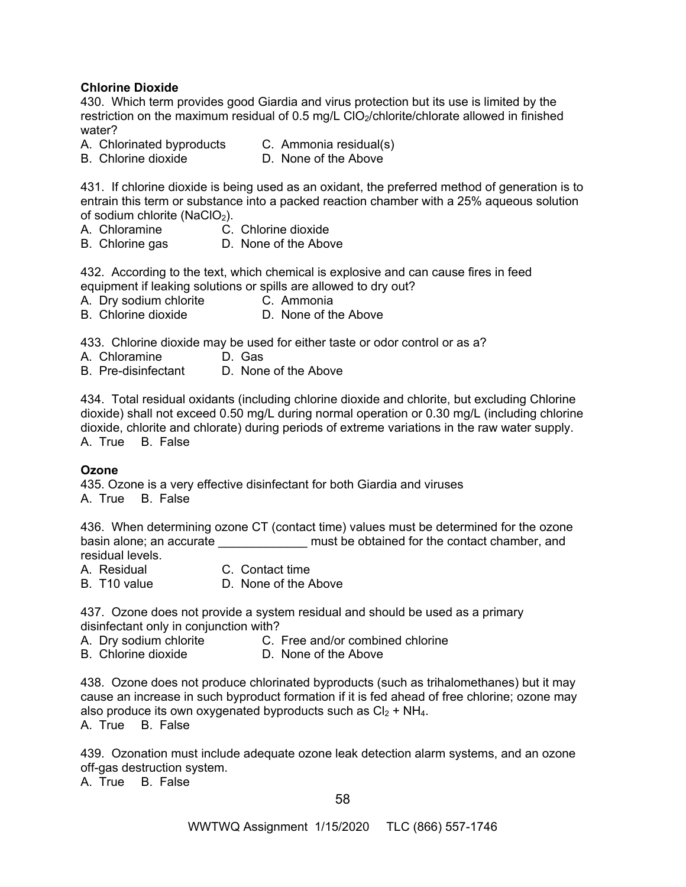# **Chlorine Dioxide**

430. Which term provides good Giardia and virus protection but its use is limited by the restriction on the maximum residual of 0.5 mg/L ClO<sub>2</sub>/chlorite/chlorate allowed in finished water?

- A. Chlorinated byproducts C. Ammonia residual(s)
- B. Chlorine dioxide D. None of the Above

431. If chlorine dioxide is being used as an oxidant, the preferred method of generation is to entrain this term or substance into a packed reaction chamber with a 25% aqueous solution of sodium chlorite (NaClO<sub>2</sub>).

- A. Chloramine C. Chlorine dioxide
- B. Chlorine gas D. None of the Above

432. According to the text, which chemical is explosive and can cause fires in feed equipment if leaking solutions or spills are allowed to dry out?

- A. Dry sodium chlorite C. Ammonia
- B. Chlorine dioxide D. None of the Above

433. Chlorine dioxide may be used for either taste or odor control or as a?

- A. Chloramine D. Gas
- B. Pre-disinfectant D. None of the Above

434. Total residual oxidants (including chlorine dioxide and chlorite, but excluding Chlorine dioxide) shall not exceed 0.50 mg/L during normal operation or 0.30 mg/L (including chlorine dioxide, chlorite and chlorate) during periods of extreme variations in the raw water supply. A. True B. False

# **Ozone**

435. Ozone is a very effective disinfectant for both Giardia and viruses A. True B. False

436. When determining ozone CT (contact time) values must be determined for the ozone basin alone; an accurate **Exercise 20** must be obtained for the contact chamber, and residual levels.

A. Residual C. Contact time

B. T10 value D. None of the Above

437. Ozone does not provide a system residual and should be used as a primary disinfectant only in conjunction with?

- A. Dry sodium chlorite C. Free and/or combined chlorine
- B. Chlorine dioxide D. None of the Above

438. Ozone does not produce chlorinated byproducts (such as trihalomethanes) but it may cause an increase in such byproduct formation if it is fed ahead of free chlorine; ozone may also produce its own oxygenated byproducts such as  $Cl<sub>2</sub> + NH<sub>4</sub>$ .

A. True B. False

439. Ozonation must include adequate ozone leak detection alarm systems, and an ozone off-gas destruction system.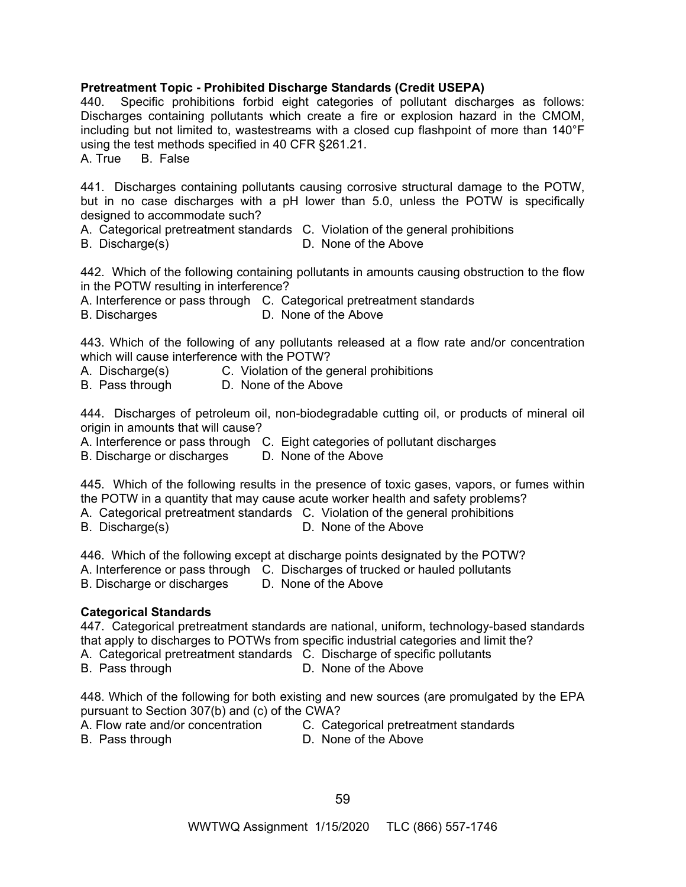# **Pretreatment Topic - Prohibited Discharge Standards (Credit USEPA)**

440. Specific prohibitions forbid eight categories of pollutant discharges as follows: Discharges containing pollutants which create a fire or explosion hazard in the CMOM, including but not limited to, wastestreams with a closed cup flashpoint of more than 140°F using the test methods specified in 40 CFR §261.21.

A. True B. False

441. Discharges containing pollutants causing corrosive structural damage to the POTW, but in no case discharges with a pH lower than 5.0, unless the POTW is specifically designed to accommodate such?

A. Categorical pretreatment standards C. Violation of the general prohibitions

B. Discharge(s) D. None of the Above

442. Which of the following containing pollutants in amounts causing obstruction to the flow in the POTW resulting in interference?

A. Interference or pass through C. Categorical pretreatment standards

B. Discharges D. None of the Above

443. Which of the following of any pollutants released at a flow rate and/or concentration which will cause interference with the POTW?

- A. Discharge(s) C. Violation of the general prohibitions
- B. Pass through D. None of the Above

444. Discharges of petroleum oil, non-biodegradable cutting oil, or products of mineral oil origin in amounts that will cause?

- A. Interference or pass through C. Eight categories of pollutant discharges
- B. Discharge or discharges D. None of the Above

445. Which of the following results in the presence of toxic gases, vapors, or fumes within the POTW in a quantity that may cause acute worker health and safety problems?

A. Categorical pretreatment standards C. Violation of the general prohibitions

B. Discharge(s) D. None of the Above

446. Which of the following except at discharge points designated by the POTW?

A. Interference or pass through C. Discharges of trucked or hauled pollutants

B. Discharge or discharges D. None of the Above

# **Categorical Standards**

447. Categorical pretreatment standards are national, uniform, technology-based standards that apply to discharges to POTWs from specific industrial categories and limit the?

A. Categorical pretreatment standards C. Discharge of specific pollutants

B. Pass through D. None of the Above

448. Which of the following for both existing and new sources (are promulgated by the EPA pursuant to Section 307(b) and (c) of the CWA?

- 
- B. Pass through D. None of the Above
- A. Flow rate and/or concentration C. Categorical pretreatment standards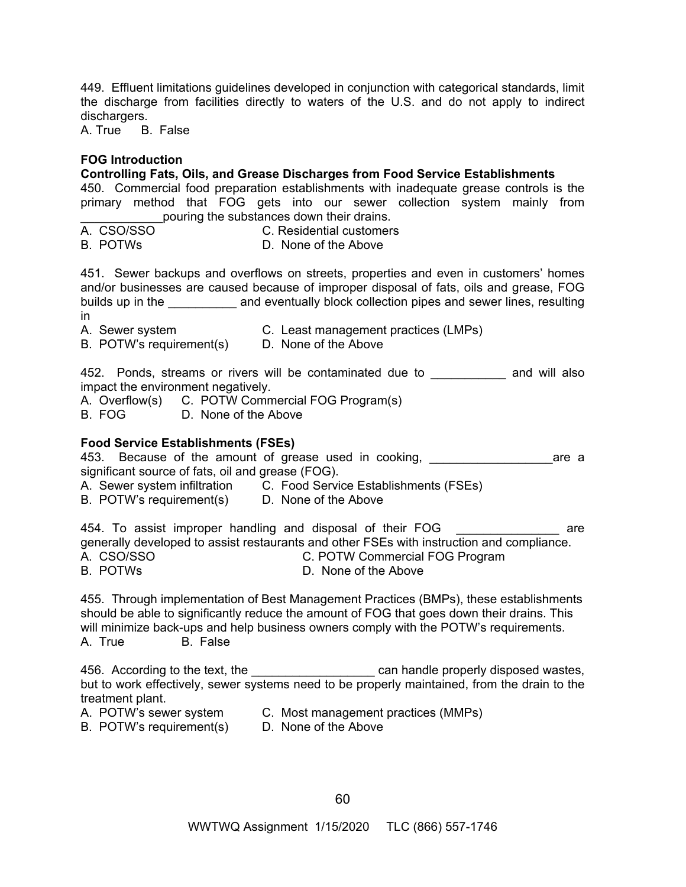449. Effluent limitations guidelines developed in conjunction with categorical standards, limit the discharge from facilities directly to waters of the U.S. and do not apply to indirect dischargers.

A. True B. False

## **FOG Introduction**

**Controlling Fats, Oils, and Grease Discharges from Food Service Establishments** 

450. Commercial food preparation establishments with inadequate grease controls is the primary method that FOG gets into our sewer collection system mainly from pouring the substances down their drains.

| A. CSO/SSO | C. Residential customers |
|------------|--------------------------|
| B. POTWS   | D. None of the Above     |

451. Sewer backups and overflows on streets, properties and even in customers' homes and/or businesses are caused because of improper disposal of fats, oils and grease, FOG builds up in the **Example 20** and eventually block collection pipes and sewer lines, resulting in

- A. Sewer system C. Least management practices (LMPs)
- B. POTW's requirement(s) D. None of the Above

452. Ponds, streams or rivers will be contaminated due to \_\_\_\_\_\_\_\_\_\_\_\_ and will also impact the environment negatively.

- A. Overflow(s) C. POTW Commercial FOG Program(s)
- B. FOG D. None of the Above

#### **Food Service Establishments (FSEs)**

- 453. Because of the amount of grease used in cooking, \_\_\_\_\_\_\_\_\_\_\_\_\_\_\_\_\_\_\_\_\_\_\_\_\_\_ are a significant source of fats, oil and grease (FOG).
- A. Sewer system infiltration C. Food Service Establishments (FSEs)
- B. POTW's requirement(s) D. None of the Above

454. To assist improper handling and disposal of their FOG **wases and all are** generally developed to assist restaurants and other FSEs with instruction and compliance. A. CSO/SSO C. POTW Commercial FOG Program B. POTWs D. None of the Above

455. Through implementation of Best Management Practices (BMPs), these establishments should be able to significantly reduce the amount of FOG that goes down their drains. This will minimize back-ups and help business owners comply with the POTW's requirements. A. True B. False

456. According to the text, the \_\_\_\_\_\_\_\_\_\_\_\_\_\_\_\_\_\_\_\_\_\_\_ can handle properly disposed wastes, but to work effectively, sewer systems need to be properly maintained, from the drain to the treatment plant.

- A. POTW's sewer system C. Most management practices (MMPs)
- B. POTW's requirement(s) D. None of the Above
	-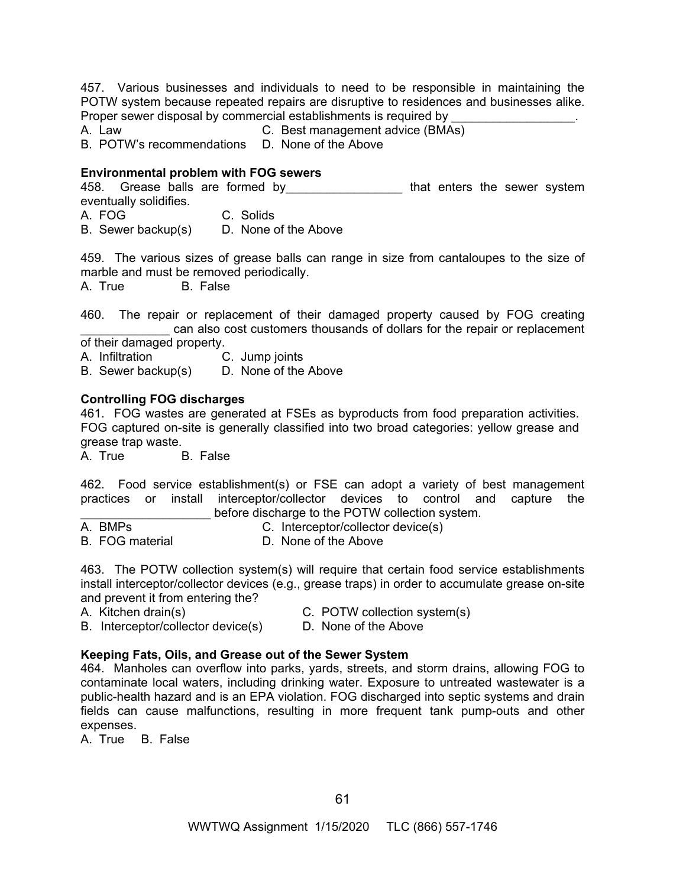457. Various businesses and individuals to need to be responsible in maintaining the POTW system because repeated repairs are disruptive to residences and businesses alike. Proper sewer disposal by commercial establishments is required by <br>A. Law C. Best management advice (BMA

C. Best management advice (BMAs)

B. POTW's recommendations D. None of the Above

# **Environmental problem with FOG sewers**

458. Grease balls are formed by \_\_\_\_\_\_\_\_\_\_\_\_\_\_\_\_\_\_\_\_\_ that enters the sewer system eventually solidifies. A. FOG C. Solids

B. Sewer backup(s) D. None of the Above

459. The various sizes of grease balls can range in size from cantaloupes to the size of marble and must be removed periodically.

A. True B. False

460. The repair or replacement of their damaged property caused by FOG creating can also cost customers thousands of dollars for the repair or replacement

of their damaged property.

A. Infiltration C. Jump joints B. Sewer backup(s) D. None of the Above

# **Controlling FOG discharges**

461. FOG wastes are generated at FSEs as byproducts from food preparation activities. FOG captured on-site is generally classified into two broad categories: yellow grease and grease trap waste.

A. True B. False

462. Food service establishment(s) or FSE can adopt a variety of best management practices or install interceptor/collector devices to control and capture the before discharge to the POTW collection system.

| A. BMPs                | C. Interceptor/collector device(s) |  |
|------------------------|------------------------------------|--|
| <b>B.</b> FOG material | D. None of the Above               |  |

463. The POTW collection system(s) will require that certain food service establishments install interceptor/collector devices (e.g., grease traps) in order to accumulate grease on-site and prevent it from entering the?

- 
- A. Kitchen drain(s) C. POTW collection system(s)
- B. Interceptor/collector device(s) D. None of the Above
- 

# **Keeping Fats, Oils, and Grease out of the Sewer System**

464. Manholes can overflow into parks, yards, streets, and storm drains, allowing FOG to contaminate local waters, including drinking water. Exposure to untreated wastewater is a public-health hazard and is an EPA violation. FOG discharged into septic systems and drain fields can cause malfunctions, resulting in more frequent tank pump-outs and other expenses.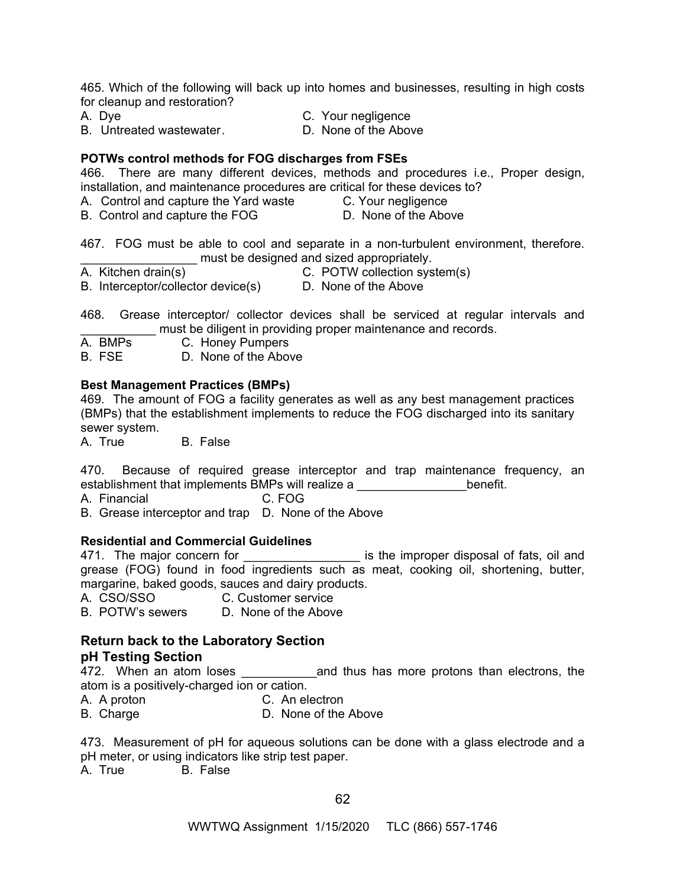465. Which of the following will back up into homes and businesses, resulting in high costs for cleanup and restoration?

A. Dye C. Your negligence

B. Untreated wastewater. **D. None of the Above** 

#### **POTWs control methods for FOG discharges from FSEs**

466. There are many different devices, methods and procedures i.e., Proper design, installation, and maintenance procedures are critical for these devices to?

- A. Control and capture the Yard waste C. Your negligence
- B. Control and capture the FOG D. None of the Above

467. FOG must be able to cool and separate in a non-turbulent environment, therefore. must be designed and sized appropriately.

- A. Kitchen drain(s) C. POTW collection system(s)
- B. Interceptor/collector device(s) D. None of the Above

468. Grease interceptor/ collector devices shall be serviced at regular intervals and must be diligent in providing proper maintenance and records.<br>A. BMPs C. Honev Pumpers

C. Honey Pumpers

B. FSE D. None of the Above

## **Best Management Practices (BMPs)**

469. The amount of FOG a facility generates as well as any best management practices (BMPs) that the establishment implements to reduce the FOG discharged into its sanitary sewer system.

A. True B. False

470. Because of required grease interceptor and trap maintenance frequency, an establishment that implements BMPs will realize a **which includes** benefit.

A. Financial C. FOG

B. Grease interceptor and trap D. None of the Above

#### **Residential and Commercial Guidelines**

471. The major concern for \_\_\_\_\_\_\_\_\_\_\_\_\_\_\_\_\_\_\_\_\_\_ is the improper disposal of fats, oil and grease (FOG) found in food ingredients such as meat, cooking oil, shortening, butter, margarine, baked goods, sauces and dairy products.

A. CSO/SSO C. Customer service

B. POTW's sewers D. None of the Above

## **Return back to the Laboratory Section pH Testing Section**

472. When an atom loses and thus has more protons than electrons, the atom is a positively-charged ion or cation.

A. A proton C. An electron

B. Charge D. None of the Above

473. Measurement of pH for aqueous solutions can be done with a glass electrode and a pH meter, or using indicators like strip test paper.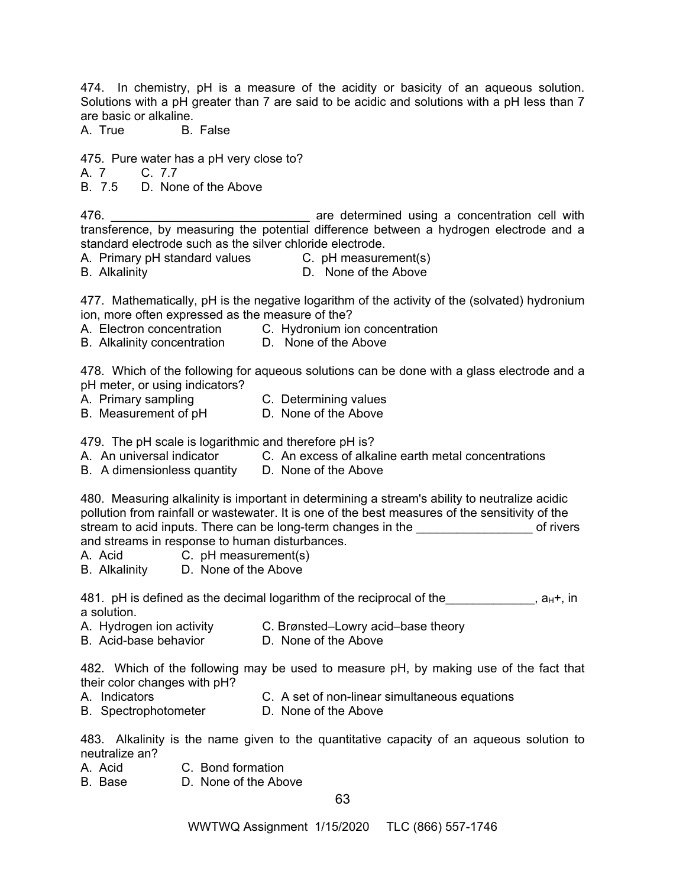474. In chemistry, pH is a measure of the acidity or basicity of an aqueous solution. Solutions with a pH greater than 7 are said to be acidic and solutions with a pH less than 7 are basic or alkaline.

A. True B. False

475. Pure water has a pH very close to?

A. 7 C. 7.7

B. 7.5 D. None of the Above

476. **Example 20 are determined using a concentration cell with** transference, by measuring the potential difference between a hydrogen electrode and a standard electrode such as the silver chloride electrode.

- A. Primary pH standard values C. pH measurement(s)
- 
- B. Alkalinity D. None of the Above

477. Mathematically, pH is the negative logarithm of the activity of the (solvated) hydronium ion, more often expressed as the measure of the?

- A. Electron concentration C. Hydronium ion concentration
- B. Alkalinity concentration D. None of the Above

478. Which of the following for aqueous solutions can be done with a glass electrode and a pH meter, or using indicators?

- A. Primary sampling C. Determining values
	-
- B. Measurement of pH D. None of the Above

479. The pH scale is logarithmic and therefore pH is?

- A. An universal indicator C. An excess of alkaline earth metal concentrations
- B. A dimensionless quantity D. None of the Above

480. Measuring alkalinity is important in determining a stream's ability to neutralize acidic pollution from rainfall or wastewater. It is one of the best measures of the sensitivity of the stream to acid inputs. There can be long-term changes in the **Example 20** of rivers and streams in response to human disturbances.

- A. Acid C. pH measurement(s)
- B. Alkalinity D. None of the Above

481. pH is defined as the decimal logarithm of the reciprocal of the  $\overline{a}$ , a<sub>H</sub>+, in a solution.

- A. Hydrogen ion activity C. Brønsted–Lowry acid–base theory
- B. Acid-base behavior **D. None of the Above**

482. Which of the following may be used to measure pH, by making use of the fact that their color changes with pH?

- A. Indicators C. A set of non-linear simultaneous equations
- B. SpectrophotometerD. None of the Above

483. Alkalinity is the name given to the quantitative capacity of an aqueous solution to neutralize an?

- A. Acid C. Bond formation
- B. Base D. None of the Above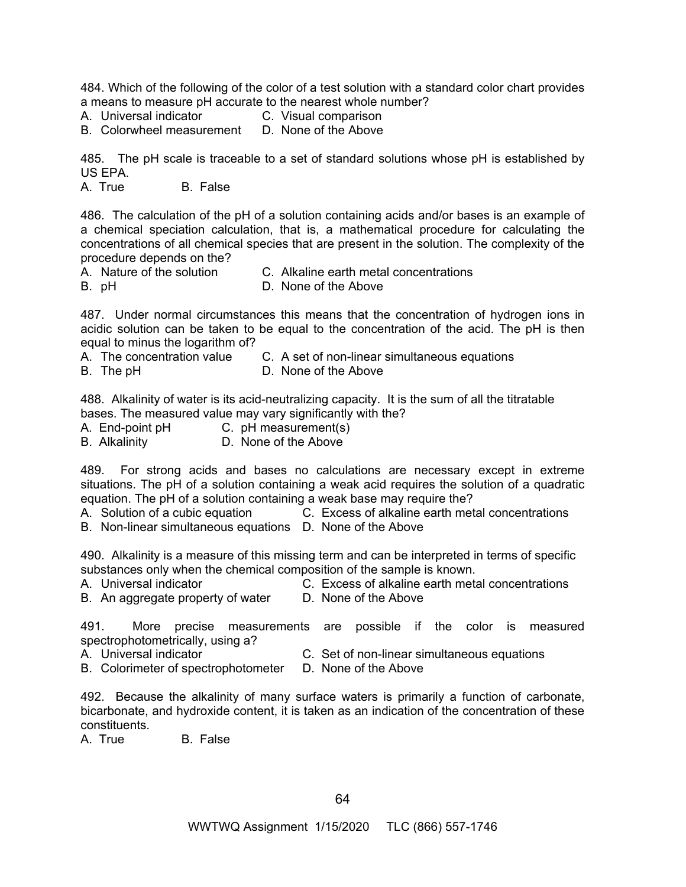484. Which of the following of the color of a test solution with a standard color chart provides a means to measure pH accurate to the nearest whole number?

- A. Universal indicator C. Visual comparison<br>B. Colorwheel measurement D. None of the Above
- B. Colorwheel measurement

485. The pH scale is traceable to a set of standard solutions whose pH is established by US EPA.

A. True B. False

486. The calculation of the pH of a solution containing acids and/or bases is an example of a chemical speciation calculation, that is, a mathematical procedure for calculating the concentrations of all chemical species that are present in the solution. The complexity of the procedure depends on the?

- A. Nature of the solution C. Alkaline earth metal concentrations
- B. pH **D. None of the Above**

487. Under normal circumstances this means that the concentration of hydrogen ions in acidic solution can be taken to be equal to the concentration of the acid. The pH is then equal to minus the logarithm of?

- A. The concentration value C. A set of non-linear simultaneous equations
- B. The pH **D. None of the Above**

488. Alkalinity of water is its acid-neutralizing capacity. It is the sum of all the titratable bases. The measured value may vary significantly with the?

- A. End-point pH C. pH measurement(s)
- B. Alkalinity D. None of the Above

489. For strong acids and bases no calculations are necessary except in extreme situations. The pH of a solution containing a weak acid requires the solution of a quadratic equation. The pH of a solution containing a weak base may require the?

A. Solution of a cubic equation C. Excess of alkaline earth metal concentrations

B. Non-linear simultaneous equations D. None of the Above

490. Alkalinity is a measure of this missing term and can be interpreted in terms of specific substances only when the chemical composition of the sample is known.

- 
- 
- B. An aggregate property of water D. None of the Above

A. Universal indicator C. Excess of alkaline earth metal concentrations

491. More precise measurements are possible if the color is measured spectrophotometrically, using a?

- 
- A. Universal indicator C. Set of non-linear simultaneous equations
- B. Colorimeter of spectrophotometer D. None of the Above

492. Because the alkalinity of many surface waters is primarily a function of carbonate, bicarbonate, and hydroxide content, it is taken as an indication of the concentration of these constituents.